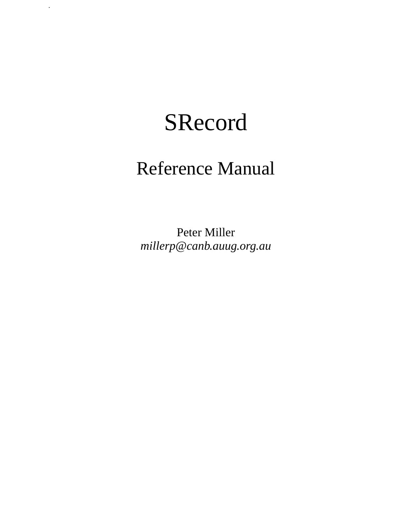# SRecord

.

# Reference Manual

Peter Miller *millerp@canb.auug.org.au*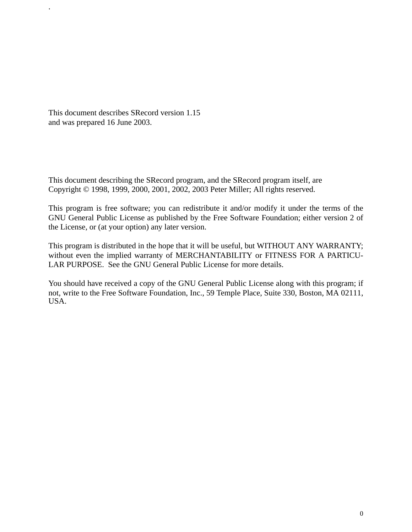This document describes SRecord version 1.15 and was prepared 16 June 2003.

.

This document describing the SRecord program, and the SRecord program itself, are Copyright © 1998, 1999, 2000, 2001, 2002, 2003 Peter Miller; All rights reserved.

This program is free software; you can redistribute it and/or modify it under the terms of the GNU General Public License as published by the Free Software Foundation; either version 2 of the License, or (at your option) any later version.

This program is distributed in the hope that it will be useful, but WITHOUT ANY WARRANTY; without even the implied warranty of MERCHANTABILITY or FITNESS FOR A PARTICU-LAR PURPOSE. See the GNU General Public License for more details.

You should have received a copy of the GNU General Public License along with this program; if not, write to the Free Software Foundation, Inc., 59 Temple Place, Suite 330, Boston, MA 02111, USA.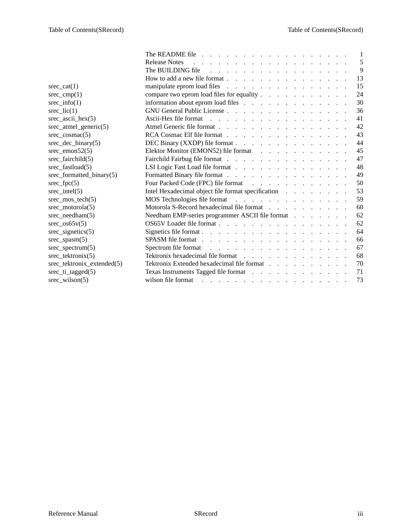| $\text{src\_cat}(1)$         |
|------------------------------|
| $\text{src\_cmp}(1)$         |
| $\text{src\_info}(1)$        |
| $\text{src\_lic}(1)$         |
| $\text{src\_ascii\_hex}(5)$  |
| srec_atmel_generic(5)        |
| $\text{spec\_cosmac}(5)$     |
| $\text{src\_dec\_binary}(5)$ |
| $\text{src\_emon52}(5)$      |
| srec_fairchild(5)            |
| srec_fastload(5)             |
| srec_formatted_binary(5)     |
| $\text{spec\_fpc}(5)$        |
| $\text{src}_\text{intel}(5)$ |
| $\text{src\_mos\_tech}(5)$   |
| srec_motorola(5)             |
| $\text{spec\_needham}(5)$    |
| $\text{src\_os65v}(5)$       |
| $\text{src\_signetics}(5)$   |
| $\text{spec\_spasm}(5)$      |
| $\text{spec\_spectrum}(5)$   |
| srec_tektronix(5)            |
| srec_tektronix_extended(5)   |
| srec_ti_tagged(5)            |
| $\text{spec\_wilson}(5)$     |

|                                                      | The README file $\ldots$ $\ldots$ $\ldots$ $\ldots$ $\ldots$ $\ldots$ $\ldots$ $\ldots$                       |  |  |  | $\blacksquare$ |
|------------------------------------------------------|---------------------------------------------------------------------------------------------------------------|--|--|--|----------------|
|                                                      |                                                                                                               |  |  |  | 5              |
|                                                      | The BUILDING file $\cdots$                                                                                    |  |  |  | 9              |
|                                                      | How to add a new file format $\ldots$ $\ldots$ $\ldots$ $\ldots$ $\ldots$ $\ldots$ $\ldots$                   |  |  |  | 13             |
| srec cat $(1)$                                       | manipulate eprom load files                                                                                   |  |  |  | 15             |
| $\text{spec\_cmp}(1)$                                | compare two eprom load files for equality                                                                     |  |  |  | 24             |
| $\text{spec}\_\text{info}(1)$                        | information about eprom load files                                                                            |  |  |  | 30             |
| $\text{src\_lic}(1)$                                 | GNU General Public License                                                                                    |  |  |  | 36             |
| $\text{src\_ascii\_hex}(5)$                          | Ascii-Hex file format                                                                                         |  |  |  | 41             |
| $\text{spec\_atmel\_generic}(5)$                     | Atmel Generic file format                                                                                     |  |  |  | 42             |
| $\text{spec\_cosmac}(5)$                             | RCA Cosmac Elf file format                                                                                    |  |  |  | 43             |
| $\frac{\text{spec}\_\text{dec}\_\text{binary}(5)}{}$ | DEC Binary (XXDP) file format                                                                                 |  |  |  | 44             |
| srec emon $52(5)$                                    | Elektor Monitor (EMON52) file format                                                                          |  |  |  | 45             |
| $\lvert \text{spec\_fairchild(5)} \rvert$            | Fairchild Fairbug file format                                                                                 |  |  |  | 47             |
| srec_fastload(5)                                     | LSI Logic Fast Load file format                                                                               |  |  |  | 48             |
| srec_formatted_binary(5)                             | Formatted Binary file format                                                                                  |  |  |  | 49             |
| $\text{spec\_fpc}(5)$                                | Four Packed Code (FPC) file format                                                                            |  |  |  | 50             |
| srec intel $(5)$                                     | Intel Hexadecimal object file format specification                                                            |  |  |  | 53             |
| $\text{spec\_mos\_tech}(5)$                          | MOS Technologies file format                                                                                  |  |  |  | 59             |
| $\text{spec\_motorola}(5)$                           | Motorola S-Record hexadecimal file format results and results and set of the S-Record hexadecimal file format |  |  |  | 60             |
| srec_needham(5)                                      | Needham EMP-series programmer ASCII file format                                                               |  |  |  | 62             |
| $\frac{\text{spec}\_0s65v(5)}{}$                     | OS65V Loader file format                                                                                      |  |  |  | 62             |
| $\text{spec\_signetics}(5)$                          | Signetics file format.                                                                                        |  |  |  | 64             |
| $\text{spec\_spasm}(5)$                              |                                                                                                               |  |  |  | 66             |
| $\text{spec\_spectrum}(5)$                           |                                                                                                               |  |  |  | 67             |
| $\frac{\text{tree} \cdot \text{tektronix}(5)}{}$     | Tektronix hexadecimal file format                                                                             |  |  |  | 68             |
| srec tektronix extended(5)                           | Tektronix Extended hexadecimal file format                                                                    |  |  |  | 70             |
| $\text{src\_ti\_tagged}(5)$                          | Texas Instruments Tagged file format                                                                          |  |  |  | 71             |
| $\text{spec\_wilson}(5)$                             |                                                                                                               |  |  |  | 73             |
|                                                      |                                                                                                               |  |  |  |                |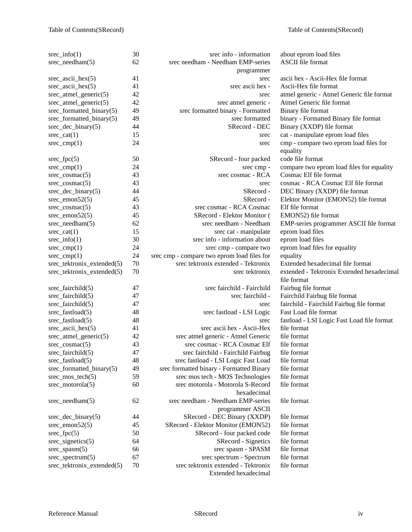| $\text{src\_info}(1)$           | 30 | srec info - information                     | about eprom load files                     |
|---------------------------------|----|---------------------------------------------|--------------------------------------------|
| $\text{spec\_needham}(5)$       | 62 | srec needham - Needham EMP-series           | <b>ASCII</b> file format                   |
|                                 |    | programmer                                  |                                            |
| $\text{src\_ascii\_hex}(5)$     | 41 | srec                                        | ascii hex - Ascii-Hex file format          |
| $\text{spec\_ascii\_hex}(5)$    | 41 | srec ascii hex -                            | Ascii-Hex file format                      |
| $\text{src\_atmel\_generic}(5)$ | 42 | srec                                        | atmel generic - Atmel Generic file format  |
| $\text{src\_atmel\_generic}(5)$ | 42 | srec atmel generic -                        | Atmel Generic file format                  |
| srec_formatted_binary(5)        | 49 | srec formatted binary - Formatted           | Binary file format                         |
|                                 | 49 | srec formatted                              |                                            |
| srec_formatted_binary(5)        |    |                                             | binary - Formatted Binary file format      |
| $\text{spec\_dec\_binary}(5)$   | 44 | SRecord - DEC                               | Binary (XXDP) file format                  |
| $\text{src\_cat}(1)$            | 15 | srec                                        | cat - manipulate eprom load files          |
| $\text{src\_cmp}(1)$            | 24 | srec                                        | cmp - compare two eprom load files for     |
|                                 |    |                                             | equality                                   |
| $\text{spec\_fpc}(5)$           | 50 | SRecord - four packed                       | code file format                           |
| $\text{src\_cmp}(1)$            | 24 | srec cmp -                                  | compare two eprom load files for equality  |
| $\text{spec\_cosmac}(5)$        | 43 | srec cosmac - RCA                           | Cosmac Elf file format                     |
| $\text{spec\_cosmac}(5)$        | 43 | srec                                        | cosmac - RCA Cosmac Elf file format        |
| $\text{spec\_dec\_binary}(5)$   | 44 | SRecord -                                   | DEC Binary (XXDP) file format              |
| $\text{src\_emon52}(5)$         | 45 | SRecord-                                    | Elektor Monitor (EMON52) file format       |
| $\text{spec\_cosmac}(5)$        | 43 | srec cosmac - RCA Cosmac                    | Elf file format                            |
| $\text{src\_emon52}(5)$         | 45 | SRecord - Elektor Monitor (                 | EMON52) file format                        |
| $\text{spec\_needham}(5)$       | 62 | srec needham - Needham                      | EMP-series programmer ASCII file format    |
| $\text{src\_cat}(1)$            | 15 | srec cat - manipulate                       | eprom load files                           |
| $\text{src\_info}(1)$           | 30 | srec info - information about               | eprom load files                           |
| $\text{src\_cmp}(1)$            | 24 | srec cmp - compare two                      | eprom load files for equality              |
| $\text{src\_cmp}(1)$            | 24 | srec cmp - compare two eprom load files for | equality                                   |
| srec_tektronix_extended(5)      | 70 | srec tektronix extended - Tektronix         | Extended hexadecimal file format           |
| srec_tektronix_extended(5)      | 70 | srec tektronix                              | extended - Tektronix Extended hexadecimal  |
|                                 |    |                                             | file format                                |
|                                 | 47 | srec fairchild - Fairchild                  | Fairbug file format                        |
| $\text{src\_fairchild}(5)$      |    |                                             |                                            |
| $\text{spec\_fairchild}(5)$     | 47 | srec fairchild -                            | Fairchild Fairbug file format              |
| $\text{spec\_fairchild}(5)$     | 47 | srec                                        | fairchild - Fairchild Fairbug file format  |
| $\text{src\_fastload}(5)$       | 48 | srec fastload - LSI Logic                   | Fast Load file format                      |
| $\text{spec\_fastload}(5)$      | 48 | srec                                        | fastload - LSI Logic Fast Load file format |
| $\text{spec\_ascii\_hex}(5)$    | 41 | srec ascii hex - Ascii-Hex                  | file format                                |
| $\text{src\_atmel\_generic}(5)$ | 42 | srec atmel generic - Atmel Generic          | file format                                |
| $\text{spec\_cosmac}(5)$        | 43 | srec cosmac - RCA Cosmac Elf                | file format                                |
| $\text{spec\_fairchild}(5)$     | 47 | srec fairchild - Fairchild Fairbug          | file format                                |
| srec_fastload(5)                | 48 | srec fastload - LSI Logic Fast Load         | file format                                |
| srec_formatted_binary(5)        | 49 | srec formatted binary - Formatted Binary    | file format                                |
| $\text{tree\_mos\_tech}(5)$     | 59 | srec mos tech - MOS Technologies            | file format                                |
| $\text{spec\_motorola}(5)$      | 60 | srec motorola - Motorola S-Record           | file format                                |
|                                 |    | hexadecimal                                 |                                            |
| $\text{src\_needham}(5)$        | 62 | srec needham - Needham EMP-series           | file format                                |
|                                 |    | programmer ASCII                            |                                            |
| $\text{spec\_dec\_binary}(5)$   | 44 | SRecord - DEC Binary (XXDP)                 | file format                                |
| $\text{src\_emon52}(5)$         | 45 | SRecord - Elektor Monitor (EMON52)          | file format                                |
| $\text{src\_fpc}(5)$            | 50 | SRecord - four packed code                  | file format                                |
| $\text{src\_signetics}(5)$      | 64 | SRecord - Signetics                         | file format                                |
|                                 | 66 | srec spasm - SPASM                          | file format                                |
| $\text{src\_spasm}(5)$          | 67 | srec spectrum - Spectrum                    | file format                                |
| $\text{spec\_spectrum}(5)$      |    |                                             |                                            |
| srec_tektronix_extended(5)      | 70 | srec tektronix extended - Tektronix         | file format                                |
|                                 |    | Extended hexadecimal                        |                                            |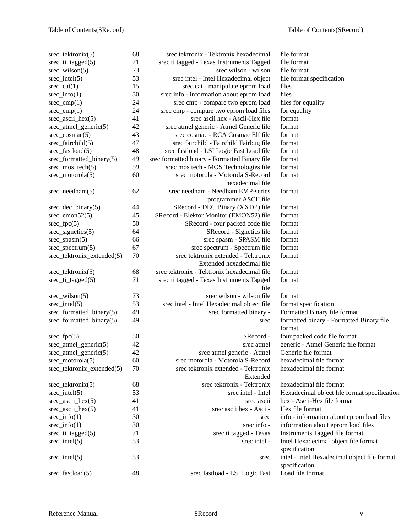| srec tektronix(5)                | 68     | srec tektronix - Tektronix hexadecimal        | file format                                  |
|----------------------------------|--------|-----------------------------------------------|----------------------------------------------|
| $\text{src\_ti\_tagged}(5)$      | 71     | srec ti tagged - Texas Instruments Tagged     | file format                                  |
| $\text{src\_wilson}(5)$          | 73     | srec wilson - wilson                          | file format                                  |
| $\text{src}_\text{intel}(5)$     | 53     | srec intel - Intel Hexadecimal object         | file format specification                    |
| $\text{spec\_cat}(1)$            | 15     | srec cat - manipulate eprom load              | files                                        |
| $\text{src\_info}(1)$            | 30     | srec info - information about eprom load      | files                                        |
| $\text{spec\_cmp}(1)$            | 24     | srec cmp - compare two eprom load             | files for equality                           |
| $\text{src\_cmp}(1)$             | 24     | srec cmp - compare two eprom load files       | for equality                                 |
| $\text{src\_ascii\_hex}(5)$      | 41     | srec ascii hex - Ascii-Hex file               | format                                       |
| $\text{spec\_atmel\_generic}(5)$ | 42     | srec atmel generic - Atmel Generic file       | format                                       |
| $\text{spec\_cosmac}(5)$         | 43     | srec cosmac - RCA Cosmac Elf file             | format                                       |
| srec_fairchild(5)                | 47     | srec fairchild - Fairchild Fairbug file       | format                                       |
| srec_fastload(5)                 | 48     | srec fastload - LSI Logic Fast Load file      | format                                       |
| srec_formatted_binary(5)         | 49     | srec formatted binary - Formatted Binary file | format                                       |
| srec_mos_tech(5)                 | 59     | srec mos tech - MOS Technologies file         | format                                       |
| $\text{spec\_motorola}(5)$       | 60     | srec motorola - Motorola S-Record             | format                                       |
|                                  |        | hexadecimal file                              |                                              |
| $\text{spec\_needham}(5)$        | 62     | srec needham - Needham EMP-series             | format                                       |
|                                  |        | programmer ASCII file                         |                                              |
| srec_dec_binary(5)               | 44     | SRecord - DEC Binary (XXDP) file              | format                                       |
| $\text{spec\_emon52}(5)$         | 45     | SRecord - Elektor Monitor (EMON52) file       | format                                       |
| $\text{spec\_fpc}(5)$            | 50     | SRecord - four packed code file               | format                                       |
| $\text{src\_signetics}(5)$       | 64     | SRecord - Signetics file                      | format                                       |
| $\text{spec\_spasm}(5)$          | 66     | srec spasm - SPASM file                       | format                                       |
| $\text{spec\_spectrum}(5)$       | 67     | srec spectrum - Spectrum file                 | format                                       |
| srec_tektronix_extended(5)       | $70\,$ | srec tektronix extended - Tektronix           | format                                       |
|                                  |        | Extended hexadecimal file                     |                                              |
| srec_tektronix(5)                | 68     | srec tektronix - Tektronix hexadecimal file   | format                                       |
| $\text{src\_ti\_tagged}(5)$      | 71     | srec ti tagged - Texas Instruments Tagged     | format                                       |
|                                  |        | file                                          |                                              |
| $\text{src\_wilson}(5)$          | 73     | srec wilson - wilson file                     | format                                       |
| $\text{src}_\text{intel}(5)$     | 53     | srec intel - Intel Hexadecimal object file    | format specification                         |
| srec_formatted_binary(5)         | 49     | srec formatted binary -                       | Formatted Binary file format                 |
| srec_formatted_binary(5)         | 49     | srec                                          | formatted binary - Formatted Binary file     |
|                                  |        |                                               | format                                       |
| $\text{spec\_fpc}(5)$            | 50     | SRecord-                                      | four packed code file format                 |
| $\text{spec\_atmel\_generic}(5)$ | 42     | srec atmel                                    | generic - Atmel Generic file format          |
| srec_atmel_generic(5)            | 42     | srec atmel generic - Atmel                    | Generic file format                          |
| $\text{spec\_motorola}(5)$       | 60     | srec motorola - Motorola S-Record             | hexadecimal file format                      |
| srec_tektronix_extended(5)       | 70     | srec tektronix extended - Tektronix           | hexadecimal file format                      |
|                                  |        | Extended                                      |                                              |
| srec_tektronix(5)                | 68     | srec tektronix - Tektronix                    | hexadecimal file format                      |
| $\text{src}_\text{intel}(5)$     | 53     | srec intel - Intel                            | Hexadecimal object file format specification |
| $\text{spec\_ascii\_hex}(5)$     | 41     | srec ascii                                    | hex - Ascii-Hex file format                  |
| $\text{src\_ascii\_hex}(5)$      | 41     | srec ascii hex - Ascii-                       | Hex file format                              |
|                                  | 30     |                                               |                                              |
| $\text{src\_info}(1)$            | 30     | srec<br>srec info -                           | info - information about eprom load files    |
| $\text{src\_info}(1)$            |        |                                               | information about eprom load files           |
| srec_ti_tagged(5)                | 71     | srec ti tagged - Texas                        | Instruments Tagged file format               |
| $\text{src}_\text{intel}(5)$     | 53     | srec intel -                                  | Intel Hexadecimal object file format         |
|                                  |        |                                               | specification                                |
| $\text{src}_\text{intel}(5)$     | 53     | srec                                          | intel - Intel Hexadecimal object file format |
|                                  |        |                                               | specification                                |
| srec_fastload(5)                 | 48     | srec fastload - LSI Logic Fast                | Load file format                             |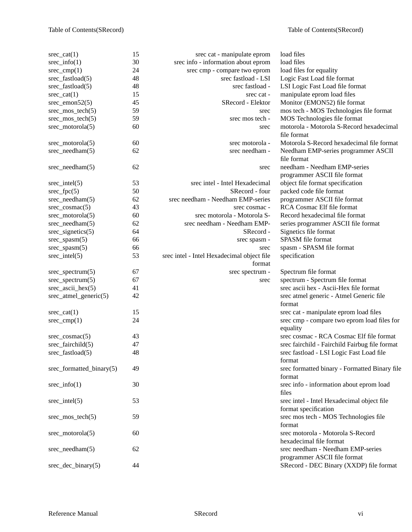| srec $cat(1)$                   | 15 | srec cat - manipulate eprom                          | load files                                                                  |
|---------------------------------|----|------------------------------------------------------|-----------------------------------------------------------------------------|
| $\text{src\_info}(1)$           | 30 | srec info - information about eprom                  | load files                                                                  |
| $\text{src\_cmp}(1)$            | 24 | srec cmp - compare two eprom                         | load files for equality                                                     |
| $\text{spec\_fastload}(5)$      | 48 | srec fastload - LSI                                  | Logic Fast Load file format                                                 |
| $\text{src\_fastload}(5)$       | 48 | srec fastload -                                      | LSI Logic Fast Load file format                                             |
| $\text{src\_cat}(1)$            | 15 | srec cat -                                           | manipulate eprom load files                                                 |
| $\text{src\_emon52}(5)$         | 45 | SRecord - Elektor                                    | Monitor (EMON52) file format                                                |
| $\text{src\_mos\_tech}(5)$      | 59 | srec                                                 | mos tech - MOS Technologies file format                                     |
| $\text{src\_mos\_tech}(5)$      | 59 | srec mos tech -                                      | MOS Technologies file format                                                |
| $\text{spec\_motorola}(5)$      | 60 | srec                                                 | motorola - Motorola S-Record hexadecimal<br>file format                     |
| $\text{spec\_motorola}(5)$      | 60 | srec motorola -                                      | Motorola S-Record hexadecimal file format                                   |
| $\text{spec\_needham}(5)$       | 62 | srec needham -                                       | Needham EMP-series programmer ASCII                                         |
|                                 |    |                                                      | file format                                                                 |
| $\text{spec\_needham}(5)$       | 62 | srec                                                 | needham - Needham EMP-series                                                |
|                                 |    |                                                      | programmer ASCII file format                                                |
| $\text{src}_\text{intel}(5)$    | 53 | srec intel - Intel Hexadecimal                       | object file format specification                                            |
| $\text{spec\_fpc}(5)$           | 50 | SRecord - four                                       | packed code file format                                                     |
| $\text{spec\_needham}(5)$       | 62 | srec needham - Needham EMP-series                    | programmer ASCII file format                                                |
| $\text{spec\_cosmac}(5)$        | 43 | srec cosmac -                                        | RCA Cosmac Elf file format                                                  |
| $\text{spec\_motorola}(5)$      | 60 | srec motorola - Motorola S-                          | Record hexadecimal file format                                              |
|                                 | 62 | srec needham - Needham EMP-                          |                                                                             |
| $\text{spec\_needham}(5)$       |    | SRecord -                                            | series programmer ASCII file format                                         |
| $\text{src\_signetics}(5)$      | 64 |                                                      | Signetics file format<br>SPASM file format                                  |
| $\text{src\_spasm}(5)$          | 66 | srec spasm -                                         |                                                                             |
| $\text{src\_spasm}(5)$          | 66 | srec                                                 | spasm - SPASM file format                                                   |
| $\text{src}_\text{intel}(5)$    | 53 | srec intel - Intel Hexadecimal object file<br>format | specification                                                               |
| $\text{spec\_spectrum}(5)$      | 67 | srec spectrum -                                      | Spectrum file format                                                        |
| $\text{spec\_spectrum}(5)$      | 67 | srec                                                 | spectrum - Spectrum file format                                             |
| $\text{spec\_ascii\_hex}(5)$    | 41 |                                                      | srec ascii hex - Ascii-Hex file format                                      |
| $\text{src\_atmel\_generic}(5)$ | 42 |                                                      | srec atmel generic - Atmel Generic file                                     |
|                                 |    |                                                      | format                                                                      |
| $\text{spec}\_ \text{cat}(1)$   | 15 |                                                      | srec cat - manipulate eprom load files                                      |
| $\text{src\_cmp}(1)$            | 24 |                                                      | srec cmp - compare two eprom load files for                                 |
|                                 |    |                                                      | equality                                                                    |
| $\text{spec\_cosmac}(5)$        | 43 |                                                      | srec cosmac - RCA Cosmac Elf file format                                    |
| $\text{spec\_fairchild}(5)$     | 47 |                                                      | srec fairchild - Fairchild Fairbug file format                              |
| $\text{src\_fastload}(5)$       | 48 |                                                      | srec fastload - LSI Logic Fast Load file<br>format                          |
| srec_formatted_binary(5)        | 49 |                                                      | srec formatted binary - Formatted Binary file<br>format                     |
| $\text{src\_info}(1)$           | 30 |                                                      | srec info - information about eprom load                                    |
| $\text{src}_\text{intel}(5)$    | 53 |                                                      | files<br>srec intel - Intel Hexadecimal object file<br>format specification |
| $\text{src\_mos\_tech}(5)$      | 59 |                                                      | srec mos tech - MOS Technologies file<br>format                             |
| $\text{spec\_motorola}(5)$      | 60 |                                                      | srec motorola - Motorola S-Record<br>hexadecimal file format                |
| $\text{spec\_needham}(5)$       | 62 |                                                      | srec needham - Needham EMP-series<br>programmer ASCII file format           |
| $\text{spec\_dec\_binary}(5)$   | 44 |                                                      | SRecord - DEC Binary (XXDP) file format                                     |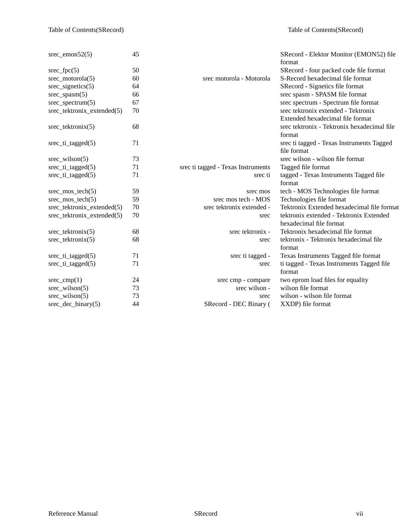| $\text{src\_emon52}(5)$            | 45 |                                    | SRecord - Elektor Monitor (EMON52) file<br>format |
|------------------------------------|----|------------------------------------|---------------------------------------------------|
| $\text{spec\_fpc}(5)$              | 50 |                                    | SRecord - four packed code file format            |
| $\text{spec\_motorola}(5)$         | 60 | srec motorola - Motorola           | S-Record hexadecimal file format                  |
| $\text{src}\_\text{signetics}(5)$  | 64 |                                    | SRecord - Signetics file format                   |
| $\text{src\_spasm}(5)$             | 66 |                                    | srec spasm - SPASM file format                    |
| $\text{spec\_spectrum}(5)$         | 67 |                                    | srec spectrum - Spectrum file format              |
| srec_tektronix_extended(5)         | 70 |                                    | srec tektronix extended - Tektronix               |
|                                    |    |                                    | Extended hexadecimal file format                  |
| $\text{spec}\_\text{tektroniX}(5)$ | 68 |                                    | srec tektronix - Tektronix hexadecimal file       |
|                                    |    |                                    | format                                            |
| $\text{src\_ti\_tagged}(5)$        | 71 |                                    | srec ti tagged - Texas Instruments Tagged         |
|                                    |    |                                    | file format                                       |
| $\text{src\_wilson}(5)$            | 73 |                                    | srec wilson - wilson file format                  |
| $\text{src\_ti\_tagged}(5)$        | 71 | srec ti tagged - Texas Instruments | Tagged file format                                |
| $\text{src\_ti\_tagged}(5)$        | 71 | srec ti                            | tagged - Texas Instruments Tagged file            |
|                                    |    |                                    | format                                            |
| $\text{src\_mos\_tech}(5)$         | 59 | srec mos                           | tech - MOS Technologies file format               |
| $\text{src\_mos\_tech}(5)$         | 59 | srec mos tech - MOS                | Technologies file format                          |
| srec_tektronix_extended(5)         | 70 | srec tektronix extended -          | Tektronix Extended hexadecimal file format        |
| srec_tektronix_extended(5)         | 70 | srec                               | tektronix extended - Tektronix Extended           |
|                                    |    |                                    | hexadecimal file format                           |
| $\text{spec}\_\text{tektroniX}(5)$ | 68 | srec tektronix -                   | Tektronix hexadecimal file format                 |
| $\text{spec}\_\text{tektroniX}(5)$ | 68 | srec                               | tektronix - Tektronix hexadecimal file            |
|                                    |    |                                    | format                                            |
| $\text{src\_ti\_tagged}(5)$        | 71 | srec ti tagged -                   | Texas Instruments Tagged file format              |
| $\text{src\_ti\_tagged}(5)$        | 71 | srec                               | ti tagged - Texas Instruments Tagged file         |
|                                    |    |                                    | format                                            |
| $\text{src\_cmp}(1)$               | 24 | srec cmp - compare                 | two eprom load files for equality                 |
| $\text{src\_wilson}(5)$            | 73 | srec wilson -                      | wilson file format                                |
| $\text{spec\_wilson}(5)$           | 73 | srec                               | wilson - wilson file format                       |
| $\text{spec\_dec\_binary}(5)$      | 44 | SRecord - DEC Binary (             | XXDP) file format                                 |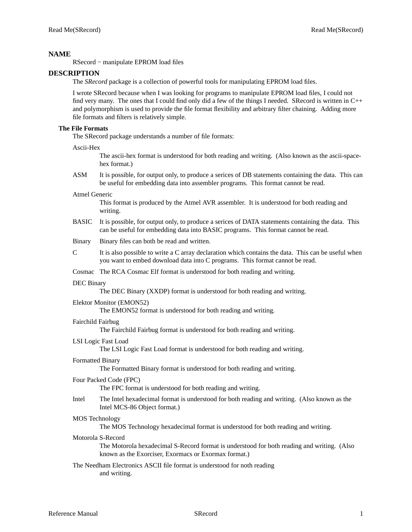# **NAME**

RSecord − manipulate EPROM load files

# **DESCRIPTION**

The *SRecord* package is a collection of powerful tools for manipulating EPROM load files.

I wrote SRecord because when I was looking for programs to manipulate EPROM load files, I could not find very many. The ones that I could find only did a few of the things I needed. SRecord is written in  $C_{++}$ and polymorphism is used to provide the file format flexibility and arbitrary filter chaining. Adding more file formats and filters is relatively simple.

# **The File Formats**

The SRecord package understands a number of file formats:

Ascii-Hex

The ascii-hex format is understood for both reading and writing. (Also known as the ascii-spacehex format.)

ASM It is possible, for output only, to produce a serices of DB statements containing the data. This can be useful for embedding data into assembler programs. This format cannot be read.

## Atmel Generic

This format is produced by the Atmel AVR assembler. It is understood for both reading and writing.

- BASIC It is possible, for output only, to produce a serices of DATA statements containing the data. This can be useful for embedding data into BASIC programs. This format cannot be read.
- Binary Binary files can both be read and written.
- C It is also possible to write a C array declaration which contains the data. This can be useful when you want to embed download data into C programs. This format cannot be read.

## Cosmac The RCA Cosmac Elf format is understood for both reading and writing.

## DEC Binary

The DEC Binary (XXDP) format is understood for both reading and writing.

## Elektor Monitor (EMON52)

The EMON52 format is understood for both reading and writing.

## Fairchild Fairbug

The Fairchild Fairbug format is understood for both reading and writing.

## LSI Logic Fast Load

The LSI Logic Fast Load format is understood for both reading and writing.

## Formatted Binary

The Formatted Binary format is understood for both reading and writing.

## Four Packed Code (FPC)

The FPC format is understood for both reading and writing.

Intel The Intel hexadecimal format is understood for both reading and writing. (Also known as the Intel MCS-86 Object format.)

## MOS Technology

The MOS Technology hexadecimal format is understood for both reading and writing.

## Motorola S-Record

The Motorola hexadecimal S-Record format is understood for both reading and writing. (Also known as the Exorciser, Exormacs or Exormax format.)

The Needham Electronics ASCII file format is understood for noth reading and writing.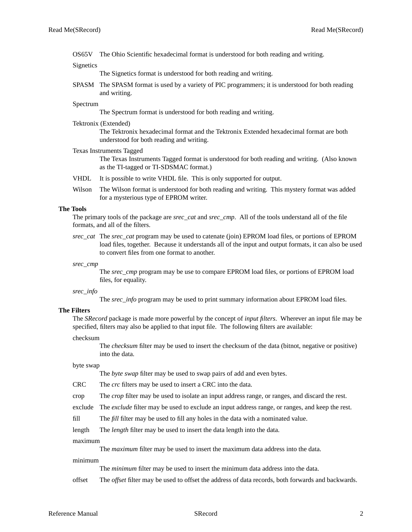OS65V The Ohio Scientific hexadecimal format is understood for both reading and writing.

**Signetics** 

The Signetics format is understood for both reading and writing.

SPASM The SPASM format is used by a variety of PIC programmers; it is understood for both reading and writing.

#### Spectrum

The Spectrum format is understood for both reading and writing.

#### Tektronix (Extended)

The Tektronix hexadecimal format and the Tektronix Extended hexadecimal format are both understood for both reading and writing.

#### Texas Instruments Tagged

The Texas Instruments Tagged format is understood for both reading and writing. (Also known as the TI-tagged or TI-SDSMAC format.)

- VHDL It is possible to write VHDL file. This is only supported for output.
- Wilson The Wilson format is understood for both reading and writing. This mystery format was added for a mysterious type of EPROM writer.

## **The Tools**

The primary tools of the package are *srec\_cat* and *srec\_cmp*. All of the tools understand all of the file formats, and all of the filters.

*srec\_cat* The *srec\_cat* program may be used to catenate (join) EPROM load files, or portions of EPROM load files, together. Because it understands all of the input and output formats, it can also be used to convert files from one format to another.

*srec\_cmp*

The *srec\_cmp* program may be use to compare EPROM load files, or portions of EPROM load files, for equality.

*srec\_info*

The *srec\_info* program may be used to print summary information about EPROM load files.

## **The Filters**

The *SRecord* package is made more powerful by the concept of *input filters*. Wherever an input file may be specified, filters may also be applied to that input file. The following filters are available:

#### checksum

The *checksum* filter may be used to insert the checksum of the data (bitnot, negative or positive) into the data.

## byte swap

The *byte swap* filter may be used to swap pairs of add and even bytes.

- CRC The *crc* filters may be used to insert a CRC into the data.
- crop The *crop* filter may be used to isolate an input address range, or ranges, and discard the rest.

exclude The *exclude* filter may be used to exclude an input address range, or ranges, and keep the rest.

- fill The *fill* filter may be used to fill any holes in the data with a nominated value.
- length The *length* filter may be used to insert the data length into the data.

maximum

The *maximum* filter may be used to insert the maximum data address into the data.

#### minimum

The *minimum* filter may be used to insert the minimum data address into the data.

offset The *offset* filter may be used to offset the address of data records, both forwards and backwards.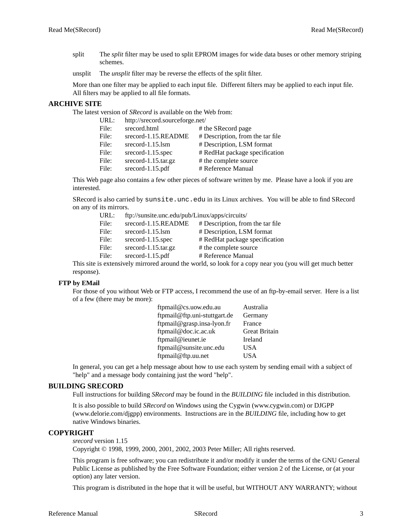split The *split* filter may be used to split EPROM images for wide data buses or other memory striping schemes.

unsplit The *unsplit* filter may be reverse the effects of the split filter.

More than one filter may be applied to each input file. Different filters may be applied to each input file. All filters may be applied to all file formats.

# **ARCHIVE SITE**

The latest version of *SRecord* is available on the Web from:

| URL:  | http://srecord.sourceforge.net/ |                                  |
|-------|---------------------------------|----------------------------------|
| File: | srecord.html                    | # the SRecord page               |
| File: | srecord-1.15.README             | # Description, from the tar file |
| File: | srecord- $1.15$ .lsm            | # Description, LSM format        |
| File: | srecord-1.15.spec               | # RedHat package specification   |
| File: | $srecord-1.15.$ tar.gz          | # the complete source            |
| File: | srecord-1.15.pdf                | # Reference Manual               |

This Web page also contains a few other pieces of software written by me. Please have a look if you are interested.

SRecord is also carried by sunsite.unc.edu in its Linux archives. You will be able to find SRecord on any of its mirrors.

| ftp://sunsite.unc.edu/pub/Linux/apps/circuits/ |                                  |
|------------------------------------------------|----------------------------------|
| srecord-1.15.README                            | # Description, from the tar file |
| srecord- $1.15$ .lsm                           | # Description, LSM format        |
| $srecord-1.15.\nspec$                          | # RedHat package specification   |
| srecord-1.15.tar.gz                            | # the complete source            |
| srecord-1.15.pdf                               | # Reference Manual               |
|                                                |                                  |

This site is extensively mirrored around the world, so look for a copy near you (you will get much better response).

## **FTP by EMail**

For those of you without Web or FTP access, I recommend the use of an ftp-by-email server. Here is a list of a few (there may be more):

| ftpmail@cs.uow.edu.au        | Australia            |
|------------------------------|----------------------|
| ftpmail@ftp.uni-stuttgart.de | Germany              |
| ftpmail@grasp.insa-lyon.fr   | France               |
| ftpmail@doc.ic.ac.uk         | <b>Great Britain</b> |
| ftpmail@ieunet.ie            | Ireland              |
| ftpmail@sunsite.unc.edu      | USA                  |
| ftpmail@ftp.uu.net           | USA                  |

In general, you can get a help message about how to use each system by sending email with a subject of "help" and a message body containing just the word "help".

## **BUILDING SRECORD**

Full instructions for building *SRecord* may be found in the *BUILDING* file included in this distribution.

It is also possible to build *SRecord* on Windows using the Cygwin (www.cygwin.com) or DJGPP (www.delorie.com/djgpp) environments. Instructions are in the *BUILDING* file, including how to get native Windows binaries.

## **COPYRIGHT**

*srecord* version 1.15

Copyright © 1998, 1999, 2000, 2001, 2002, 2003 Peter Miller; All rights reserved.

This program is free software; you can redistribute it and/or modify it under the terms of the GNU General Public License as published by the Free Software Foundation; either version 2 of the License, or (at your option) any later version.

This program is distributed in the hope that it will be useful, but WITHOUT ANY WARRANTY; without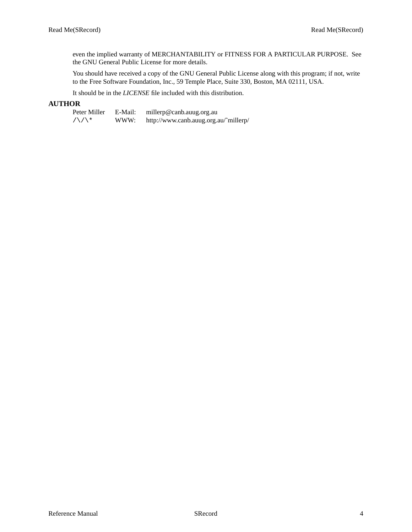even the implied warranty of MERCHANTABILITY or FITNESS FOR A PARTICULAR PURPOSE. See the GNU General Public License for more details.

You should have received a copy of the GNU General Public License along with this program; if not, write to the Free Software Foundation, Inc., 59 Temple Place, Suite 330, Boston, MA 02111, USA.

It should be in the *LICENSE* file included with this distribution.

# **AUTHOR**

Peter Miller E-Mail: millerp@canb.auug.org.au<br>  $\sqrt{\sqrt{x}}$  WWW: http://www.canb.auug.org.au /\/\\* WWW: http://www.canb.auug.org.au/˜millerp/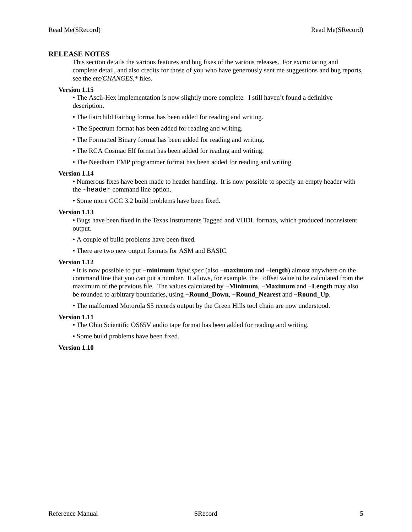## **RELEASE NOTES**

This section details the various features and bug fixes of the various releases. For excruciating and complete detail, and also credits for those of you who have generously sent me suggestions and bug reports, see the *etc/CHANGES.\** files.

## **Version 1.15**

• The Ascii-Hex implementation is now slightly more complete. I still haven't found a definitive description.

- The Fairchild Fairbug format has been added for reading and writing.
- The Spectrum format has been added for reading and writing.
- The Formatted Binary format has been added for reading and writing.
- The RCA Cosmac Elf format has been added for reading and writing.
- The Needham EMP programmer format has been added for reading and writing.

#### **Version 1.14**

• Numerous fixes have been made to header handling. It is now possible to specify an empty header with the -header command line option.

• Some more GCC 3.2 build problems have been fixed.

## **Version 1.13**

• Bugs have been fixed in the Texas Instruments Tagged and VHDL formats, which produced inconsistent output.

- •Acouple of build problems have been fixed.
- There are two new output formats for ASM and BASIC.

## **Version 1.12**

• It is now possible to put **−minimum** *input.spec* (also **−maximum** and **−length**) almost anywhere on the command line that you can put a number. It allows, for example, the −offset value to be calculated from the maximum of the previous file. The values calculated by **−Minimum**, **−Maximum** and **−Length** may also be rounded to arbitrary boundaries, using **−Round\_Down**, **−Round\_Nearest** and **−Round\_Up**.

• The malformed Motorola S5 records output by the Green Hills tool chain are now understood.

## **Version 1.11**

• The Ohio Scientific OS65V audio tape format has been added for reading and writing.

• Some build problems have been fixed.

#### **Version 1.10**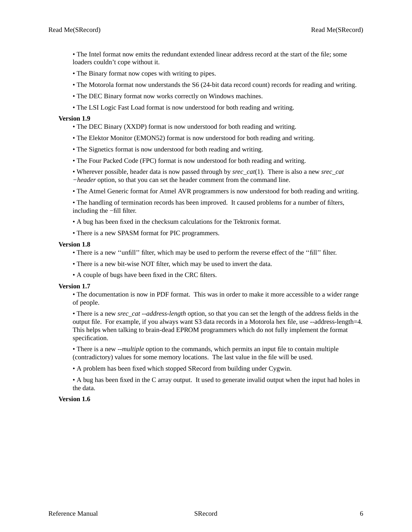- The Intel format now emits the redundant extended linear address record at the start of the file; some loaders couldn't cope without it.
- The Binary format now copes with writing to pipes.
- The Motorola format now understands the S6 (24-bit data record count) records for reading and writing.
- The DEC Binary format now works correctly on Windows machines.
- The LSI Logic Fast Load format is now understood for both reading and writing.

## **Version 1.9**

- The DEC Binary (XXDP) format is now understood for both reading and writing.
- The Elektor Monitor (EMON52) format is now understood for both reading and writing.
- The Signetics format is now understood for both reading and writing.
- The Four Packed Code (FPC) format is now understood for both reading and writing.
- Wherever possible, header data is now passed through by *srec\_cat*(1). There is also a new *srec\_cat −header* option, so that you can set the header comment from the command line.
- The Atmel Generic format for Atmel AVR programmers is now understood for both reading and writing.

• The handling of termination records has been improved. It caused problems for a number of filters, including the −fill filter.

- •Abug has been fixed in the checksum calculations for the Tektronix format.
- There is a new SPASM format for PIC programmers.

## **Version 1.8**

- There is a new ''unfill'' filter, which may be used to perform the reverse effect of the ''fill'' filter.
- There is a new bit-wise NOT filter, which may be used to invert the data.
- •Acouple of bugs have been fixed in the CRC filters.

## **Version 1.7**

• The documentation is now in PDF format. This was in order to make it more accessible to a wider range of people.

• There is a new *srec\_cat --address-length* option, so that you can set the length of the address fields in the output file. For example, if you always want S3 data records in a Motorola hex file, use --address-length=4. This helps when talking to brain-dead EPROM programmers which do not fully implement the format specification.

• There is a new *--multiple* option to the commands, which permits an input file to contain multiple (contradictory) values for some memory locations. The last value in the file will be used.

•Aproblem has been fixed which stopped SRecord from building under Cygwin.

•Abug has been fixed in the C array output. It used to generate invalid output when the input had holes in the data.

# **Version 1.6**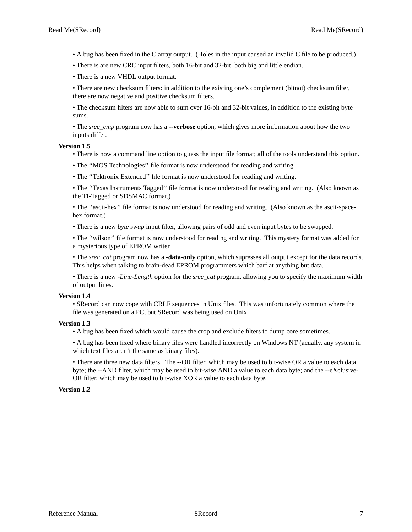•Abug has been fixed in the C array output. (Holes in the input caused an invalid C file to be produced.)

• There is are new CRC input filters, both 16-bit and 32-bit, both big and little endian.

• There is a new VHDL output format.

• There are new checksum filters: in addition to the existing one's complement (bitnot) checksum filter, there are now negative and positive checksum filters.

• The checksum filters are now able to sum over 16-bit and 32-bit values, in addition to the existing byte sums.

• The *srec\_cmp* program now has a **--verbose** option, which gives more information about how the two inputs differ.

#### **Version 1.5**

• There is now a command line option to guess the input file format; all of the tools understand this option.

- The ''MOS Technologies'' file format is now understood for reading and writing.
- The ''Tektronix Extended'' file format is now understood for reading and writing.

• The ''Texas Instruments Tagged'' file format is now understood for reading and writing. (Also known as the TI-Tagged or SDSMAC format.)

• The "ascii-hex" file format is now understood for reading and writing. (Also known as the ascii-spacehex format.)

• There is a new *byte swap* input filter, allowing pairs of odd and even input bytes to be swapped.

• The ''wilson'' file format is now understood for reading and writing. This mystery format was added for a mysterious type of EPROM writer.

• The *srec\_cat* program now has a **-data-only** option, which supresses all output except for the data records. This helps when talking to brain-dead EPROM programmers which barf at anything but data.

• There is a new *-Line-Length* option for the *srec\_cat* program, allowing you to specify the maximum width of output lines.

#### **Version 1.4**

• SRecord can now cope with CRLF sequences in Unix files. This was unfortunately common where the file was generated on a PC, but SRecord was being used on Unix.

#### **Version 1.3**

•Abug has been fixed which would cause the crop and exclude filters to dump core sometimes.

•Abug has been fixed where binary files were handled incorrectly on Windows NT (acually, any system in which text files aren't the same as binary files).

• There are three new data filters. The --OR filter, which may be used to bit-wise OR a value to each data byte; the --AND filter, which may be used to bit-wise AND a value to each data byte; and the --eXclusive-OR filter, which may be used to bit-wise XOR a value to each data byte.

#### **Version 1.2**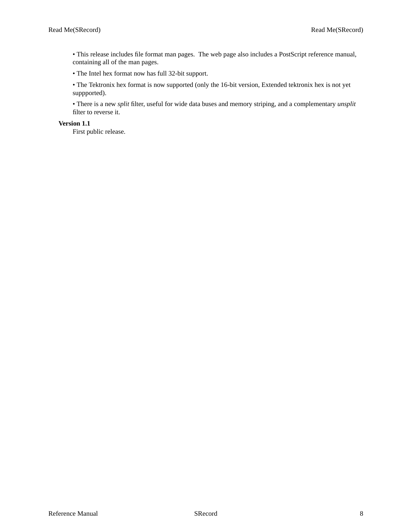• This release includes file format man pages. The web page also includes a PostScript reference manual, containing all of the man pages.

• The Intel hex format now has full 32-bit support.

• The Tektronix hex format is now supported (only the 16-bit version, Extended tektronix hex is not yet suppported).

• There is a new *split* filter, useful for wide data buses and memory striping, and a complementary *unsplit* filter to reverse it.

**Version 1.1**

First public release.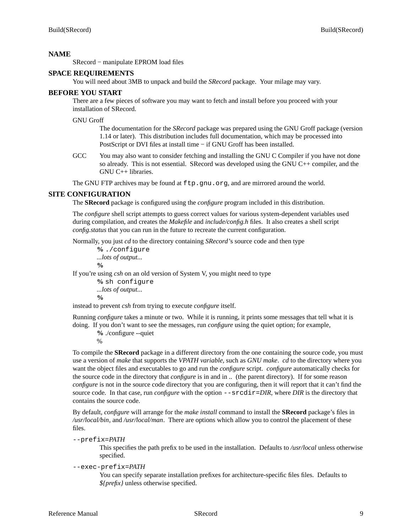# **NAME**

SRecord − manipulate EPROM load files

# **SPACE REQUIREMENTS**

You will need about 3MB to unpack and build the *SRecord* package. Your milage may vary.

# **BEFORE YOU START**

There are a few pieces of software you may want to fetch and install before you proceed with your installation of SRecord.

GNU Groff

The documentation for the *SRecord* package was prepared using the GNU Groff package (version 1.14 or later). This distribution includes full documentation, which may be processed into PostScript or DVI files at install time − if GNU Groff has been installed.

GCC You may also want to consider fetching and installing the GNU C Compiler if you have not done so already. This is not essential. SRecord was developed using the GNU C++ compiler, and the GNU C++ libraries.

The GNU FTP archives may be found at  $ftp.gnu.org$ , and are mirrored around the world.

# **SITE CONFIGURATION**

The **SRecord** package is configured using the *configure* program included in this distribution.

The *configure* shell script attempts to guess correct values for various system-dependent variables used during compilation, and creates the *Makefile* and *include/config.h* files. It also creates a shell script *config.status* that you can run in the future to recreate the current configuration.

Normally, you just *cd* to the directory containing *SRecord*'s source code and then type

**%** ./configure *...lots of output...* **%**

If you're using *csh* on an old version of System V, you might need to type

**%** sh configure *...lots of output...* **%**

instead to prevent *csh* from trying to execute *configure* itself.

Running *configure* takes a minute or two. While it is running, it prints some messages that tell what it is doing. If you don't want to see the messages, run *configure* using the quiet option; for example,

**%** ./configure --quiet

%

To compile the **SRecord** package in a different directory from the one containing the source code, you must use a version of *make* that supports the *VPATH variable,* such as *GNU make*. *cd* to the directory where you want the object files and executables to go and run the *configure* script. *configure* automatically checks for the source code in the directory that *configure* is in and in *..* (the parent directory). If for some reason *configure* is not in the source code directory that you are configuring, then it will report that it can't find the source code. In that case, run *configure* with the option  $--$ srcdir=*DIR*, where *DIR* is the directory that contains the source code.

By default, *configure* will arrange for the *make install* command to install the **SRecord** package's files in */usr/local/bin*, and */usr/local/man*. There are options which allow you to control the placement of these files.

--prefix=*PA TH*

This specifies the path prefix to be used in the installation. Defaults to */usr/local* unless otherwise specified.

--exec-prefix=*PA TH*

You can specify separate installation prefixes for architecture-specific files files. Defaults to *\${prefix}* unless otherwise specified.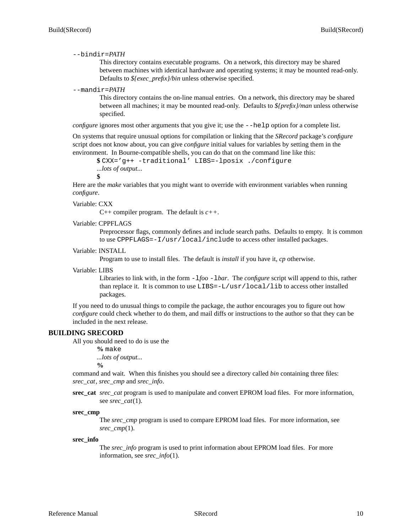## --bindir=*PA TH*

This directory contains executable programs. On a network, this directory may be shared between machines with identical hardware and operating systems; it may be mounted read-only. Defaults to *\${exec\_prefix}/bin* unless otherwise specified.

# --mandir=*PA TH*

This directory contains the on-line manual entries. On a network, this directory may be shared between all machines; it may be mounted read-only. Defaults to *\${prefix}/man* unless otherwise specified.

*configure* ignores most other arguments that you give it; use the  $-\text{help}$  option for a complete list.

On systems that require unusual options for compilation or linking that the *SRecord* package's *configure* script does not know about, you can give *configure* initial values for variables by setting them in the environment. In Bourne-compatible shells, you can do that on the command line like this:

```
$ CXX='g++ -traditional' LIBS=-lposix ./configure
...lots of output...
```
**\$**

Here are the *make* variables that you might want to override with environment variables when running *configure*.

## Variable: CXX

C++ compiler program. The default is *c++*.

#### Variable: CPPFLAGS

Preprocessor flags, commonly defines and include search paths. Defaults to empty. It is common to use CPPFLAGS=-I/usr/local/include to access other installed packages.

## Variable: INSTALL

Program to use to install files. The default is *install* if you have it, *cp* otherwise.

#### Variable: LIBS

Libraries to link with, in the form -l*foo* -l*bar*. The *configure* script will append to this, rather than replace it. It is common to use  $LIBS = -L/usr/local/lib$  to access other installed packages.

If you need to do unusual things to compile the package, the author encourages you to figure out how *configure* could check whether to do them, and mail diffs or instructions to the author so that they can be included in the next release.

## **BUILDING SRECORD**

All you should need to do is use the

**%** make *...lots of output...*

**%**

command and wait. When this finishes you should see a directory called *bin* containing three files: *srec\_cat*, *srec\_cmp* and *srec\_info*.

## **srec\_cat** *srec\_cat* program is used to manipulate and convert EPROM load files. For more information, see *srec\_cat*(1).

#### **srec\_cmp**

The *srec\_cmp* program is used to compare EPROM load files. For more information, see *srec\_cmp*(1).

#### **srec\_info**

The *srec\_info* program is used to print information about EPROM load files. For more information, see *srec\_info*(1).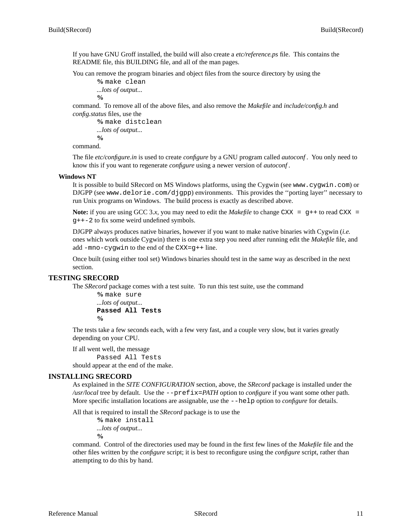If you have GNU Groff installed, the build will also create a *etc/reference.ps* file. This contains the README file, this BUILDING file, and all of the man pages.

You can remove the program binaries and object files from the source directory by using the

```
% make clean
...lots of output...
%
```
command. To remove all of the above files, and also remove the *Makefile* and *include/config.h* and *config.status* files, use the

```
% make distclean
...lots of output...
%
```
command.

The file *etc/configure.in* is used to create *configure* by a GNU program called *autoconf*. You only need to know this if you want to regenerate *configure* using a newer version of *autoconf*.

#### **Windows NT**

It is possible to build SRecord on MS Windows platforms, using the Cygwin (see www.cygwin.com) or DJGPP (see www.delorie.com/djgpp) environments. This provides the ''porting layer'' necessary to run Unix programs on Windows. The build process is exactly as described above.

**Note:** if you are using GCC 3.x, you may need to edit the *Makefile* to change CXX =  $g++$  to read CXX = g++-2 to fix some weird undefined symbols.

DJGPP always produces native binaries, however if you want to make native binaries with Cygwin (*i.e.* ones which work outside Cygwin) there is one extra step you need after running edit the *Makefile* file, and add -mno-cygwin to the end of the CXX=g++ line.

Once built (using either tool set) Windows binaries should test in the same way as described in the next section.

## **TESTING SRECORD**

The *SRecord* package comes with a test suite. To run this test suite, use the command

**%** make sure *...lots of output...* **Passed All Tests %**

The tests take a few seconds each, with a few very fast, and a couple very slow, but it varies greatly depending on your CPU.

If all went well, the message Passed All Tests should appear at the end of the make.

## **INSTALLING SRECORD**

As explained in the *SITE CONFIGURATION* section, above, the *SRecord* package is installed under the */usr/local* tree by default. Use the --prefix=*PA TH* option to *configure* if you want some other path. More specific installation locations are assignable, use the --help option to *configure* for details.

All that is required to install the *SRecord* package is to use the

**%** make install *...lots of output...* **%**

command. Control of the directories used may be found in the first few lines of the *Makefile* file and the other files written by the *configure* script; it is best to reconfigure using the *configure* script, rather than attempting to do this by hand.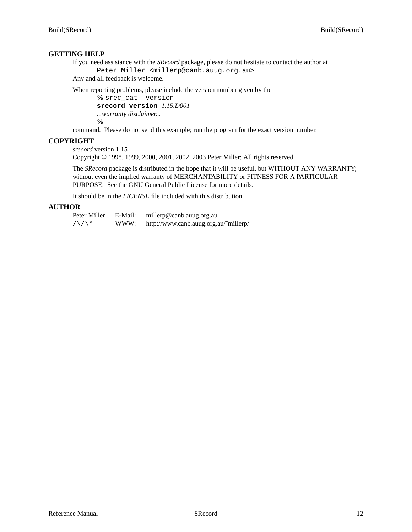# **GETTING HELP**

If you need assistance with the *SRecord* package, please do not hesitate to contact the author at Peter Miller <millerp@canb.auug.org.au>

Any and all feedback is welcome.

When reporting problems, please include the version number given by the

**%** srec\_cat -version **srecord version** *1.15.D001 ...warranty disclaimer...*

**%**

command. Please do not send this example; run the program for the exact version number.

# **COPYRIGHT**

*srecord* version 1.15

Copyright © 1998, 1999, 2000, 2001, 2002, 2003 Peter Miller; All rights reserved.

The *SRecord* package is distributed in the hope that it will be useful, but WITHOUT ANY WARRANTY; without even the implied warranty of MERCHANTABILITY or FITNESS FOR A PARTICULAR PURPOSE. See the GNU General Public License for more details.

It should be in the *LICENSE* file included with this distribution.

# **AUTHOR**

| Peter Miller | E-Mail: | millerp@canb.auug.org.au              |
|--------------|---------|---------------------------------------|
| /\/\*        | WWW:    | http://www.canb.auug.org.au/~millerp/ |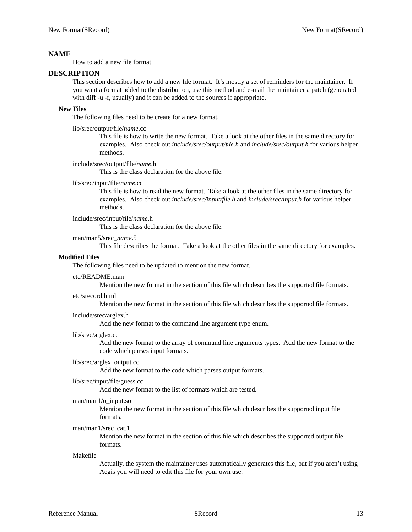# **NAME**

How to add a new file format

## **DESCRIPTION**

This section describes how to add a new file format. It's mostly a set of reminders for the maintainer. If you want a format added to the distribution, use this method and e-mail the maintainer a patch (generated with diff -u -r, usually) and it can be added to the sources if appropriate.

## **New Files**

The following files need to be create for a new format.

## lib/srec/output/file/*name*.cc

This file is how to write the new format. Take a look at the other files in the same directory for examples. Also check out *include/srec/output/file.h* and *include/srec/output.h* for various helper methods.

## include/srec/output/file/*name*.h

This is the class declaration for the above file.

## lib/srec/input/file/*name*.cc

This file is how to read the new format. Take a look at the other files in the same directory for examples. Also check out *include/srec/input/file.h* and *include/srec/input.h* for various helper methods.

# include/srec/input/file/*name*.h

This is the class declaration for the above file.

## man/man5/srec\_*name*.5

This file describes the format. Take a look at the other files in the same directory for examples.

## **Modified Files**

The following files need to be updated to mention the new format.

#### etc/README.man

Mention the new format in the section of this file which describes the supported file formats.

#### etc/srecord.html

Mention the new format in the section of this file which describes the supported file formats.

## include/srec/arglex.h

Add the new format to the command line argument type enum.

#### lib/srec/arglex.cc

Add the new format to the array of command line arguments types. Add the new format to the code which parses input formats.

# lib/srec/arglex\_output.cc

Add the new format to the code which parses output formats.

## lib/srec/input/file/guess.cc

Add the new format to the list of formats which are tested.

#### man/man1/o\_input.so

Mention the new format in the section of this file which describes the supported input file formats.

## man/man1/srec\_cat.1

Mention the new format in the section of this file which describes the supported output file formats.

#### Makefile

Actually, the system the maintainer uses automatically generates this file, but if you aren't using Aegis you will need to edit this file for your own use.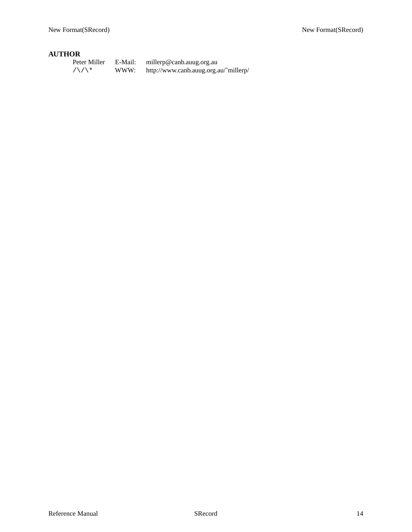# **AUTHOR**

| Peter Miller                | E-Mail: | millerp@canb.auug.org.au              |
|-----------------------------|---------|---------------------------------------|
| $/ \setminus / \setminus *$ | WWW:    | http://www.canb.auug.org.au/~millerp/ |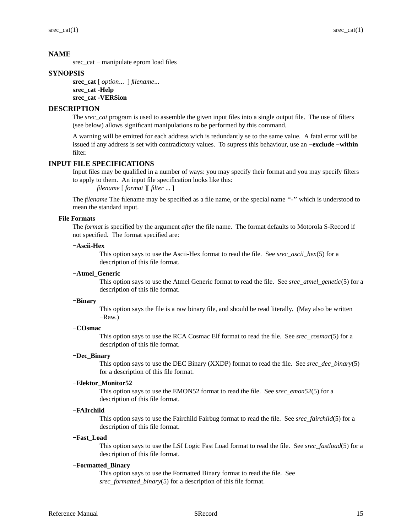# **NAME**

srec\_cat − manipulate eprom load files

# **SYNOPSIS**

**srec\_cat** [ *option*... ] *filename*... **srec\_cat -Help srec\_cat -VERSion**

# **DESCRIPTION**

The *srec\_cat* program is used to assemble the given input files into a single output file. The use of filters (see below) allows significant manipulations to be performed by this command.

A warning will be emitted for each address wich is redundantly se to the same value. A fatal error will be issued if any address is set with contradictory values. To supress this behaviour, use an **−exclude −within** filter.

# **INPUT FILE SPECIFICATIONS**

Input files may be qualified in a number of ways: you may specify their format and you may specify filters to apply to them. An input file specification looks like this:

*filename* [ *format* ][ *filter* ... ]

The *filename* The filename may be specified as a file name, or the special name "-" which is understood to mean the standard input.

# **File Formats**

The *format* is specified by the argument *after* the file name. The format defaults to Motorola S-Record if not specified. The format specified are:

## **−Ascii-Hex**

This option says to use the Ascii-Hex format to read the file. See *srec\_ascii\_hex*(5) for a description of this file format.

# **−Atmel\_Generic**

This option says to use the Atmel Generic format to read the file. See *srec\_atmel\_genetic*(5) for a description of this file format.

## **−Binary**

This option says the file is a raw binary file, and should be read literally. (May also be written −Raw.)

## **−COsmac**

This option says to use the RCA Cosmac Elf format to read the file. See *srec\_cosmac*(5) for a description of this file format.

## **−Dec\_Binary**

This option says to use the DEC Binary (XXDP) format to read the file. See *srec\_dec\_binary*(5) for a description of this file format.

## **−Elektor\_Monitor52**

This option says to use the EMON52 format to read the file. See *srec\_emon52*(5) for a description of this file format.

## **−FAIrchild**

This option says to use the Fairchild Fairbug format to read the file. See *srec\_fairchild*(5) for a description of this file format.

#### **−Fast\_Load**

This option says to use the LSI Logic Fast Load format to read the file. See *srec\_fastload*(5) for a description of this file format.

# **−Formatted\_Binary**

This option says to use the Formatted Binary format to read the file. See *srec\_formatted\_binary*(5) for a description of this file format.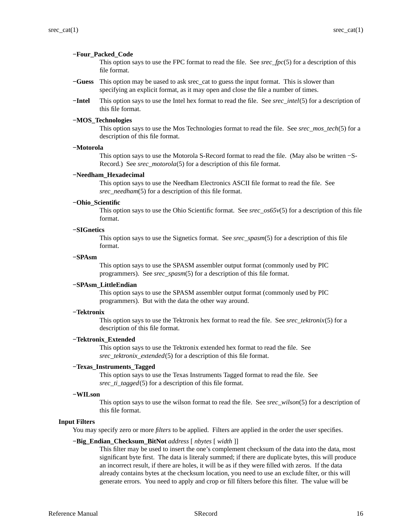#### **−Four\_Packed\_Code**

This option says to use the FPC format to read the file. See *srec\_fpc*(5) for a description of this file format.

- **−Guess** This option may be uased to ask srec\_cat to guess the input format. This is slower than specifying an explicit format, as it may open and close the file a number of times.
- **−Intel** This option says to use the Intel hex format to read the file. See *srec\_intel*(5) for a description of this file format.

#### **−MOS\_Technologies**

This option says to use the Mos Technologies format to read the file. See *srec\_mos\_tech*(5) for a description of this file format.

## **−Motorola**

This option says to use the Motorola S-Record format to read the file. (May also be written −S-Record.) See *srec\_motorola*(5) for a description of this file format.

#### **−Needham\_Hexadecimal**

This option says to use the Needham Electronics ASCII file format to read the file. See *srec\_needham*(5) for a description of this file format.

## **−Ohio\_Scientific**

This option says to use the Ohio Scientific format. See *srec\_os65v*(5) for a description of this file format.

#### **−SIGnetics**

This option says to use the Signetics format. See *srec\_spasm*(5) for a description of this file format.

#### **−SPAsm**

This option says to use the SPASM assembler output format (commonly used by PIC programmers). See *srec\_spasm*(5) for a description of this file format.

#### **−SPAsm\_LittleEndian**

This option says to use the SPASM assembler output format (commonly used by PIC programmers). But with the data the other way around.

## **−Tektronix**

This option says to use the Tektronix hex format to read the file. See *srec\_tektronix*(5) for a description of this file format.

#### **−Tektronix\_Extended**

This option says to use the Tektronix extended hex format to read the file. See *srec\_tektronix\_extended*(5) for a description of this file format.

## **−Texas\_Instruments\_Tagged**

This option says to use the Texas Instruments Tagged format to read the file. See *srec\_ti\_tagged*(5) for a description of this file format.

## **−WILson**

This option says to use the wilson format to read the file. See *srec\_wilson*(5) for a description of this file format.

## **Input Filters**

You may specify zero or more *filters* to be applied. Filters are applied in the order the user specifies.

#### **−Big\_Endian\_Checksum\_BitNot** *address* [ *nbytes* [ *width* ]]

This filter may be used to insert the one's complement checksum of the data into the data, most significant byte first. The data is literaly summed; if there are duplicate bytes, this will produce an incorrect result, if there are holes, it will be as if they were filled with zeros. If the data already contains bytes at the checksum location, you need to use an exclude filter, or this will generate errors. You need to apply and crop or fill filters before this filter. The value will be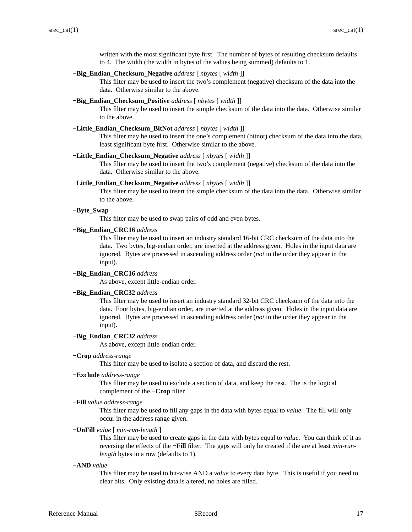written with the most significant byte first. The number of bytes of resulting checksum defaults to 4. The width (the width in bytes of the values being summed) defaults to 1.

## **−Big\_Endian\_Checksum\_Negative** *address* [ *nbytes* [ *width* ]]

This filter may be used to insert the two's complement (negative) checksum of the data into the data. Otherwise similar to the above.

## **−Big\_Endian\_Checksum\_Positive** *address* [ *nbytes* [ *width* ]]

This filter may be used to insert the simple checksum of the data into the data. Otherwise similar to the above.

## **−Little\_Endian\_Checksum\_BitNot** *address* [ *nbytes* [ *width* ]]

This filter may be used to insert the one's complement (bitnot) checksum of the data into the data, least significant byte first. Otherwise similar to the above.

#### **−Little\_Endian\_Checksum\_Negative** *address* [ *nbytes* [ *width* ]]

This filter may be used to insert the two's complement (negative) checksum of the data into the data. Otherwise similar to the above.

#### **−Little\_Endian\_Checksum\_Negative** *address* [ *nbytes* [ *width* ]]

This filter may be used to insert the simple checksum of the data into the data. Otherwise similar to the above.

## **−Byte\_Swap**

This filter may be used to swap pairs of odd and even bytes.

## **−Big\_Endian\_CRC16** *address*

This filter may be used to insert an industry standard 16-bit CRC checksum of the data into the data. Two bytes, big-endian order, are inserted at the address given. Holes in the input data are ignored. Bytes are processed in ascending address order (*not* in the order they appear in the input).

#### **−Big\_Endian\_CRC16** *address*

As above, except little-endian order.

## **−Big\_Endian\_CRC32** *address*

This filter may be used to insert an industry standard 32-bit CRC checksum of the data into the data. Four bytes, big-endian order, are inserted at the address given. Holes in the input data are ignored. Bytes are processed in ascending address order (*not* in the order they appear in the input).

#### **−Big\_Endian\_CRC32** *address*

As above, except little-endian order.

**−Crop** *address-range*

This filter may be used to isolate a section of data, and discard the rest.

## **−Exclude** *address-range*

This filter may be used to exclude a section of data, and keep the rest. The is the logical complement of the **−Crop** filter.

**−Fill** *value address-range*

This filter may be used to fill any gaps in the data with bytes equal to *value*. The fill will only occur in the address range given.

**−UnFill** *value* [ *min-run-length* ]

This filter may be used to create gaps in the data with bytes equal to *value*. You can think of it as reversing the effects of the **−Fill** filter. The gaps will only be created if the are at least *min-runlength* bytes in a row (defaults to 1).

#### **−AND** *value*

This filter may be used to bit-wise AND a *value* to every data byte. This is useful if you need to clear bits. Only existing data is altered, no holes are filled.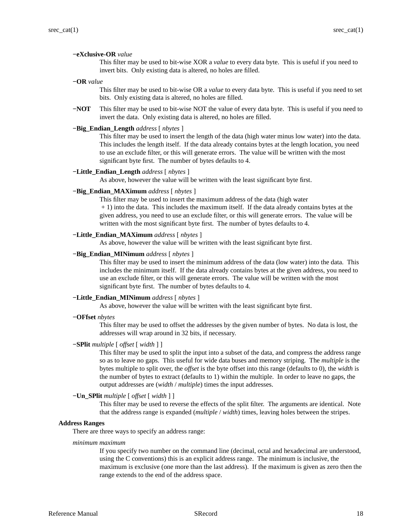#### **−eXclusive-OR** *value*

This filter may be used to bit-wise XOR a *value* to every data byte. This is useful if you need to invert bits. Only existing data is altered, no holes are filled.

**−OR** *value*

This filter may be used to bit-wise OR a *value* to every data byte. This is useful if you need to set bits. Only existing data is altered, no holes are filled.

**−NOT** This filter may be used to bit-wise NOT the value of every data byte. This is useful if you need to invert the data. Only existing data is altered, no holes are filled.

## **−Big\_Endian\_Length** *address* [ *nbytes* ]

This filter may be used to insert the length of the data (high water minus low water) into the data. This includes the length itself. If the data already contains bytes at the length location, you need to use an exclude filter, or this will generate errors. The value will be written with the most significant byte first. The number of bytes defaults to 4.

#### **−Little\_Endian\_Length** *address* [ *nbytes* ]

As above, however the value will be written with the least significant byte first.

## **−Big\_Endian\_MAXimum** *address* [ *nbytes* ]

This filter may be used to insert the maximum address of the data (high water

+ 1) into the data. This includes the maximum itself. If the data already contains bytes at the given address, you need to use an exclude filter, or this will generate errors. The value will be written with the most significant byte first. The number of bytes defaults to 4.

## **−Little\_Endian\_MAXimum** *address* [ *nbytes* ]

As above, however the value will be written with the least significant byte first.

## **−Big\_Endian\_MINimum** *address* [ *nbytes* ]

This filter may be used to insert the minimum address of the data (low water) into the data. This includes the minimum itself. If the data already contains bytes at the given address, you need to use an exclude filter, or this will generate errors. The value will be written with the most significant byte first. The number of bytes defaults to 4.

#### **−Little\_Endian\_MINimum** *address* [ *nbytes* ]

As above, however the value will be written with the least significant byte first.

**−OFfset** *nbytes*

This filter may be used to offset the addresses by the given number of bytes. No data is lost, the addresses will wrap around in 32 bits, if necessary.

## **−SPlit** *multiple* [ *offset* [ *width* ] ]

This filter may be used to split the input into a subset of the data, and compress the address range so as to leave no gaps. This useful for wide data buses and memory striping. The *multiple* is the bytes multiple to split over, the *offset* is the byte offset into this range (defaults to 0), the *width* is the number of bytes to extract (defaults to 1) within the multiple. In order to leave no gaps, the output addresses are (*width* / *multiple*) times the input addresses.

## **−Un\_SPlit** *multiple* [ *offset* [ *width* ] ]

This filter may be used to reverse the effects of the split filter. The arguments are identical. Note that the address range is expanded (*multiple* / *width*) times, leaving holes between the stripes.

#### **Address Ranges**

There are three ways to specify an address range:

*minimum maximum*

If you specify two number on the command line (decimal, octal and hexadecimal are understood, using the C conventions) this is an explicit address range. The minimum is inclusive, the maximum is exclusive (one more than the last address). If the maximum is given as zero then the range extends to the end of the address space.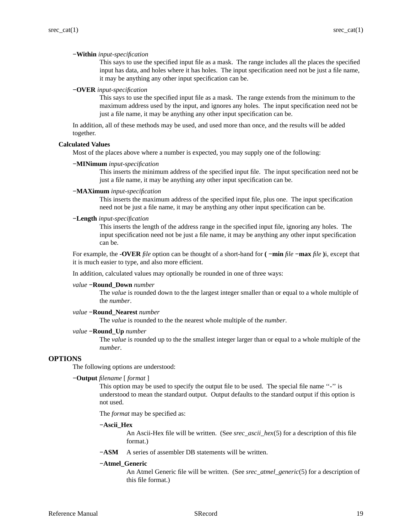#### **−Within** *input-specification*

This says to use the specified input file as a mask. The range includes all the places the specified input has data, and holes where it has holes. The input specification need not be just a file name, it may be anything any other input specification can be.

#### **−OVER** *input-specification*

This says to use the specified input file as a mask. The range extends from the minimum to the maximum address used by the input, and ignores any holes. The input specification need not be just a file name, it may be anything any other input specification can be.

In addition, all of these methods may be used, and used more than once, and the results will be added together.

#### **Calculated Values**

Most of the places above where a number is expected, you may supply one of the following:

#### **−MINimum** *input-specification*

This inserts the minimum address of the specified input file. The input specification need not be just a file name, it may be anything any other input specification can be.

## **−MAXimum** *input-specification*

This inserts the maximum address of the specified input file, plus one. The input specification need not be just a file name, it may be anything any other input specification can be.

## **−Length** *input-specification*

This inserts the length of the address range in the specified input file, ignoring any holes. The input specification need not be just a file name, it may be anything any other input specification can be.

For example, the **-OVER** *file* option can be thought of a short-hand for **( −min** *file* **−max** *file* **)**i, except that it is much easier to type, and also more efficient.

In addition, calculated values may optionally be rounded in one of three ways:

#### *value* **−Round\_Down** *number*

The *value* is rounded down to the the largest integer smaller than or equal to a whole multiple of the *number*.

## *value* **−Round\_Nearest** *number*

The *value* is rounded to the the nearest whole multiple of the *number*.

#### *value* **−Round\_Up** *number*

The *value* is rounded up to the the smallest integer larger than or equal to a whole multiple of the *number*.

## **OPTIONS**

The following options are understood:

## **−Output** *filename* [ *format* ]

This option may be used to specify the output file to be used. The special file name "-" is understood to mean the standard output. Output defaults to the standard output if this option is not used.

The *format* may be specified as:

#### **−Ascii\_Hex**

An Ascii-Hex file will be written. (See *srec\_ascii\_hex*(5) for a description of this file format.)

**−ASM** A series of assembler DB statements will be written.

#### **−Atmel\_Generic**

An Atmel Generic file will be written. (See *srec\_atmel\_generic*(5) for a description of this file format.)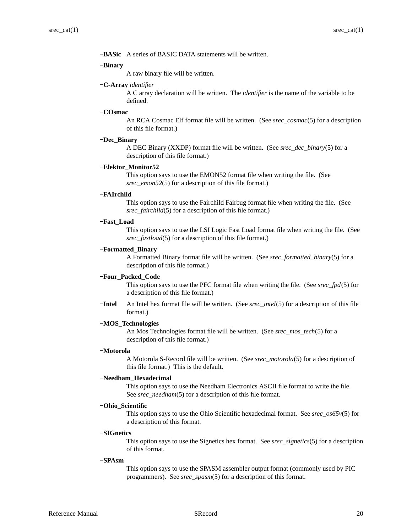**−BASic** A series of BASIC DATA statements will be written.

#### **−Binary**

A raw binary file will be written.

## **−C-Array** *identifier*

ACarray declaration will be written. The *identifier* is the name of the variable to be defined.

## **−COsmac**

An RCA Cosmac Elf format file will be written. (See *srec\_cosmac*(5) for a description of this file format.)

#### **−Dec\_Binary**

A DEC Binary (XXDP) format file will be written. (See *srec\_dec\_binary*(5) for a description of this file format.)

## **−Elektor\_Monitor52**

This option says to use the EMON52 format file when writing the file. (See *srec\_emon52*(5) for a description of this file format.)

## **−FAIrchild**

This option says to use the Fairchild Fairbug format file when writing the file. (See *srec\_fairchild*(5) for a description of this file format.)

## **−Fast\_Load**

This option says to use the LSI Logic Fast Load format file when writing the file. (See *srec\_fastload*(5) for a description of this file format.)

## **−Formatted\_Binary**

A Formatted Binary format file will be written. (See *srec\_formatted\_binary*(5) for a description of this file format.)

## **−Four\_Packed\_Code**

This option says to use the PFC format file when writing the file. (See *srec\_fpd*(5) for a description of this file format.)

**−Intel** An Intel hex format file will be written. (See *srec\_intel*(5) for a description of this file format.)

## **−MOS\_Technologies**

An Mos Technologies format file will be written. (See *srec\_mos\_tech*(5) for a description of this file format.)

## **−Motorola**

A Motorola S-Record file will be written. (See *srec\_motorola*(5) for a description of this file format.) This is the default.

## **−Needham\_Hexadecimal**

This option says to use the Needham Electronics ASCII file format to write the file. See *srec\_needham*(5) for a description of this file format.

#### **−Ohio\_Scientific**

This option says to use the Ohio Scientific hexadecimal format. See *srec\_os65v*(5) for a description of this format.

## **−SIGnetics**

This option says to use the Signetics hex format. See *srec\_signetics*(5) for a description of this format.

## **−SPAsm**

This option says to use the SPASM assembler output format (commonly used by PIC programmers). See *srec\_spasm*(5) for a description of this format.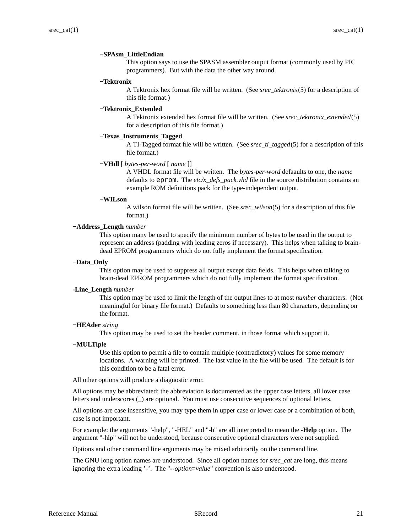## **−SPAsm\_LittleEndian**

This option says to use the SPASM assembler output format (commonly used by PIC programmers). But with the data the other way around.

#### **−Tektronix**

A Tektronix hex format file will be written. (See *srec\_tektronix*(5) for a description of this file format.)

## **−Tektronix\_Extended**

A Tektronix extended hex format file will be written. (See *srec\_tektronix\_extended*(5) for a description of this file format.)

## **−Texas\_Instruments\_Tagged**

A TI-Tagged format file will be written. (See *srec\_ti\_tagged*(5) for a description of this file format.)

#### **−VHdl** [ *bytes-per-word* [ *name* ]]

A VHDL format file will be written. The *bytes-per-word* defaaults to one, the *name* defaults to eprom. The *etc/x\_defs\_pack.vhd* file in the source distribution contains an example ROM definitions pack for the type-independent output.

## **−WILson**

A wilson format file will be written. (See *srec\_wilson*(5) for a description of this file format.)

#### **−Address\_Length** *number*

This option many be used to specify the minimum number of bytes to be used in the output to represent an address (padding with leading zeros if necessary). This helps when talking to braindead EPROM programmers which do not fully implement the format specification.

#### **−Data\_Only**

This option may be used to suppress all output except data fields. This helps when talking to brain-dead EPROM programmers which do not fully implement the format specification.

#### **-Line\_Length** *number*

This option may be used to limit the length of the output lines to at most *number* characters. (Not meaningful for binary file format.) Defaults to something less than 80 characters, depending on the format.

#### **−HEAder** *string*

This option may be used to set the header comment, in those format which support it.

#### **−MULTiple**

Use this option to permit a file to contain multiple (contradictory) values for some memory locations. A warning will be printed. The last value in the file will be used. The default is for this condition to be a fatal error.

All other options will produce a diagnostic error.

All options may be abbreviated; the abbreviation is documented as the upper case letters, all lower case letters and underscores (\_) are optional. You must use consecutive sequences of optional letters.

All options are case insensitive, you may type them in upper case or lower case or a combination of both, case is not important.

For example: the arguments "-help", "-HEL" and "-h" are all interpreted to mean the **-Help** option. The argument "-hlp" will not be understood, because consecutive optional characters were not supplied.

Options and other command line arguments may be mixed arbitrarily on the command line.

The GNU long option names are understood. Since all option names for *srec\_cat* are long, this means ignoring the extra leading '-'. The "**--***option***=***value*" convention is also understood.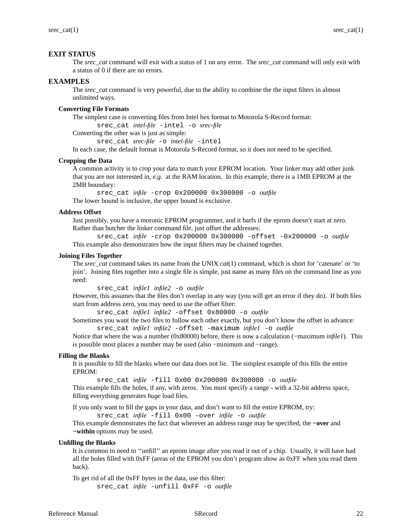# **EXIT STATUS**

The *srec\_cat* command will exit with a status of 1 on any error. The *srec\_cat* command will only exit with a status of 0 if there are no errors.

## **EXAMPLES**

The *srec\_cat* command is very powerful, due to the ability to combine the the input filters in almost unlimited ways.

## **Converting File Formats**

The simplest case is converting files from Intel hex format to Motorola S-Record format:

srec\_cat *intel-file* -intel -o *srec-file*

Converting the other was is just as simple:

srec\_cat *srec-file* -o *intel-file* -intel

In each case, the default format is Motorola S-Record format, so it does not need to be specified.

#### **Cropping the Data**

A common activity is to crop your data to match your EPROM location. Your linker may add other junk that you are not interested in, *e.g.* at the RAM location. In this example, there is a 1MB EPROM at the 2MB boundary:

srec\_cat *infile* -crop 0x200000 0x300000 -o *outfile*

The lower bound is inclusive, the upper bound is exclusive.

#### **Address Offset**

Just possibly, you have a moronic EPROM programmer, and it barfs if the eprom doesn't start at zero. Rather than butcher the linker command file, just offset the addresses:

srec\_cat *infile* -crop 0x200000 0x300000 -offset -0x200000 -o *outfile* This example also demonstrates how the input filters may be chained together.

#### **Joining Files Together**

The *srec\_cat* command takes its name from the UNIX *cat*(1) command, which is short for 'catenate' or 'to join'. Joining files together into a single file is simple, just name as many files on the command line as you need:

```
srec_cat infile1 infile2 -o outfile
```
However, this assumes that the files don't overlap in any way (you will get an error if they do). If both files start from address zero, you may need to use the offset filter:

srec\_cat *infile1 infile2* -offset 0x80000 -o *outfile*

Sometimes you want the two files to follow each other exactly, but you don't know the offset in advance: srec\_cat *infile1 infile2* -offset -maximum *infile1* -o *outfile*

Notice that where the was a number (0x80000) before, there is nowacalculation (−maximum *infile1*). This is possible most places a number may be used (also −minimum and −range).

#### **Filling the Blanks**

It is possible to fill the blanks where our data does not lie. The simplest example of this fills the entire EPROM:

srec\_cat *infile* -fill 0x00 0x200000 0x300000 -o *outfile*

This example fills the holes, if any, with zeros. You must specify a range - with a 32-bit address space, filling everything generates *huge* load files.

If you only want to fill the gaps in your data, and don't want to fill the entire EPROM, try:

srec\_cat *infile* -fill 0x00 -over *infile* -o *outfile*

This example demonstrates the fact that wherever an address range may be specified, the **−over** and **−within** options may be used.

## **Unfilling the Blanks**

It is common to need to ''unfill'' an eprom image after you read it out of a chip. Usually, it will have had all the holes filled with 0xFF (areas of the EPROM you don't program show as 0xFF when you read them back).

To get rid of all the 0xFF bytes in the data, use this filter: srec\_cat *infile* -unfill 0xFF -o *outfile*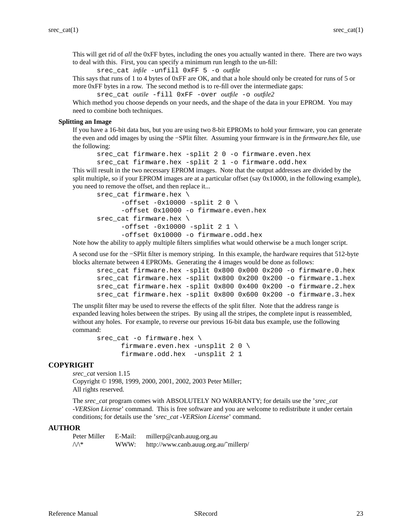This will get rid of *all* the 0xFF bytes, including the ones you actually wanted in there. There are two ways to deal with this. First, you can specify a minimum run length to the un-fill:

srec\_cat *infile* -unfill 0xFF 5 -o *outfile*

This says that runs of 1 to 4 bytes of 0xFF are OK, and that a hole should only be created for runs of 5 or more 0xFF bytes in a row. The second method is to re-fill over the intermediate gaps:

srec\_cat *outile* -fill 0xFF -over *outfile* -o *outfile2*

Which method you choose depends on your needs, and the shape of the data in your EPROM. You may need to combine both techniques.

## **Splitting an Image**

If you have a 16-bit data bus, but you are using two 8-bit EPROMs to hold your firmware, you can generate the even and odd images by using the −SPlit filter. Assuming your firmware is in the *firmware.hex* file, use the following:

```
srec cat firmware.hex -split 2 0 -o firmware.even.hex
srec_cat firmware.hex -split 2 1 -o firmware.odd.hex
```
This will result in the two necessary EPROM images. Note that the output addresses are divided by the split multiple, so if your EPROM images are at a particular offset (say  $0x10000$ , in the following example), you need to remove the offset, and then replace it...

```
srec cat firmware.hex \setminus-offset -0x10000 -split 2 0 \setminus-offset 0x10000 -o firmware.even.hex
srec_cat firmware.hex \
      -offset -0x10000 -split 2 1 \setminus-offset 0x10000 -o firmware.odd.hex
```
Note how the ability to apply multiple filters simplifies what would otherwise be a much longer script.

A second use for the −SPlit filter is memory striping. In this example, the hardware requires that 512-byte blocks alternate between 4 EPROMs. Generating the 4 images would be done as follows:

```
srec cat firmware.hex -split 0x800 0x000 0x200 -o firmware.0.hex
srec cat firmware.hex -split 0x800 0x200 0x200 -o firmware.1.hex
srec_cat firmware.hex -split 0x800 0x400 0x200 -o firmware.2.hex
srec_cat firmware.hex -split 0x800 0x600 0x200 -o firmware.3.hex
```
The unsplit filter may be used to reverse the effects of the split filter. Note that the address range is expanded leaving holes between the stripes. By using all the stripes, the complete input is reassembled, without any holes. For example, to reverse our previous 16-bit data bus example, use the following command:

```
srec cat -o firmware.hex \setminusfirmware.even.hex -unsplit 2 0 \backslashfirmware.odd.hex -unsplit 2 1
```
## **COPYRIGHT**

*srec\_cat* version 1.15 Copyright © 1998, 1999, 2000, 2001, 2002, 2003 Peter Miller; All rights reserved.

The *srec\_cat* program comes with ABSOLUTELY NO WARRANTY; for details use the '*srec\_cat -VERSion License*' command. This is free software and you are welcome to redistribute it under certain conditions; for details use the '*srec\_cat -VERSion License*' command.

# **AUTHOR**

| Peter Miller | E-Mail: | millerp@canb.auug.org.au              |
|--------------|---------|---------------------------------------|
| ∕∖\*         | WWW:    | http://www.canb.auug.org.au/~millerp/ |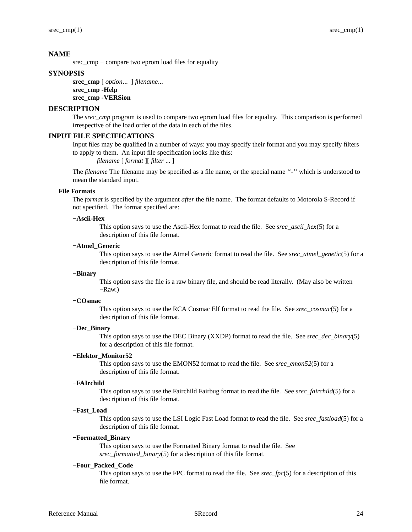# **NAME**

srec\_cmp – compare two eprom load files for equality

# **SYNOPSIS**

**srec\_cmp** [ *option*... ] *filename*... **srec\_cmp -Help srec\_cmp -VERSion**

## **DESCRIPTION**

The *srec\_cmp* program is used to compare two eprom load files for equality. This comparison is performed irrespective of the load order of the data in each of the files.

## **INPUT FILE SPECIFICATIONS**

Input files may be qualified in a number of ways: you may specify their format and you may specify filters to apply to them. An input file specification looks like this:

*filename* [ *format* ][ *filter* ... ]

The *filename* The filename may be specified as a file name, or the special name "-" which is understood to mean the standard input.

#### **File Formats**

The *format* is specified by the argument *after* the file name. The format defaults to Motorola S-Record if not specified. The format specified are:

# **−Ascii-Hex**

This option says to use the Ascii-Hex format to read the file. See *srec\_ascii\_hex*(5) for a description of this file format.

## **−Atmel\_Generic**

This option says to use the Atmel Generic format to read the file. See *srec\_atmel\_genetic*(5) for a description of this file format.

## **−Binary**

This option says the file is a raw binary file, and should be read literally. (May also be written −Raw.)

#### **−COsmac**

This option says to use the RCA Cosmac Elf format to read the file. See *srec\_cosmac*(5) for a description of this file format.

## **−Dec\_Binary**

This option says to use the DEC Binary (XXDP) format to read the file. See *srec\_dec\_binary*(5) for a description of this file format.

## **−Elektor\_Monitor52**

This option says to use the EMON52 format to read the file. See *srec\_emon52*(5) for a description of this file format.

#### **−FAIrchild**

This option says to use the Fairchild Fairbug format to read the file. See *srec\_fairchild*(5) for a description of this file format.

## **−Fast\_Load**

This option says to use the LSI Logic Fast Load format to read the file. See *srec\_fastload*(5) for a description of this file format.

#### **−Formatted\_Binary**

This option says to use the Formatted Binary format to read the file. See *srec\_formatted\_binary*(5) for a description of this file format.

#### **−Four\_Packed\_Code**

This option says to use the FPC format to read the file. See *srec\_fpc*(5) for a description of this file format.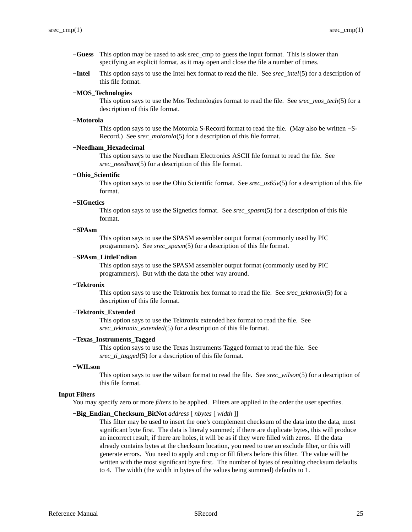- **−Guess** This option may be uased to ask srec\_cmp to guess the input format. This is slower than specifying an explicit format, as it may open and close the file a number of times.
- **−Intel** This option says to use the Intel hex format to read the file. See *srec\_intel*(5) for a description of this file format.

## **−MOS\_Technologies**

This option says to use the Mos Technologies format to read the file. See *srec\_mos\_tech*(5) for a description of this file format.

#### **−Motorola**

This option says to use the Motorola S-Record format to read the file. (May also be written −S-Record.) See *srec\_motorola*(5) for a description of this file format.

# **−Needham\_Hexadecimal**

This option says to use the Needham Electronics ASCII file format to read the file. See *srec\_needham*(5) for a description of this file format.

#### **−Ohio\_Scientific**

This option says to use the Ohio Scientific format. See *srec\_os65v*(5) for a description of this file format.

#### **−SIGnetics**

This option says to use the Signetics format. See *srec\_spasm*(5) for a description of this file format.

## **−SPAsm**

This option says to use the SPASM assembler output format (commonly used by PIC programmers). See *srec\_spasm*(5) for a description of this file format.

#### **−SPAsm\_LittleEndian**

This option says to use the SPASM assembler output format (commonly used by PIC programmers). But with the data the other way around.

#### **−Tektronix**

This option says to use the Tektronix hex format to read the file. See *srec\_tektronix*(5) for a description of this file format.

## **−Tektronix\_Extended**

This option says to use the Tektronix extended hex format to read the file. See *srec\_tektronix\_extended*(5) for a description of this file format.

#### **−Texas\_Instruments\_Tagged**

This option says to use the Texas Instruments Tagged format to read the file. See *srec\_ti\_tagged*(5) for a description of this file format.

#### **−WILson**

This option says to use the wilson format to read the file. See *srec\_wilson*(5) for a description of this file format.

## **Input Filters**

You may specify zero or more *filters* to be applied. Filters are applied in the order the user specifies.

#### **−Big\_Endian\_Checksum\_BitNot** *address* [ *nbytes* [ *width* ]]

This filter may be used to insert the one's complement checksum of the data into the data, most significant byte first. The data is literaly summed; if there are duplicate bytes, this will produce an incorrect result, if there are holes, it will be as if they were filled with zeros. If the data already contains bytes at the checksum location, you need to use an exclude filter, or this will generate errors. You need to apply and crop or fill filters before this filter. The value will be written with the most significant byte first. The number of bytes of resulting checksum defaults to 4. The width (the width in bytes of the values being summed) defaults to 1.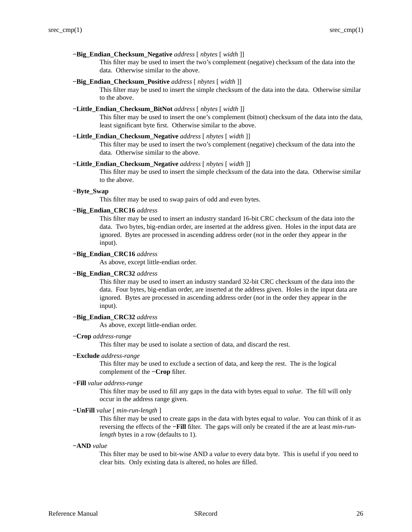## **−Big\_Endian\_Checksum\_Negative** *address* [ *nbytes* [ *width* ]]

This filter may be used to insert the two's complement (negative) checksum of the data into the data. Otherwise similar to the above.

## **−Big\_Endian\_Checksum\_Positive** *address* [ *nbytes* [ *width* ]]

This filter may be used to insert the simple checksum of the data into the data. Otherwise similar to the above.

#### **−Little\_Endian\_Checksum\_BitNot** *address* [ *nbytes* [ *width* ]]

This filter may be used to insert the one's complement (bitnot) checksum of the data into the data, least significant byte first. Otherwise similar to the above.

#### **−Little\_Endian\_Checksum\_Negative** *address* [ *nbytes* [ *width* ]]

This filter may be used to insert the two's complement (negative) checksum of the data into the data. Otherwise similar to the above.

# **−Little\_Endian\_Checksum\_Negative** *address* [ *nbytes* [ *width* ]]

This filter may be used to insert the simple checksum of the data into the data. Otherwise similar to the above.

## **−Byte\_Swap**

This filter may be used to swap pairs of odd and even bytes.

#### **−Big\_Endian\_CRC16** *address*

This filter may be used to insert an industry standard 16-bit CRC checksum of the data into the data. Two bytes, big-endian order, are inserted at the address given. Holes in the input data are ignored. Bytes are processed in ascending address order (*not* in the order they appear in the input).

# **−Big\_Endian\_CRC16** *address*

As above, except little-endian order.

#### **−Big\_Endian\_CRC32** *address*

This filter may be used to insert an industry standard 32-bit CRC checksum of the data into the data. Four bytes, big-endian order, are inserted at the address given. Holes in the input data are ignored. Bytes are processed in ascending address order (*not* in the order they appear in the input).

#### **−Big\_Endian\_CRC32** *address*

As above, except little-endian order.

#### **−Crop** *address-range*

This filter may be used to isolate a section of data, and discard the rest.

#### **−Exclude** *address-range*

This filter may be used to exclude a section of data, and keep the rest. The is the logical complement of the **−Crop** filter.

#### **−Fill** *value address-range*

This filter may be used to fill any gaps in the data with bytes equal to *value*. The fill will only occur in the address range given.

## **−UnFill** *value* [ *min-run-length* ]

This filter may be used to create gaps in the data with bytes equal to *value*. You can think of it as reversing the effects of the **−Fill** filter. The gaps will only be created if the are at least *min-runlength* bytes in a row (defaults to 1).

#### **−AND** *value*

This filter may be used to bit-wise AND a *value* to every data byte. This is useful if you need to clear bits. Only existing data is altered, no holes are filled.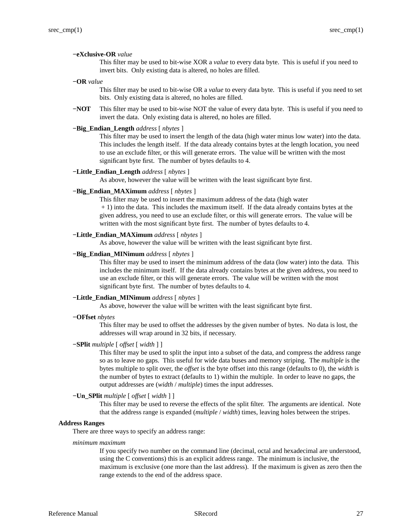## **−eXclusive-OR** *value*

This filter may be used to bit-wise XOR a *value* to every data byte. This is useful if you need to invert bits. Only existing data is altered, no holes are filled.

**−OR** *value*

This filter may be used to bit-wise OR a *value* to every data byte. This is useful if you need to set bits. Only existing data is altered, no holes are filled.

**−NOT** This filter may be used to bit-wise NOT the value of every data byte. This is useful if you need to invert the data. Only existing data is altered, no holes are filled.

## **−Big\_Endian\_Length** *address* [ *nbytes* ]

This filter may be used to insert the length of the data (high water minus low water) into the data. This includes the length itself. If the data already contains bytes at the length location, you need to use an exclude filter, or this will generate errors. The value will be written with the most significant byte first. The number of bytes defaults to 4.

## **−Little\_Endian\_Length** *address* [ *nbytes* ]

As above, however the value will be written with the least significant byte first.

## **−Big\_Endian\_MAXimum** *address* [ *nbytes* ]

This filter may be used to insert the maximum address of the data (high water

+ 1) into the data. This includes the maximum itself. If the data already contains bytes at the given address, you need to use an exclude filter, or this will generate errors. The value will be written with the most significant byte first. The number of bytes defaults to 4.

## **−Little\_Endian\_MAXimum** *address* [ *nbytes* ]

As above, however the value will be written with the least significant byte first.

## **−Big\_Endian\_MINimum** *address* [ *nbytes* ]

This filter may be used to insert the minimum address of the data (low water) into the data. This includes the minimum itself. If the data already contains bytes at the given address, you need to use an exclude filter, or this will generate errors. The value will be written with the most significant byte first. The number of bytes defaults to 4.

#### **−Little\_Endian\_MINimum** *address* [ *nbytes* ]

As above, however the value will be written with the least significant byte first.

**−OFfset** *nbytes*

This filter may be used to offset the addresses by the given number of bytes. No data is lost, the addresses will wrap around in 32 bits, if necessary.

## **−SPlit** *multiple* [ *offset* [ *width* ] ]

This filter may be used to split the input into a subset of the data, and compress the address range so as to leave no gaps. This useful for wide data buses and memory striping. The *multiple* is the bytes multiple to split over, the *offset* is the byte offset into this range (defaults to 0), the *width* is the number of bytes to extract (defaults to 1) within the multiple. In order to leave no gaps, the output addresses are (*width* / *multiple*) times the input addresses.

## **−Un\_SPlit** *multiple* [ *offset* [ *width* ] ]

This filter may be used to reverse the effects of the split filter. The arguments are identical. Note that the address range is expanded (*multiple* / *width*) times, leaving holes between the stripes.

#### **Address Ranges**

There are three ways to specify an address range:

*minimum maximum*

If you specify two number on the command line (decimal, octal and hexadecimal are understood, using the C conventions) this is an explicit address range. The minimum is inclusive, the maximum is exclusive (one more than the last address). If the maximum is given as zero then the range extends to the end of the address space.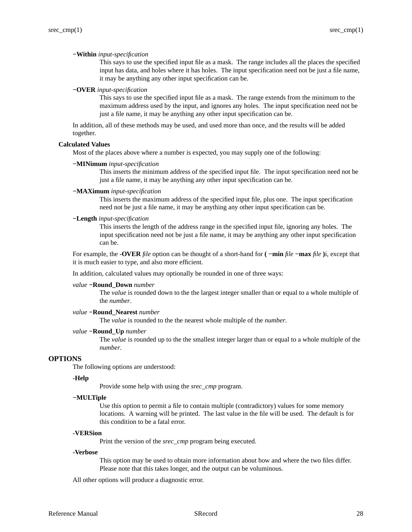#### **−Within** *input-specification*

This says to use the specified input file as a mask. The range includes all the places the specified input has data, and holes where it has holes. The input specification need not be just a file name, it may be anything any other input specification can be.

#### **−OVER** *input-specification*

This says to use the specified input file as a mask. The range extends from the minimum to the maximum address used by the input, and ignores any holes. The input specification need not be just a file name, it may be anything any other input specification can be.

In addition, all of these methods may be used, and used more than once, and the results will be added together.

#### **Calculated Values**

Most of the places above where a number is expected, you may supply one of the following:

#### **−MINimum** *input-specification*

This inserts the minimum address of the specified input file. The input specification need not be just a file name, it may be anything any other input specification can be.

#### **−MAXimum** *input-specification*

This inserts the maximum address of the specified input file, plus one. The input specification need not be just a file name, it may be anything any other input specification can be.

## **−Length** *input-specification*

This inserts the length of the address range in the specified input file, ignoring any holes. The input specification need not be just a file name, it may be anything any other input specification can be.

For example, the **-OVER** *file* option can be thought of a short-hand for **( −min** *file* **−max** *file* **)**i, except that it is much easier to type, and also more efficient.

In addition, calculated values may optionally be rounded in one of three ways:

#### *value* **−Round\_Down** *number*

The *value* is rounded down to the the largest integer smaller than or equal to a whole multiple of the *number*.

#### *value* **−Round\_Nearest** *number*

The *value* is rounded to the the nearest whole multiple of the *number*.

#### *value* **−Round\_Up** *number*

The *value* is rounded up to the the smallest integer larger than or equal to a whole multiple of the *number*.

## **OPTIONS**

The following options are understood:

#### **-Help**

Provide some help with using the *srec\_cmp* program.

#### **−MULTiple**

Use this option to permit a file to contain multiple (contradictory) values for some memory locations. A warning will be printed. The last value in the file will be used. The default is for this condition to be a fatal error.

#### **-VERSion**

Print the version of the *srec\_cmp* program being executed.

#### **-Verbose**

This option may be used to obtain more information about how and where the two files differ. Please note that this takes longer, and the output can be voluminous.

All other options will produce a diagnostic error.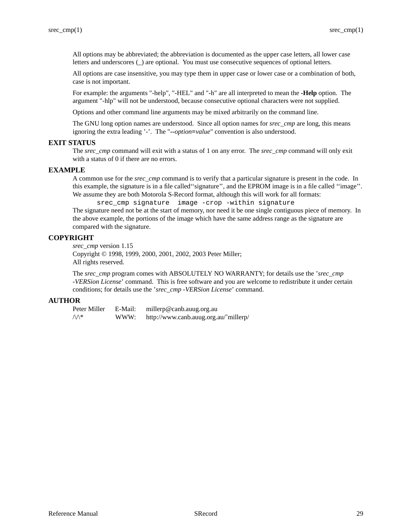All options may be abbreviated; the abbreviation is documented as the upper case letters, all lower case letters and underscores (\_) are optional. You must use consecutive sequences of optional letters.

All options are case insensitive, you may type them in upper case or lower case or a combination of both, case is not important.

For example: the arguments "-help", "-HEL" and "-h" are all interpreted to mean the **-Help** option. The argument "-hlp" will not be understood, because consecutive optional characters were not supplied.

Options and other command line arguments may be mixed arbitrarily on the command line.

The GNU long option names are understood. Since all option names for *srec\_cmp* are long, this means ignoring the extra leading '-'. The "**--***option***=***value*" convention is also understood.

## **EXIT STATUS**

The *srec\_cmp* command will exit with a status of 1 on any error. The *srec\_cmp* command will only exit with a status of 0 if there are no errors.

## **EXAMPLE**

A common use for the *srec\_cmp* command is to verify that a particular signature is present in the code. In this example, the signature is in a file called''signature'', and the EPROM image is in a file called ''image''. We assume they are both Motorola S-Record format, although this will work for all formats:

srec\_cmp signature image -crop -within signature

The signature need not be at the start of memory, nor need it be one single contiguous piece of memory. In the above example, the portions of the image which have the same address range as the signature are compared with the signature.

## **COPYRIGHT**

*srec\_cmp* version 1.15 Copyright © 1998, 1999, 2000, 2001, 2002, 2003 Peter Miller; All rights reserved.

The *srec\_cmp* program comes with ABSOLUTELY NO WARRANTY; for details use the '*srec\_cmp -VERSion License*' command. This is free software and you are welcome to redistribute it under certain conditions; for details use the '*srec\_cmp -VERSion License*' command.

# **AUTHOR**

Peter Miller E-Mail: millerp@canb.auug.org.au /\/\\* WWW: http://www.canb.auug.org.au/˜millerp/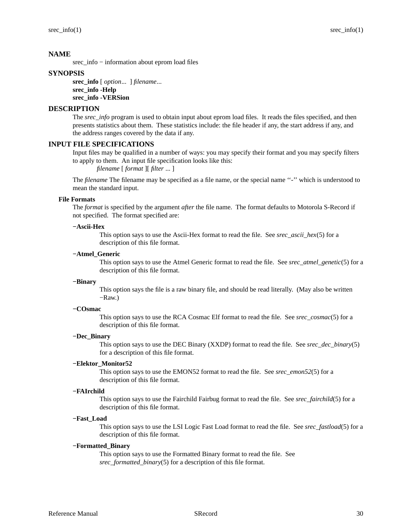srec\_info − information about eprom load files

# **SYNOPSIS**

**srec\_info** [ *option*... ] *filename*... **srec\_info -Help srec\_info -VERSion**

# **DESCRIPTION**

The *srec\_info* program is used to obtain input about eprom load files. It reads the files specified, and then presents statistics about them. These statistics include: the file header if any, the start address if any, and the address ranges covered by the data if any.

# **INPUT FILE SPECIFICATIONS**

Input files may be qualified in a number of ways: you may specify their format and you may specify filters to apply to them. An input file specification looks like this:

*filename* [ *format* ][ *filter* ... ]

The *filename* The filename may be specified as a file name, or the special name "-" which is understood to mean the standard input.

### **File Formats**

The *format* is specified by the argument *after* the file name. The format defaults to Motorola S-Record if not specified. The format specified are:

### **−Ascii-Hex**

This option says to use the Ascii-Hex format to read the file. See *srec\_ascii\_hex*(5) for a description of this file format.

### **−Atmel\_Generic**

This option says to use the Atmel Generic format to read the file. See *srec\_atmel\_genetic*(5) for a description of this file format.

### **−Binary**

This option says the file is a raw binary file, and should be read literally. (May also be written −Raw.)

## **−COsmac**

This option says to use the RCA Cosmac Elf format to read the file. See *srec\_cosmac*(5) for a description of this file format.

## **−Dec\_Binary**

This option says to use the DEC Binary (XXDP) format to read the file. See *srec\_dec\_binary*(5) for a description of this file format.

## **−Elektor\_Monitor52**

This option says to use the EMON52 format to read the file. See *srec\_emon52*(5) for a description of this file format.

## **−FAIrchild**

This option says to use the Fairchild Fairbug format to read the file. See *srec\_fairchild*(5) for a description of this file format.

### **−Fast\_Load**

This option says to use the LSI Logic Fast Load format to read the file. See *srec\_fastload*(5) for a description of this file format.

## **−Formatted\_Binary**

This option says to use the Formatted Binary format to read the file. See *srec\_formatted\_binary*(5) for a description of this file format.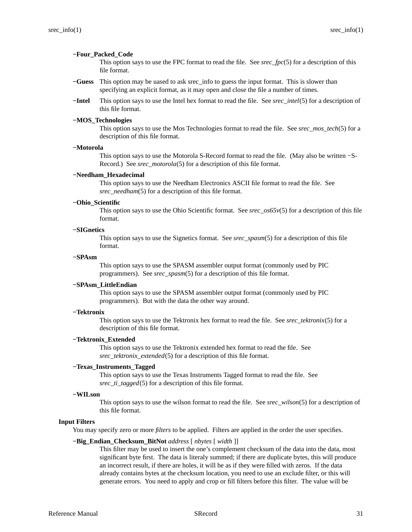### **−Four\_Packed\_Code**

This option says to use the FPC format to read the file. See *srec\_fpc*(5) for a description of this file format.

- **−Guess** This option may be uased to ask srec\_info to guess the input format. This is slower than specifying an explicit format, as it may open and close the file a number of times.
- **−Intel** This option says to use the Intel hex format to read the file. See *srec\_intel*(5) for a description of this file format.

### **−MOS\_Technologies**

This option says to use the Mos Technologies format to read the file. See *srec\_mos\_tech*(5) for a description of this file format.

# **−Motorola**

This option says to use the Motorola S-Record format to read the file. (May also be written −S-Record.) See *srec\_motorola*(5) for a description of this file format.

### **−Needham\_Hexadecimal**

This option says to use the Needham Electronics ASCII file format to read the file. See *srec\_needham*(5) for a description of this file format.

### **−Ohio\_Scientific**

This option says to use the Ohio Scientific format. See *srec\_os65v*(5) for a description of this file format.

### **−SIGnetics**

This option says to use the Signetics format. See *srec\_spasm*(5) for a description of this file format.

### **−SPAsm**

This option says to use the SPASM assembler output format (commonly used by PIC programmers). See *srec\_spasm*(5) for a description of this file format.

### **−SPAsm\_LittleEndian**

This option says to use the SPASM assembler output format (commonly used by PIC programmers). But with the data the other way around.

### **−Tektronix**

This option says to use the Tektronix hex format to read the file. See *srec\_tektronix*(5) for a description of this file format.

## **−Tektronix\_Extended**

This option says to use the Tektronix extended hex format to read the file. See *srec\_tektronix\_extended*(5) for a description of this file format.

## **−Texas\_Instruments\_Tagged**

This option says to use the Texas Instruments Tagged format to read the file. See *srec\_ti\_tagged*(5) for a description of this file format.

## **−WILson**

This option says to use the wilson format to read the file. See *srec\_wilson*(5) for a description of this file format.

## **Input Filters**

You may specify zero or more *filters* to be applied. Filters are applied in the order the user specifies.

#### **−Big\_Endian\_Checksum\_BitNot** *address* [ *nbytes* [ *width* ]]

This filter may be used to insert the one's complement checksum of the data into the data, most significant byte first. The data is literaly summed; if there are duplicate bytes, this will produce an incorrect result, if there are holes, it will be as if they were filled with zeros. If the data already contains bytes at the checksum location, you need to use an exclude filter, or this will generate errors. You need to apply and crop or fill filters before this filter. The value will be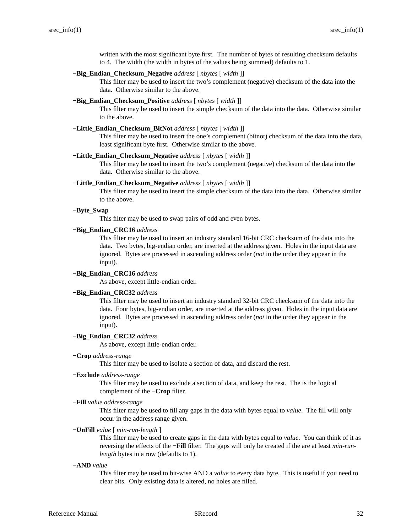written with the most significant byte first. The number of bytes of resulting checksum defaults to 4. The width (the width in bytes of the values being summed) defaults to 1.

## **−Big\_Endian\_Checksum\_Negative** *address* [ *nbytes* [ *width* ]]

This filter may be used to insert the two's complement (negative) checksum of the data into the data. Otherwise similar to the above.

## **−Big\_Endian\_Checksum\_Positive** *address* [ *nbytes* [ *width* ]]

This filter may be used to insert the simple checksum of the data into the data. Otherwise similar to the above.

### **−Little\_Endian\_Checksum\_BitNot** *address* [ *nbytes* [ *width* ]]

This filter may be used to insert the one's complement (bitnot) checksum of the data into the data, least significant byte first. Otherwise similar to the above.

### **−Little\_Endian\_Checksum\_Negative** *address* [ *nbytes* [ *width* ]]

This filter may be used to insert the two's complement (negative) checksum of the data into the data. Otherwise similar to the above.

#### **−Little\_Endian\_Checksum\_Negative** *address* [ *nbytes* [ *width* ]]

This filter may be used to insert the simple checksum of the data into the data. Otherwise similar to the above.

### **−Byte\_Swap**

This filter may be used to swap pairs of odd and even bytes.

### **−Big\_Endian\_CRC16** *address*

This filter may be used to insert an industry standard 16-bit CRC checksum of the data into the data. Two bytes, big-endian order, are inserted at the address given. Holes in the input data are ignored. Bytes are processed in ascending address order (*not* in the order they appear in the input).

### **−Big\_Endian\_CRC16** *address*

As above, except little-endian order.

### **−Big\_Endian\_CRC32** *address*

This filter may be used to insert an industry standard 32-bit CRC checksum of the data into the data. Four bytes, big-endian order, are inserted at the address given. Holes in the input data are ignored. Bytes are processed in ascending address order (*not* in the order they appear in the input).

### **−Big\_Endian\_CRC32** *address*

As above, except little-endian order.

**−Crop** *address-range*

This filter may be used to isolate a section of data, and discard the rest.

### **−Exclude** *address-range*

This filter may be used to exclude a section of data, and keep the rest. The is the logical complement of the **−Crop** filter.

**−Fill** *value address-range*

This filter may be used to fill any gaps in the data with bytes equal to *value*. The fill will only occur in the address range given.

**−UnFill** *value* [ *min-run-length* ]

This filter may be used to create gaps in the data with bytes equal to *value*. You can think of it as reversing the effects of the **−Fill** filter. The gaps will only be created if the are at least *min-runlength* bytes in a row (defaults to 1).

### **−AND** *value*

This filter may be used to bit-wise AND a *value* to every data byte. This is useful if you need to clear bits. Only existing data is altered, no holes are filled.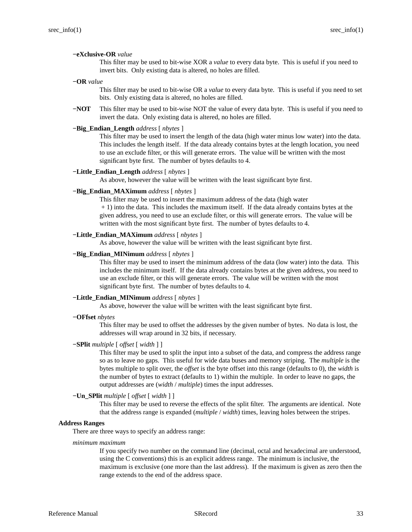### **−eXclusive-OR** *value*

This filter may be used to bit-wise XOR a *value* to every data byte. This is useful if you need to invert bits. Only existing data is altered, no holes are filled.

**−OR** *value*

This filter may be used to bit-wise OR a *value* to every data byte. This is useful if you need to set bits. Only existing data is altered, no holes are filled.

**−NOT** This filter may be used to bit-wise NOT the value of every data byte. This is useful if you need to invert the data. Only existing data is altered, no holes are filled.

## **−Big\_Endian\_Length** *address* [ *nbytes* ]

This filter may be used to insert the length of the data (high water minus low water) into the data. This includes the length itself. If the data already contains bytes at the length location, you need to use an exclude filter, or this will generate errors. The value will be written with the most significant byte first. The number of bytes defaults to 4.

### **−Little\_Endian\_Length** *address* [ *nbytes* ]

As above, however the value will be written with the least significant byte first.

## **−Big\_Endian\_MAXimum** *address* [ *nbytes* ]

This filter may be used to insert the maximum address of the data (high water

+ 1) into the data. This includes the maximum itself. If the data already contains bytes at the given address, you need to use an exclude filter, or this will generate errors. The value will be written with the most significant byte first. The number of bytes defaults to 4.

## **−Little\_Endian\_MAXimum** *address* [ *nbytes* ]

As above, however the value will be written with the least significant byte first.

## **−Big\_Endian\_MINimum** *address* [ *nbytes* ]

This filter may be used to insert the minimum address of the data (low water) into the data. This includes the minimum itself. If the data already contains bytes at the given address, you need to use an exclude filter, or this will generate errors. The value will be written with the most significant byte first. The number of bytes defaults to 4.

#### **−Little\_Endian\_MINimum** *address* [ *nbytes* ]

As above, however the value will be written with the least significant byte first.

**−OFfset** *nbytes*

This filter may be used to offset the addresses by the given number of bytes. No data is lost, the addresses will wrap around in 32 bits, if necessary.

## **−SPlit** *multiple* [ *offset* [ *width* ] ]

This filter may be used to split the input into a subset of the data, and compress the address range so as to leave no gaps. This useful for wide data buses and memory striping. The *multiple* is the bytes multiple to split over, the *offset* is the byte offset into this range (defaults to 0), the *width* is the number of bytes to extract (defaults to 1) within the multiple. In order to leave no gaps, the output addresses are (*width* / *multiple*) times the input addresses.

### **−Un\_SPlit** *multiple* [ *offset* [ *width* ] ]

This filter may be used to reverse the effects of the split filter. The arguments are identical. Note that the address range is expanded (*multiple* / *width*) times, leaving holes between the stripes.

### **Address Ranges**

There are three ways to specify an address range:

*minimum maximum*

If you specify two number on the command line (decimal, octal and hexadecimal are understood, using the C conventions) this is an explicit address range. The minimum is inclusive, the maximum is exclusive (one more than the last address). If the maximum is given as zero then the range extends to the end of the address space.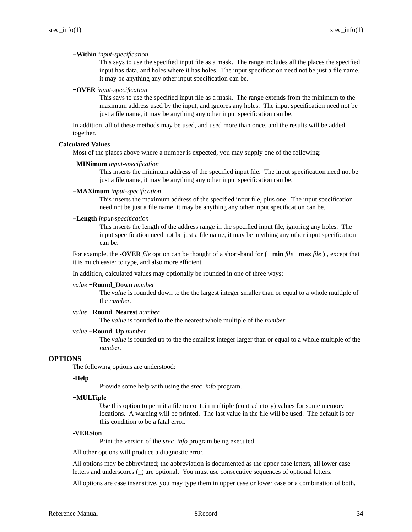### **−Within** *input-specification*

This says to use the specified input file as a mask. The range includes all the places the specified input has data, and holes where it has holes. The input specification need not be just a file name, it may be anything any other input specification can be.

### **−OVER** *input-specification*

This says to use the specified input file as a mask. The range extends from the minimum to the maximum address used by the input, and ignores any holes. The input specification need not be just a file name, it may be anything any other input specification can be.

In addition, all of these methods may be used, and used more than once, and the results will be added together.

#### **Calculated Values**

Most of the places above where a number is expected, you may supply one of the following:

#### **−MINimum** *input-specification*

This inserts the minimum address of the specified input file. The input specification need not be just a file name, it may be anything any other input specification can be.

### **−MAXimum** *input-specification*

This inserts the maximum address of the specified input file, plus one. The input specification need not be just a file name, it may be anything any other input specification can be.

### **−Length** *input-specification*

This inserts the length of the address range in the specified input file, ignoring any holes. The input specification need not be just a file name, it may be anything any other input specification can be.

For example, the **-OVER** *file* option can be thought of a short-hand for **( −min** *file* **−max** *file* **)**i, except that it is much easier to type, and also more efficient.

In addition, calculated values may optionally be rounded in one of three ways:

#### *value* **−Round\_Down** *number*

The *value* is rounded down to the the largest integer smaller than or equal to a whole multiple of the *number*.

### *value* **−Round\_Nearest** *number*

The *value* is rounded to the the nearest whole multiple of the *number*.

### *value* **−Round\_Up** *number*

The *value* is rounded up to the the smallest integer larger than or equal to a whole multiple of the *number*.

## **OPTIONS**

The following options are understood:

### **-Help**

Provide some help with using the *srec\_info* program.

### **−MULTiple**

Use this option to permit a file to contain multiple (contradictory) values for some memory locations. A warning will be printed. The last value in the file will be used. The default is for this condition to be a fatal error.

## **-VERSion**

Print the version of the *srec\_info* program being executed.

All other options will produce a diagnostic error.

All options may be abbreviated; the abbreviation is documented as the upper case letters, all lower case letters and underscores (\_) are optional. You must use consecutive sequences of optional letters.

All options are case insensitive, you may type them in upper case or lower case or a combination of both,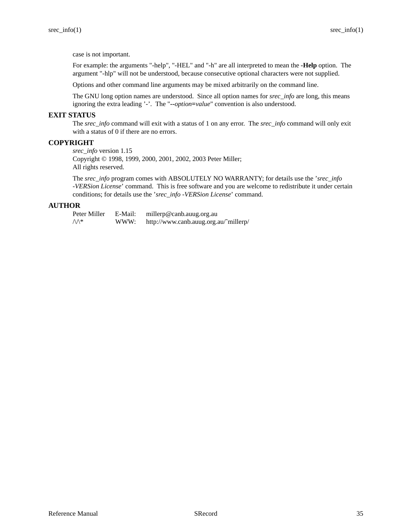case is not important.

For example: the arguments "-help", "-HEL" and "-h" are all interpreted to mean the **-Help** option. The argument "-hlp" will not be understood, because consecutive optional characters were not supplied.

Options and other command line arguments may be mixed arbitrarily on the command line.

The GNU long option names are understood. Since all option names for *srec\_info* are long, this means ignoring the extra leading '-'. The "**--***option***=***value*" convention is also understood.

## **EXIT STATUS**

The *srec\_info* command will exit with a status of 1 on any error. The *srec\_info* command will only exit with a status of 0 if there are no errors.

# **COPYRIGHT**

*srec\_info* version 1.15

Copyright © 1998, 1999, 2000, 2001, 2002, 2003 Peter Miller; All rights reserved.

The *srec\_info* program comes with ABSOLUTELY NO WARRANTY; for details use the '*srec\_info -VERSion License*' command. This is free software and you are welcome to redistribute it under certain conditions; for details use the '*srec\_info -VERSion License*' command.

### **AUTHOR**

| Peter Miller  | E-Mail: | millerp@canb.auug.org.au              |
|---------------|---------|---------------------------------------|
| $\bigwedge^*$ | WWW:    | http://www.canb.auug.org.au/~millerp/ |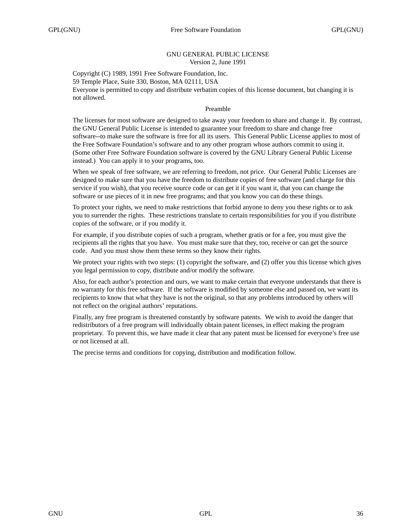## GNU GENERAL PUBLIC LICENSE Version 2, June 1991

Copyright (C) 1989, 1991 Free Software Foundation, Inc. 59 Temple Place, Suite 330, Boston, MA 02111, USA Everyone is permitted to copy and distribute verbatim copies of this license document, but changing it is not allowed.

# Preamble

The licenses for most software are designed to take away your freedom to share and change it. By contrast, the GNU General Public License is intended to guarantee your freedom to share and change free software--to make sure the software is free for all its users. This General Public License applies to most of the Free Software Foundation's software and to any other program whose authors commit to using it. (Some other Free Software Foundation software is covered by the GNU Library General Public License instead.) You can apply it to your programs, too.

When we speak of free software, we are referring to freedom, not price. Our General Public Licenses are designed to make sure that you have the freedom to distribute copies of free software (and charge for this service if you wish), that you receive source code or can get it if you want it, that you can change the software or use pieces of it in new free programs; and that you know you can do these things.

To protect your rights, we need to make restrictions that forbid anyone to deny you these rights or to ask you to surrender the rights. These restrictions translate to certain responsibilities for you if you distribute copies of the software, or if you modify it.

For example, if you distribute copies of such a program, whether gratis or for a fee, you must give the recipients all the rights that you have. You must make sure that they, too, receive or can get the source code. And you must show them these terms so they know their rights.

We protect your rights with two steps: (1) copyright the software, and (2) offer you this license which gives you legal permission to copy, distribute and/or modify the software.

Also, for each author's protection and ours, we want to make certain that everyone understands that there is no warranty for this free software. If the software is modified by someone else and passed on, we want its recipients to know that what they have is not the original, so that any problems introduced by others will not reflect on the original authors' reputations.

Finally, any free program is threatened constantly by software patents. We wish to avoid the danger that redistributors of a free program will individually obtain patent licenses, in effect making the program proprietary. To prevent this, we have made it clear that any patent must be licensed for everyone's free use or not licensed at all.

The precise terms and conditions for copying, distribution and modification follow.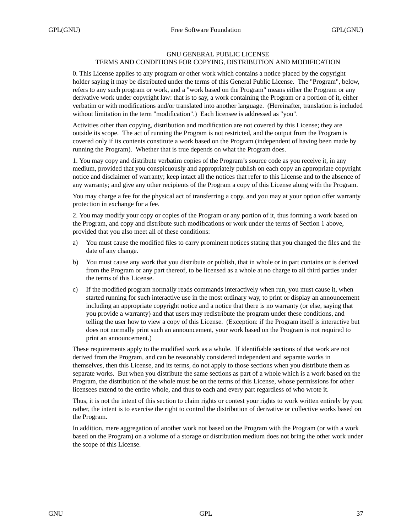# GNU GENERAL PUBLIC LICENSE TERMS AND CONDITIONS FOR COPYING, DISTRIBUTION AND MODIFICATION

0. This License applies to any program or other work which contains a notice placed by the copyright holder saying it may be distributed under the terms of this General Public License. The "Program", below, refers to any such program or work, and a "work based on the Program" means either the Program or any derivative work under copyright law: that is to say, a work containing the Program or a portion of it, either verbatim or with modifications and/or translated into another language. (Hereinafter, translation is included without limitation in the term "modification".) Each licensee is addressed as "you".

Activities other than copying, distribution and modification are not covered by this License; they are outside its scope. The act of running the Program is not restricted, and the output from the Program is covered only if its contents constitute a work based on the Program (independent of having been made by running the Program). Whether that is true depends on what the Program does.

1. You may copy and distribute verbatim copies of the Program's source code as you receive it, in any medium, provided that you conspicuously and appropriately publish on each copy an appropriate copyright notice and disclaimer of warranty; keep intact all the notices that refer to this License and to the absence of any warranty; and give any other recipients of the Program a copy of this License along with the Program.

You may charge a fee for the physical act of transferring a copy, and you may at your option offer warranty protection in exchange for a fee.

2. You may modify your copy or copies of the Program or any portion of it, thus forming a work based on the Program, and copy and distribute such modifications or work under the terms of Section 1 above, provided that you also meet all of these conditions:

- a) You must cause the modified files to carry prominent notices stating that you changed the files and the date of any change.
- b) You must cause any work that you distribute or publish, that in whole or in part contains or is derived from the Program or any part thereof, to be licensed as a whole at no charge to all third parties under the terms of this License.
- c) If the modified program normally reads commands interactively when run, you must cause it, when started running for such interactive use in the most ordinary way, to print or display an announcement including an appropriate copyright notice and a notice that there is no warranty (or else, saying that you provide a warranty) and that users may redistribute the program under these conditions, and telling the user how to viewacopy of this License. (Exception: if the Program itself is interactive but does not normally print such an announcement, your work based on the Program is not required to print an announcement.)

These requirements apply to the modified work as a whole. If identifiable sections of that work are not derived from the Program, and can be reasonably considered independent and separate works in themselves, then this License, and its terms, do not apply to those sections when you distribute them as separate works. But when you distribute the same sections as part of a whole which is a work based on the Program, the distribution of the whole must be on the terms of this License, whose permissions for other licensees extend to the entire whole, and thus to each and every part regardless of who wrote it.

Thus, it is not the intent of this section to claim rights or contest your rights to work written entirely by you; rather, the intent is to exercise the right to control the distribution of derivative or collective works based on the Program.

In addition, mere aggregation of another work not based on the Program with the Program (or with a work based on the Program) on a volume of a storage or distribution medium does not bring the other work under the scope of this License.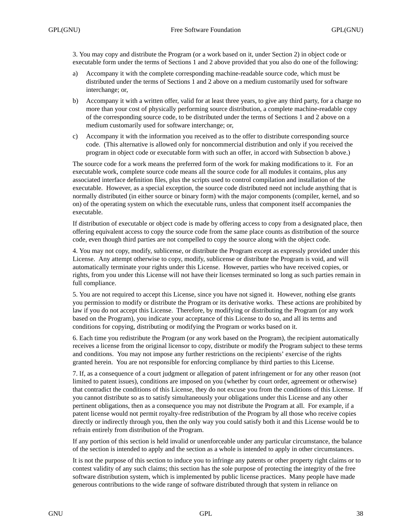3. You may copy and distribute the Program (or a work based on it, under Section 2) in object code or executable form under the terms of Sections 1 and 2 above provided that you also do one of the following:

- a) Accompany it with the complete corresponding machine-readable source code, which must be distributed under the terms of Sections 1 and 2 above on a medium customarily used for software interchange; or,
- b) Accompany it with a written offer, valid for at least three years, to give any third party, for a charge no more than your cost of physically performing source distribution, a complete machine-readable copy of the corresponding source code, to be distributed under the terms of Sections 1 and 2 above on a medium customarily used for software interchange; or,
- c) Accompany it with the information you received as to the offer to distribute corresponding source code. (This alternative is allowed only for noncommercial distribution and only if you received the program in object code or executable form with such an offer, in accord with Subsection b above.)

The source code for a work means the preferred form of the work for making modifications to it. For an executable work, complete source code means all the source code for all modules it contains, plus any associated interface definition files, plus the scripts used to control compilation and installation of the executable. However, as a special exception, the source code distributed need not include anything that is normally distributed (in either source or binary form) with the major components (compiler, kernel, and so on) of the operating system on which the executable runs, unless that component itself accompanies the executable.

If distribution of executable or object code is made by offering access to copy from a designated place, then offering equivalent access to copy the source code from the same place counts as distribution of the source code, even though third parties are not compelled to copy the source along with the object code.

4. You may not copy, modify, sublicense, or distribute the Program except as expressly provided under this License. Any attempt otherwise to copy, modify, sublicense or distribute the Program is void, and will automatically terminate your rights under this License. However, parties who have received copies, or rights, from you under this License will not have their licenses terminated so long as such parties remain in full compliance.

5. You are not required to accept this License, since you have not signed it. However, nothing else grants you permission to modify or distribute the Program or its derivative works. These actions are prohibited by law if you do not accept this License. Therefore, by modifying or distributing the Program (or any work based on the Program), you indicate your acceptance of this License to do so, and all its terms and conditions for copying, distributing or modifying the Program or works based on it.

6. Each time you redistribute the Program (or any work based on the Program), the recipient automatically receives a license from the original licensor to copy, distribute or modify the Program subject to these terms and conditions. You may not impose any further restrictions on the recipients' exercise of the rights granted herein. You are not responsible for enforcing compliance by third parties to this License.

7. If, as a consequence of a court judgment or allegation of patent infringement or for any other reason (not limited to patent issues), conditions are imposed on you (whether by court order, agreement or otherwise) that contradict the conditions of this License, they do not excuse you from the conditions of this License. If you cannot distribute so as to satisfy simultaneously your obligations under this License and any other pertinent obligations, then as a consequence you may not distribute the Program at all. For example, if a patent license would not permit royalty-free redistribution of the Program by all those who receive copies directly or indirectly through you, then the only way you could satisfy both it and this License would be to refrain entirely from distribution of the Program.

If any portion of this section is held invalid or unenforceable under any particular circumstance, the balance of the section is intended to apply and the section as a whole is intended to apply in other circumstances.

It is not the purpose of this section to induce you to infringe any patents or other property right claims or to contest validity of any such claims; this section has the sole purpose of protecting the integrity of the free software distribution system, which is implemented by public license practices. Many people have made generous contributions to the wide range of software distributed through that system in reliance on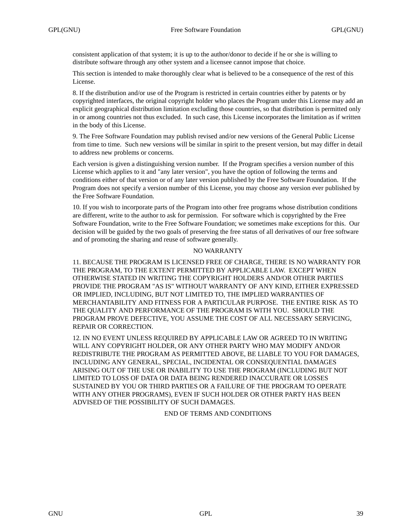consistent application of that system; it is up to the author/donor to decide if he or she is willing to distribute software through any other system and a licensee cannot impose that choice.

This section is intended to make thoroughly clear what is believed to be a consequence of the rest of this License.

8. If the distribution and/or use of the Program is restricted in certain countries either by patents or by copyrighted interfaces, the original copyright holder who places the Program under this License may add an explicit geographical distribution limitation excluding those countries, so that distribution is permitted only in or among countries not thus excluded. In such case, this License incorporates the limitation as if written in the body of this License.

9. The Free Software Foundation may publish revised and/or new versions of the General Public License from time to time. Such new versions will be similar in spirit to the present version, but may differ in detail to address new problems or concerns.

Each version is given a distinguishing version number. If the Program specifies a version number of this License which applies to it and "any later version", you have the option of following the terms and conditions either of that version or of any later version published by the Free Software Foundation. If the Program does not specify a version number of this License, you may choose any version ever published by the Free Software Foundation.

10. If you wish to incorporate parts of the Program into other free programs whose distribution conditions are different, write to the author to ask for permission. For software which is copyrighted by the Free Software Foundation, write to the Free Software Foundation; we sometimes make exceptions for this. Our decision will be guided by the two goals of preserving the free status of all derivatives of our free software and of promoting the sharing and reuse of software generally.

## NO WARRANTY

11. BECAUSE THE PROGRAM IS LICENSED FREE OF CHARGE, THERE IS NO WARRANTY FOR THE PROGRAM, TO THE EXTENT PERMITTED BY APPLICABLE LAW. EXCEPT WHEN OTHERWISE STATED IN WRITING THE COPYRIGHT HOLDERS AND/OR OTHER PARTIES PROVIDE THE PROGRAM "AS IS" WITHOUT WARRANTY OF ANY KIND, EITHER EXPRESSED OR IMPLIED, INCLUDING, BUT NOT LIMITED TO, THE IMPLIED WARRANTIES OF MERCHANTABILITY AND FITNESS FOR A PARTICULAR PURPOSE. THE ENTIRE RISK AS TO THE QUALITY AND PERFORMANCE OF THE PROGRAM IS WITH YOU. SHOULD THE PROGRAM PROVE DEFECTIVE, YOU ASSUME THE COST OF ALL NECESSARY SERVICING, REPAIR OR CORRECTION.

12. IN NO EVENT UNLESS REQUIRED BY APPLICABLE LAW OR AGREED TO IN WRITING WILL ANY COPYRIGHT HOLDER, OR ANY OTHER PARTY WHO MAY MODIFY AND/OR REDISTRIBUTE THE PROGRAM AS PERMITTED ABOVE, BE LIABLE TO YOU FOR DAMAGES, INCLUDING ANY GENERAL, SPECIAL, INCIDENTAL OR CONSEQUENTIAL DAMAGES ARISING OUT OF THE USE OR INABILITY TO USE THE PROGRAM (INCLUDING BUT NOT LIMITED TO LOSS OF DATA OR DATA BEING RENDERED INACCURATE OR LOSSES SUSTAINED BY YOU OR THIRD PARTIES OR A FAILURE OF THE PROGRAM TO OPERATE WITH ANY OTHER PROGRAMS), EVEN IF SUCH HOLDER OR OTHER PARTY HAS BEEN ADVISED OF THE POSSIBILITY OF SUCH DAMAGES.

# END OF TERMS AND CONDITIONS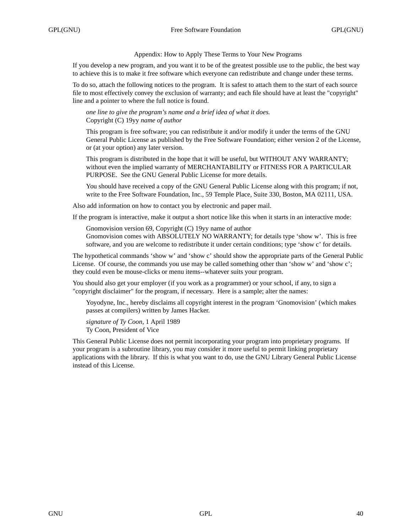Appendix: How to Apply These Terms to Your New Programs

If you develop a new program, and you want it to be of the greatest possible use to the public, the best way to achieve this is to make it free software which everyone can redistribute and change under these terms.

To do so, attach the following notices to the program. It is safest to attach them to the start of each source file to most effectively convey the exclusion of warranty; and each file should have at least the "copyright" line and a pointer to where the full notice is found.

*one line to give the program's name and a brief idea of what it does.* Copyright (C) 19yy *name of author*

This program is free software; you can redistribute it and/or modify it under the terms of the GNU General Public License as published by the Free Software Foundation; either version 2 of the License, or (at your option) any later version.

This program is distributed in the hope that it will be useful, but WITHOUT ANY WARRANTY; without even the implied warranty of MERCHANTABILITY or FITNESS FOR A PARTICULAR PURPOSE. See the GNU General Public License for more details.

You should have received a copy of the GNU General Public License along with this program; if not, write to the Free Software Foundation, Inc., 59 Temple Place, Suite 330, Boston, MA 02111, USA.

Also add information on how to contact you by electronic and paper mail.

If the program is interactive, make it output a short notice like this when it starts in an interactive mode:

Gnomovision version 69, Copyright (C) 19yy name of author

Gnomovision comes with ABSOLUTELY NO WARRANTY; for details type 'show w'. This is free software, and you are welcome to redistribute it under certain conditions; type 'show c' for details.

The hypothetical commands 'show w' and 'show c' should show the appropriate parts of the General Public License. Of course, the commands you use may be called something other than 'show w' and 'show c'; they could even be mouse-clicks or menu items--whatever suits your program.

You should also get your employer (if you work as a programmer) or your school, if any, to sign a "copyright disclaimer" for the program, if necessary. Here is a sample; alter the names:

Yo yodyne, Inc., hereby disclaims all copyright interest in the program 'Gnomovision' (which makes passes at compilers) written by James Hacker.

*signature of Ty Coon,* 1 April 1989 Ty Coon, President of Vice

This General Public License does not permit incorporating your program into proprietary programs. If your program is a subroutine library, you may consider it more useful to permit linking proprietary applications with the library. If this is what you want to do, use the GNU Library General Public License instead of this License.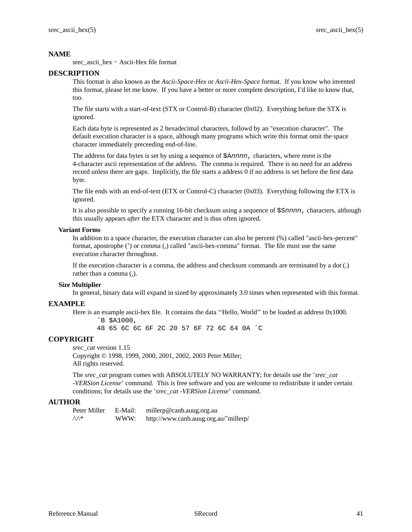srec\_ascii\_hex−Ascii-Hex file format

# **DESCRIPTION**

This format is also known as the *Ascii-Space-Hex* or *Ascii-Hex-Space* format. If you know who invented this format, please let me know. If you have a better or more complete description, I'd like to know that, too.

The file starts with a start-of-text (STX or Control-B) character (0x02). Everything before the STX is ignored.

Each data byte is represented as 2 hexadecimal characters, followd by an "execution character". The default execution character is a space, although many programs which write this format omit the space character immediately preceeding end-of-line.

The address for data bytes is set by using a sequence of \$Annnn, characters, where *nnnn* is the 4-character ascii representation of the address. The comma is required. There is no need for an address record unless there are gaps. Implicitly, the file starts a address 0 if no address is set before the first data byte.

The file ends with an end-of-text (ETX or Control-C) character (0x03). Everything following the ETX is ignored.

It is also possible to specify a running 16-bit checksum using a sequence of  $$Snnnn$ , characters, although this usually appears *after* the ETX character and is thus often ignored.

## **Variant Forms**

In addition to a space character, the execution character can also be percent (%) called "ascii-hex-percent" format, apostrophe (') or comma (,) called "ascii-hex-comma" format. The file must use the same execution character throughout.

If the execution character is a comma, the address and checksum commands are terminated by a dot (.) rather than a comma (,).

## **Size Multiplier**

In general, binary data will expand in sized by approximately 3.0 times when represented with this format.

## **EXAMPLE**

Here is an example ascii-hex file. It contains the data ''Hello, World'' to be loaded at address 0x1000.

ˆB \$A1000,

48 65 6C 6C 6F 2C 20 57 6F 72 6C 64 0A ˆC

## **COPYRIGHT**

*srec\_cat* version 1.15 Copyright © 1998, 1999, 2000, 2001, 2002, 2003 Peter Miller; All rights reserved.

The *srec\_cat* program comes with ABSOLUTELY NO WARRANTY; for details use the '*srec\_cat -VERSion License*' command. This is free software and you are welcome to redistribute it under certain conditions; for details use the '*srec\_cat -VERSion License*' command.

# **AUTHOR**

Peter Miller E-Mail: millerp@canb.auug.org.au  $\mathcal{W}^*$  WWW: http://www.canb.auug.org.au/~millerp/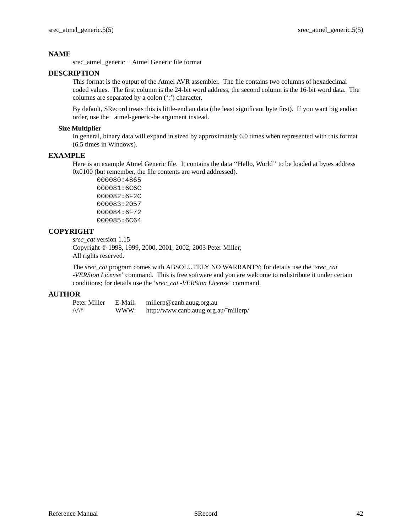srec\_atmel\_generic − Atmel Generic file format

# **DESCRIPTION**

This format is the output of the Atmel AVR assembler. The file contains two columns of hexadecimal coded values. The first column is the 24-bit word address, the second column is the 16-bit word data. The columns are separated by a colon (':') character.

By default, SRecord treats this is little-endian data (the least significant byte first). If you want big endian order, use the −atmel-generic-be argument instead.

# **Size Multiplier**

In general, binary data will expand in sized by approximately 6.0 times when represented with this format (6.5 times in Windows).

# **EXAMPLE**

Here is an example Atmel Generic file. It contains the data ''Hello, World'' to be loaded at bytes address 0x0100 (but remember, the file contents are word addressed).

000080:4865 000081:6C6C 000082:6F2C 000083:2057 000084:6F72 000085:6C64

# **COPYRIGHT**

*srec\_cat* version 1.15

Copyright © 1998, 1999, 2000, 2001, 2002, 2003 Peter Miller; All rights reserved.

The *srec\_cat* program comes with ABSOLUTELY NO WARRANTY; for details use the '*srec\_cat -VERSion License*' command. This is free software and you are welcome to redistribute it under certain conditions; for details use the '*srec\_cat -VERSion License*' command.

# **AUTHOR**

| Peter Miller     | E-Mail: | millerp@canb.auug.org.au              |
|------------------|---------|---------------------------------------|
| $\wedge\wedge^*$ | WWW:    | http://www.canb.auug.org.au/~millerp/ |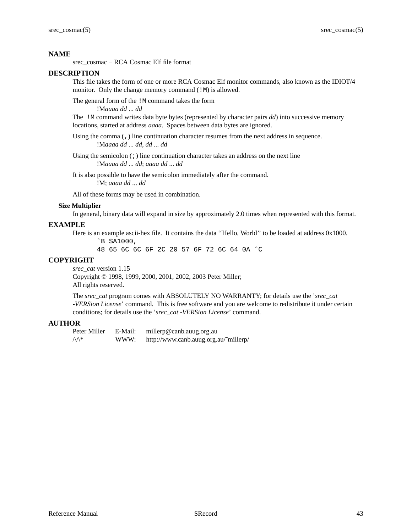srec\_cosmac − RCA Cosmac Elf file format

## **DESCRIPTION**

This file takes the form of one or more RCA Cosmac Elf monitor commands, also known as the IDIOT/4 monitor. Only the change memory command (!M) is allowed.

The general form of the !M command takes the form

!M*aaaa dd* ... *dd*

The !M command writes data byte bytes (represented by character pairs *dd*) into successive memory locations, started at address *aaaa*. Spaces between data bytes are ignored.

Using the comma (,) line continuation character resumes from the next address in sequence. !M*aaaa dd* ... *dd*, *dd* ... *dd*

Using the semicolon  $(i)$  line continuation character takes an address on the next line !M*aaaa dd* ... *dd*; *aaaa dd* ... *dd*

It is also possible to have the semicolon immediately after the command. !M; *aaaa dd* ... *dd*

All of these forms may be used in combination.

## **Size Multiplier**

In general, binary data will expand in size by approximately 2.0 times when represented with this format.

# **EXAMPLE**

Here is an example ascii-hex file. It contains the data ''Hello, World'' to be loaded at address 0x1000.

ˆB \$A1000,

48 65 6C 6C 6F 2C 20 57 6F 72 6C 64 0A ˆC

# **COPYRIGHT**

*srec\_cat* version 1.15 Copyright © 1998, 1999, 2000, 2001, 2002, 2003 Peter Miller; All rights reserved.

The *srec\_cat* program comes with ABSOLUTELY NO WARRANTY; for details use the '*srec\_cat -VERSion License*' command. This is free software and you are welcome to redistribute it under certain conditions; for details use the '*srec\_cat -VERSion License*' command.

## **AUTHOR**

Peter Miller E-Mail: millerp@canb.auug.org.au  $\mathcal{W}^*$  WWW: http://www.canb.auug.org.au/~millerp/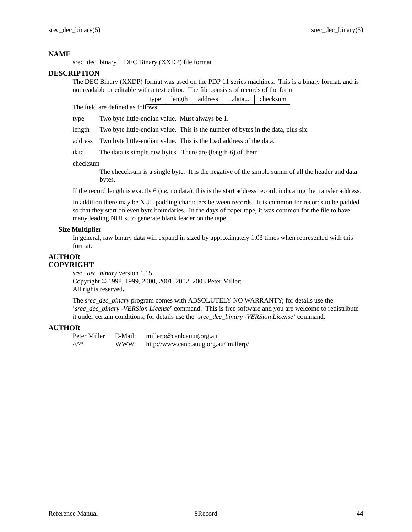srec\_dec\_binary − DEC Binary (XXDP) file format

# **DESCRIPTION**

The DEC Binary (XXDP) format was used on the PDP 11 series machines. This is a binary format, and is not readable or editable with a text editor. The file consists of records of the form

|                                   |  |  | type   length   address   data   checksum |
|-----------------------------------|--|--|-------------------------------------------|
| The field are defined as follows: |  |  |                                           |

type Two byte little-endian value. Must always be 1.

length Two byte little-endian value. This is the number of bytes in the data, plus six.

address Two byte little-endian value. This is the load address of the data.

data The data is simple raw bytes. There are (length-6) of them.

checksum

The checcksum is a single byte. It is the negative of the simple summ of all the header and data bytes.

If the record length is exactly 6 (*i.e.* no data), this is the start address record, indicating the transfer address.

In addition there may be NUL padding characters between records. It is common for records to be padded so that they start on even byte boundaries. In the days of paper tape, it was common for the file to have many leading NULs, to generate blank leader on the tape.

# **Size Multiplier**

In general, raw binary data will expand in sized by approximately 1.03 times when represented with this format.

# **AUTHOR COPYRIGHT**

*srec\_dec\_binary* version 1.15 Copyright © 1998, 1999, 2000, 2001, 2002, 2003 Peter Miller; All rights reserved.

The *srec\_dec\_binary* program comes with ABSOLUTELY NO WARRANTY; for details use the '*srec\_dec\_binary -VERSion License*' command. This is free software and you are welcome to redistribute it under certain conditions; for details use the '*srec\_dec\_binary -VERSion License*' command.

# **AUTHOR**

Peter Miller E-Mail: millerp@canb.auug.org.au  $\sqrt{\Lambda^*}$  WWW: http://www.canb.auug.org.au/~millerp/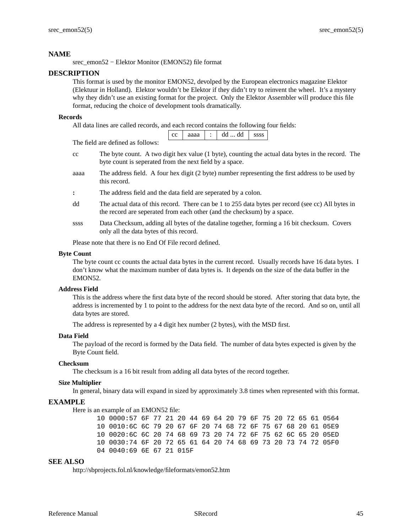srec\_emon52 − Elektor Monitor (EMON52) file format

# **DESCRIPTION**

This format is used by the monitor EMON52, devolped by the European electronics magazine Elektor (Elektuur in Holland). Elektor wouldn't be Elektor if they didn't try to reinvent the wheel. It'samystery why they didn't use an existing format for the project. Only the Elektor Assembler will produce this file format, reducing the choice of development tools dramatically.

## **Records**

All data lines are called records, and each record contains the following four fields:

|  | ∽ | o۵<br>. . |  |  | $\sim$ $\sim$ |
|--|---|-----------|--|--|---------------|
|--|---|-----------|--|--|---------------|

The field are defined as follows:

- cc The byte count. A two digit hex value (1 byte), counting the actual data bytes in the record. The byte count is seperated from the next field by a space.
- aaaa The address field. A four hex digit (2 byte) number representing the first address to be used by this record.
- **:** The address field and the data field are seperated by a colon.
- dd The actual data of this record. There can be 1 to 255 data bytes per record (see cc) All bytes in the record are seperated from each other (and the checksum) by a space.
- ssss Data Checksum, adding all bytes of the dataline together, forming a 16 bit checksum. Covers only all the data bytes of this record.

Please note that there is no End Of File record defined.

## **Byte Count**

The byte count cc counts the actual data bytes in the current record. Usually records have 16 data bytes. I don't know what the maximum number of data bytes is. It depends on the size of the data buffer in the EMON52.

## **Address Field**

This is the address where the first data byte of the record should be stored. After storing that data byte, the address is incremented by 1 to point to the address for the next data byte of the record. And so on, until all data bytes are stored.

The address is represented by a 4 digit hex number (2 bytes), with the MSD first.

### **Data Field**

The payload of the record is formed by the Data field. The number of data bytes expected is given by the Byte Count field.

## **Checksum**

The checksum is a 16 bit result from adding all data bytes of the record together.

## **Size Multiplier**

In general, binary data will expand in sized by approximately 3.8 times when represented with this format.

# **EXAMPLE**

Here is an example of an EMON52 file:

10 0000:57 6F 77 21 20 44 69 64 20 79 6F 75 20 72 65 61 0564 10 0010:6C 6C 79 20 67 6F 20 74 68 72 6F 75 67 68 20 61 05E9 10 0020:6C 6C 20 74 68 69 73 20 74 72 6F 75 62 6C 65 20 05ED 10 0030:74 6F 20 72 65 61 64 20 74 68 69 73 20 73 74 72 05F0 04 0040:69 6E 67 21 015F

# **SEE ALSO**

http://sbprojects.fol.nl/knowledge/fileformats/emon52.htm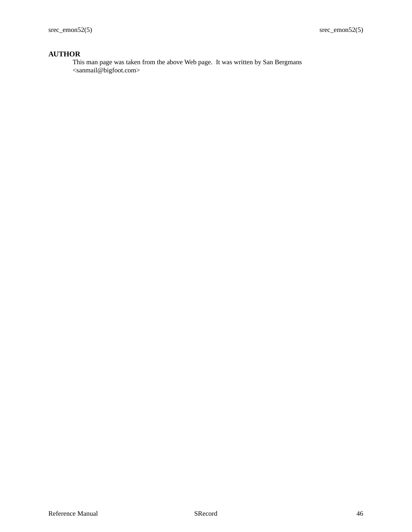# **AUTHOR**

This man page was taken from the above Web page. It was written by San Bergmans <sanmail@bigfoot.com>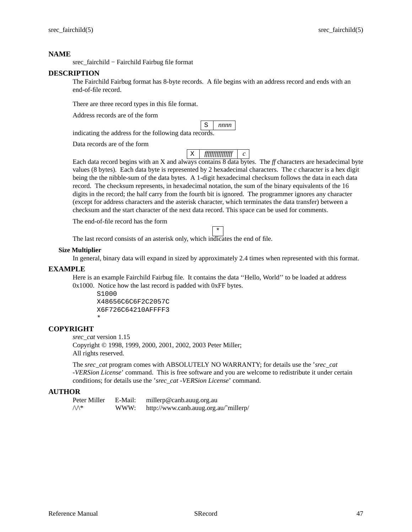srec\_fairchild − Fairchild Fairbug file format

## **DESCRIPTION**

The Fairchild Fairbug format has 8-byte records. A file begins with an address record and ends with an end-of-file record.

There are three record types in this file format.

Address records are of the form

|                                                        | $ S $ nnnn |
|--------------------------------------------------------|------------|
| indicating the address for the following data records. |            |

Data records are of the form

X *ffffffffffffffff c*

Each data record begins with an X and always contains 8 data bytes. The *ff* characters are hexadecimal byte values (8 bytes). Each data byte is represented by 2 hexadecimal characters. The *c* character is a hex digit being the the nibble-sum of the data bytes. A 1-digit hexadecimal checksum follows the data in each data record. The checksum represents, in hexadecimal notation, the sum of the binary equivalents of the 16 digits in the record; the half carry from the fourth bit is ignored. The programmer ignores any character (except for address characters and the asterisk character, which terminates the data transfer) between a checksum and the start character of the next data record. This space can be used for comments.

The end-of-file record has the form

\*

The last record consists of an asterisk only, which indicates the end of file.

## **Size Multiplier**

In general, binary data will expand in sized by approximately 2.4 times when represented with this format.

# **EXAMPLE**

Here is an example Fairchild Fairbug file. It contains the data ''Hello, World'' to be loaded at address 0x1000. Notice how the last record is padded with 0xFF bytes.

```
S1000
X48656C6C6F2C2057C
X6F726C64210AFFFF3
*
```
# **COPYRIGHT**

*srec\_cat* version 1.15

Copyright © 1998, 1999, 2000, 2001, 2002, 2003 Peter Miller; All rights reserved.

The *srec\_cat* program comes with ABSOLUTELY NO WARRANTY; for details use the '*srec\_cat -VERSion License*' command. This is free software and you are welcome to redistribute it under certain conditions; for details use the '*srec\_cat -VERSion License*' command.

# **AUTHOR**

| Peter Miller     | E-Mail: | millerp@canb.auug.org.au              |
|------------------|---------|---------------------------------------|
| $\wedge\wedge^*$ | WWW:    | http://www.canb.auug.org.au/~millerp/ |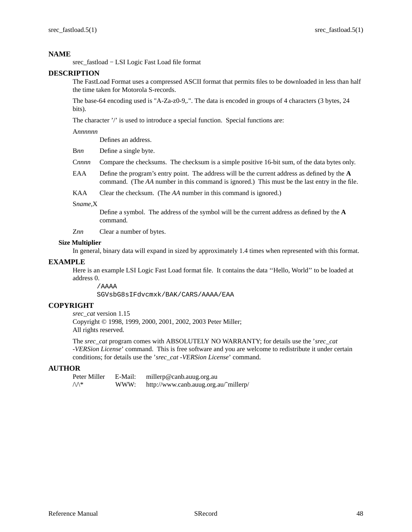srec\_fastload − LSI Logic Fast Load file format

# **DESCRIPTION**

The FastLoad Format uses a compressed ASCII format that permits files to be downloaded in less than half the time taken for Motorola S-records.

The base-64 encoding used is "A-Za-z0-9,.". The data is encoded in groups of 4 characters (3 bytes, 24 bits).

The character '/' is used to introduce a special function. Special functions are:

# A*nnnnnn*

Defines an address.

B*nn* Define a single byte.

C*nnnn* Compare the checksums. The checksum is a simple positive 16-bit sum, of the data bytes only.

- EAA Define the program's entry point. The address will be the current address as defined by the **A** command. (The *AA* number in this command is ignored.) This must be the last entry in the file.
- KAA Clear the checksum. (The *AA* number in this command is ignored.)

### S*name*,X

Define a symbol. The address of the symbol will be the current address as defined by the **A** command.

Z*nn* Clear a number of bytes.

## **Size Multiplier**

In general, binary data will expand in sized by approximately 1.4 times when represented with this format.

## **EXAMPLE**

Here is an example LSI Logic Fast Load format file. It contains the data ''Hello, World'' to be loaded at address 0.

/AAAA

SGVsbG8sIFdvcmxk/BAK/CARS/AAAA/EAA

# **COPYRIGHT**

*srec\_cat* version 1.15 Copyright © 1998, 1999, 2000, 2001, 2002, 2003 Peter Miller; All rights reserved.

The *srec\_cat* program comes with ABSOLUTELY NO WARRANTY; for details use the '*srec\_cat -VERSion License*' command. This is free software and you are welcome to redistribute it under certain conditions; for details use the '*srec\_cat -VERSion License*' command.

## **AUTHOR**

Peter Miller E-Mail: millerp@canb.auug.org.au  $\sqrt{\Lambda^*}$  WWW: http://www.canb.auug.org.au/~millerp/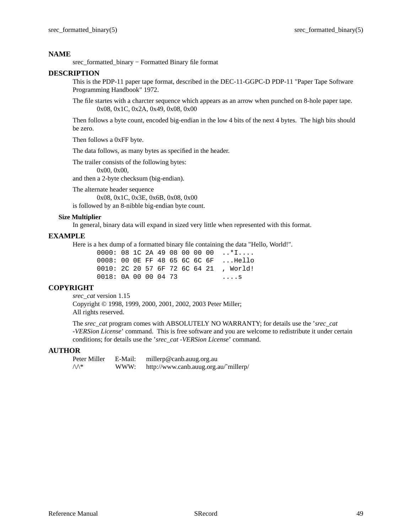srec\_formatted\_binary − Formatted Binary file format

# **DESCRIPTION**

This is the PDP-11 paper tape format, described in the DEC-11-GGPC-D PDP-11 "Paper Tape Software Programming Handbook" 1972.

The file startes with a charcter sequence which appears as an arrow when punched on 8-hole paper tape. 0x08, 0x1C, 0x2A, 0x49, 0x08, 0x00

Then follows a byte count, encoded big-endian in the low 4 bits of the next 4 bytes. The high bits should be zero.

Then follows a 0xFF byte.

The data follows, as many bytes as specified in the header.

The trailer consists of the following bytes:

0x00, 0x00,

and then a 2-byte checksum (big-endian).

The alternate header sequence 0x08, 0x1C, 0x3E, 0x6B, 0x08, 0x00 is followed by an 8-nibble big-endian byte count.

## **Size Multiplier**

In general, binary data will expand in sized very little when represented with this format.

# **EXAMPLE**

Here is a hex dump of a formatted binary file containing the data "Hello, World!".

|                      |  |  |  |  | $0000: 08$ 1C 2A 49 08 00 00 00 *I    |
|----------------------|--|--|--|--|---------------------------------------|
|                      |  |  |  |  | 0008: 00 OE FF 48 65 6C 6C 6F  Hello  |
|                      |  |  |  |  | 0010: 2C 20 57 6F 72 6C 64 21, World! |
| 0018: 0A 00 00 04 73 |  |  |  |  | . S                                   |

# **COPYRIGHT**

*srec\_cat* version 1.15 Copyright © 1998, 1999, 2000, 2001, 2002, 2003 Peter Miller; All rights reserved.

The *srec\_cat* program comes with ABSOLUTELY NO WARRANTY; for details use the '*srec\_cat -VERSion License*' command. This is free software and you are welcome to redistribute it under certain conditions; for details use the '*srec\_cat -VERSion License*' command.

# **AUTHOR**

| Peter Miller     | E-Mail: | millerp@canb.auug.org.au              |
|------------------|---------|---------------------------------------|
| $\wedge\wedge^*$ | WWW:    | http://www.canb.auug.org.au/~millerp/ |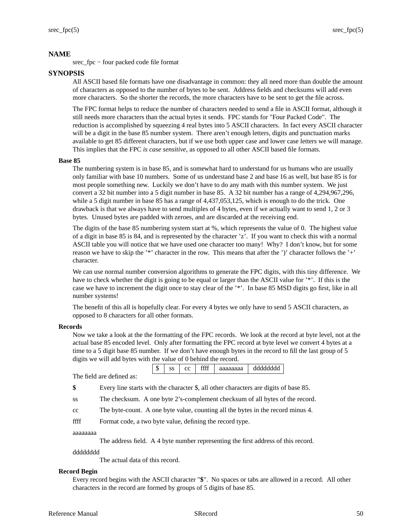srec\_fpc − four packed code file format

# **SYNOPSIS**

All ASCII based file formats have one disadvantage in common: they all need more than double the amount of characters as opposed to the number of bytes to be sent. Address fields and checksums will add even more characters. So the shorter the records, the more characters have to be sent to get the file across.

The FPC format helps to reduce the number of characters needed to send a file in ASCII format, although it still needs more characters than the actual bytes it sends. FPC stands for "Four Packed Code". The reduction is accomplished by squeezing 4 real bytes into 5 ASCII characters. In fact every ASCII character will be a digit in the base 85 number system. There aren't enough letters, digits and punctuation marks available to get 85 different characters, but if we use both upper case and lower case letters we will manage. This implies that the FPC *is case sensitive*, as opposed to all other ASCII based file formats.

# **Base 85**

The numbering system is in base 85, and is somewhat hard to understand for us humans who are usually only familiar with base 10 numbers. Some of us understand base 2 and base 16 as well, but base 85 is for most people something new. Luckily we don't have to do any math with this number system. We just convert a 32 bit number into a 5 digit number in base 85. A 32 bit number has a range of 4,294,967,296, while a 5 digit number in base 85 has a range of 4,437,053,125, which is enough to do the trick. One drawback is that we always have to send multiples of 4 bytes, even if we actually want to send 1, 2 or 3 bytes. Unused bytes are padded with zeroes, and are discarded at the receiving end.

The digits of the base 85 numbering system start at %, which represents the value of 0. The highest value of a digit in base 85 is 84, and is represented by the character 'z'. If you want to check this with a normal ASCII table you will notice that we have used one character too many! Why? I don't know, but for some reason we have to skip the '\*' character in the row. This means that after the ')' character follows the '+' character.

We can use normal number conversion algorithms to generate the FPC digits, with this tiny difference. We have to check whether the digit is going to be equal or larger than the ASCII value for '\*'. If this is the case we have to increment the digit once to stay clear of the '\*'. In base 85 MSD digits go first, like in all number systems!

The benefit of this all is hopefully clear. For every 4 bytes we only have to send 5 ASCII characters, as opposed to 8 characters for all other formats.

# **Records**

Now we takealook at the the formatting of the FPC records. We look at the record at byte level, not at the actual base 85 encoded level. Only after formatting the FPC record at byte level we convert 4 bytes at a time to a 5 digit base 85 number. If we don't have enough bytes in the record to fill the last group of 5 digits we will add bytes with the value of 0 behind the record.

 $\frac{1}{2}$  ss cc ffff aaaaaaaa dddddddd

The field are defined as:

**\$** Every line starts with the character \$, all other characters are digits of base 85.

ss The checksum. A one byte 2's-complement checksum of all bytes of the record.

cc The byte-count. A one byte value, counting all the bytes in the record minus 4.

ffff Format code, a two byte value, defining the record type.

## aaaaaaaa

The address field. A 4 byte number representing the first address of this record.

## dddddddd

The actual data of this record.

# **Record Begin**

Every record begins with the ASCII character "**\$**". No spaces or tabs are allowed in a record. All other characters in the record are formed by groups of 5 digits of base 85.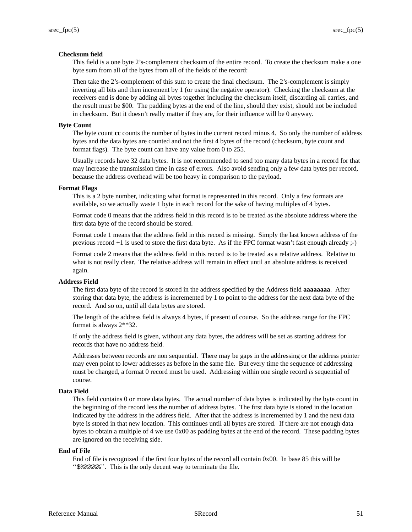# **Checksum field**

This field is a one byte 2's-complement checksum of the entire record. To create the checksum make a one byte sum from all of the bytes from all of the fields of the record:

Then take the 2's-complement of this sum to create the final checksum. The 2's-complement is simply inverting all bits and then increment by 1 (or using the negative operator). Checking the checksum at the receivers end is done by adding all bytes together including the checksum itself, discarding all carries, and the result must be \$00. The padding bytes at the end of the line, should they exist, should not be included in checksum. But it doesn't really matter if they are, for their influence will be 0 anyway.

# **Byte Count**

The byte count **cc** counts the number of bytes in the current record minus 4. So only the number of address bytes and the data bytes are counted and not the first 4 bytes of the record (checksum, byte count and format flags). The byte count can have any value from 0 to 255.

Usually records have 32 data bytes. It is not recommended to send too many data bytes in a record for that may increase the transmission time in case of errors. Also avoid sending only a few data bytes per record, because the address overhead will be too heavy in comparison to the payload.

## **Format Flags**

This is a 2 byte number, indicating what format is represented in this record. Only a few formats are available, so we actually waste 1 byte in each record for the sake of having multiples of 4 bytes.

Format code 0 means that the address field in this record is to be treated as the absolute address where the first data byte of the record should be stored.

Format code 1 means that the address field in this record is missing. Simply the last known address of the previous record +1 is used to store the first data byte. As if the FPC format wasn't fast enough already ;-)

Format code 2 means that the address field in this record is to be treated as a relative address. Relative to what is not really clear. The relative address will remain in effect until an absolute address is received again.

## **Address Field**

The first data byte of the record is stored in the address specified by the Address field **aaaaaaaa**. After storing that data byte, the address is incremented by 1 to point to the address for the next data byte of the record. And so on, until all data bytes are stored.

The length of the address field is always 4 bytes, if present of course. So the address range for the FPC format is always 2\*\*32.

If only the address field is given, without any data bytes, the address will be set as starting address for records that have no address field.

Addresses between records are non sequential. There may be gaps in the addressing or the address pointer may even point to lower addresses as before in the same file. But every time the sequence of addressing must be changed, a format 0 record must be used. Addressing within one single record *is* sequential of course.

## **Data Field**

This field contains 0 or more data bytes. The actual number of data bytes is indicated by the byte count in the beginning of the record less the number of address bytes. The first data byte is stored in the location indicated by the address in the address field. After that the address is incremented by 1 and the next data byte is stored in that new location. This continues until all bytes are stored. If there are not enough data bytes to obtain a multiple of 4 we use 0x00 as padding bytes at the end of the record. These padding bytes are ignored on the receiving side.

## **End of File**

End of file is recognized if the first four bytes of the record all contain 0x00. In base 85 this will be "\$%%%%". This is the only decent way to terminate the file.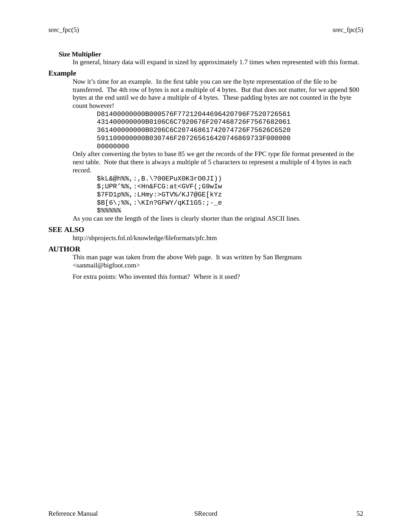# **Size Multiplier**

In general, binary data will expand in sized by approximately 1.7 times when represented with this format.

## **Example**

Now it's time for an example. In the first table you can see the byte representation of the file to be transferred. The 4th row of bytes is not a multiple of 4 bytes. But that does not matter, for we append \$00 bytes at the end until we do have a multiple of 4 bytes. These padding bytes are not counted in the byte count however!

D81400000000B000576F77212044696420796F7520726561 431400000000B0106C6C7920676F207468726F7567682061 361400000000B0206C6C20746861742074726F75626C6520 591100000000B030746F207265616420746869733F000000 00000000

Only after converting the bytes to base 85 we get the records of the FPC type file format presented in the next table. Note that there is always a multiple of 5 characters to represent a multiple of 4 bytes in each record.

```
$kL&@h%%,:,B.\?00EPuX0K3rO0JI))
$;UPR'%%,:<Hn&FCG:at<GVF(;G9wIw
$7FD1p%%,:LHmy:>GTV%/KJ7@GE[kYz
$B[6\;%%,:\KIn?GFWY/qKI1G5:;-_e
$%%%%%
```
As you can see the length of the lines is clearly shorter than the original ASCII lines.

# **SEE ALSO**

http://sbprojects.fol.nl/knowledge/fileformats/pfc.htm

# **AUTHOR**

This man page was taken from the above Web page. It was written by San Bergmans <sanmail@bigfoot.com>

For extra points: Who invented this format? Where is it used?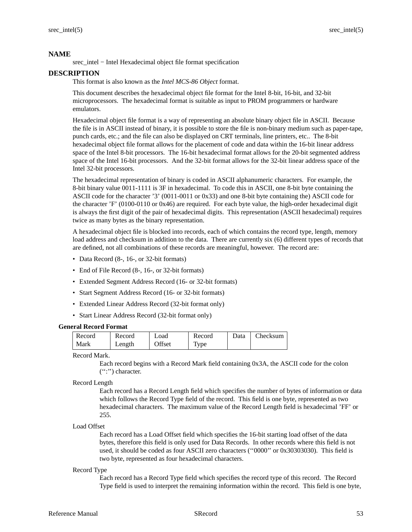srec\_intel − Intel Hexadecimal object file format specification

# **DESCRIPTION**

This format is also known as the *Intel MCS-86 Object* format.

This document describes the hexadecimal object file format for the Intel 8-bit, 16-bit, and 32-bit microprocessors. The hexadecimal format is suitable as input to PROM programmers or hardware emulators.

Hexadecimal object file format is a way of representing an absolute binary object file in ASCII. Because the file is in ASCII instead of binary, it is possible to store the file is non-binary medium such as paper-tape, punch cards, etc.; and the file can also be displayed on CRT terminals, line printers, etc.. The 8-bit hexadecimal object file format allows for the placement of code and data within the 16-bit linear address space of the Intel 8-bit processors. The 16-bit hexadecimal format allows for the 20-bit segmented address space of the Intel 16-bit processors. And the 32-bit format allows for the 32-bit linear address space of the Intel 32-bit processors.

The hexadecimal representation of binary is coded in ASCII alphanumeric characters. For example, the 8-bit binary value 0011-1111 is 3F in hexadecimal. To code this in ASCII, one 8-bit byte containing the ASCII code for the character '3' (0011-0011 or 0x33) and one 8-bit byte containing the) ASCII code for the character 'F' (0100-0110 or 0x46) are required. For each byte value, the high-order hexadecimal digit is always the first digit of the pair of hexadecimal digits. This representation (ASCII hexadecimal) requires twice as many bytes as the binary representation.

A hexadecimal object file is blocked into records, each of which contains the record type, length, memory load address and checksum in addition to the data. There are currently six (6) different types of records that are defined, not all combinations of these records are meaningful, however. The record are:

- Data Record (8-, 16-, or 32-bit formats)
- End of File Record (8-, 16-, or 32-bit formats)
- Extended Segment Address Record (16- or 32-bit formats)
- Start Segment Address Record (16- or 32-bit formats)
- Extended Linear Address Record (32-bit format only)
- Start Linear Address Record (32-bit format only)

### **General Record Format**

| Record | Record | Load   | Record | Data | Checksum |
|--------|--------|--------|--------|------|----------|
| Mark   | Length | Offset | Type   |      |          |

Record Mark.

Each record begins with a Record Mark field containing 0x3A, the ASCII code for the colon ('':'') character.

### Record Length

Each record has a Record Length field which specifies the number of bytes of information or data which follows the Record Type field of the record. This field is one byte, represented as two hexadecimal characters. The maximum value of the Record Length field is hexadecimal 'FF' or 255.

### Load Offset

Each record has a Load Offset field which specifies the 16-bit starting load offset of the data bytes, therefore this field is only used for Data Records. In other records where this field is not used, it should be coded as four ASCII zero characters (''0000'' or 0x30303030). This field is two byte, represented as four hexadecimal characters.

### Record Type

Each record has a Record Type field which specifies the record type of this record. The Record Type field is used to interpret the remaining information within the record. This field is one byte,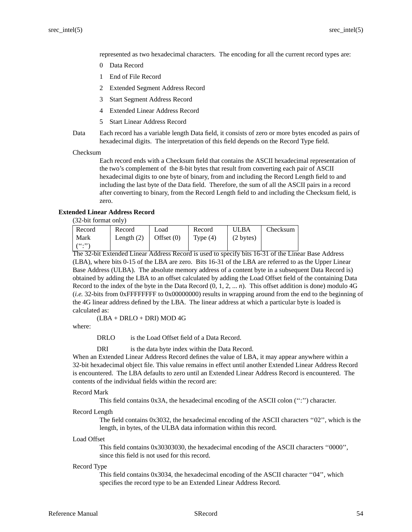represented as two hexadecimal characters. The encoding for all the current record types are:

- 0 Data Record
- 1 End of File Record
- 2 Extended Segment Address Record
- 3 Start Segment Address Record
- 4 Extended Linear Address Record
- 5 Start Linear Address Record

Data Each record has a variable length Data field, it consists of zero or more bytes encoded as pairs of hexadecimal digits. The interpretation of this field depends on the Record Type field.

Checksum

Each record ends with a Checksum field that contains the ASCII hexadecimal representation of the two's complement of the 8-bit bytes that result from converting each pair of ASCII hexadecimal digits to one byte of binary, from and including the Record Length field to and including the last byte of the Data field. Therefore, the sum of all the ASCII pairs in a record after converting to binary, from the Record Length field to and including the Checksum field, is zero.

### **Extended Linear Address Record**

(32-bit format only)

| Record   | Record       | Load         | Record     | <b>ULBA</b> | Checksum |
|----------|--------------|--------------|------------|-------------|----------|
| Mark     | Length $(2)$ | Offset $(0)$ | Type $(4)$ | (2 bytes)   |          |
| $($ ":") |              |              |            |             |          |

The 32-bit Extended Linear Address Record is used to specify bits 16-31 of the Linear Base Address (LBA), where bits 0-15 of the LBA are zero. Bits 16-31 of the LBA are referred to as the Upper Linear Base Address (ULBA). The absolute memory address of a content byte in a subsequent Data Record is) obtained by adding the LBA to an offset calculated by adding the Load Offset field of the containing Data Record to the index of the byte in the Data Record (0, 1, 2, ... *n*). This offset addition is done) modulo 4G (*i.e.* 32-bits from 0xFFFFFFFF to 0x00000000) results in wrapping around from the end to the beginning of the 4G linear address defined by the LBA. The linear address at which a particular byte is loaded is calculated as:

(LBA+DRLO + DRI) MOD 4G

where:

DRLO is the Load Offset field of a Data Record.

DRI is the data byte index within the Data Record.

When an Extended Linear Address Record defines the value of LBA, it may appear anywhere within a 32-bit hexadecimal object file. This value remains in effect until another Extended Linear Address Record is encountered. The LBA defaults to zero until an Extended Linear Address Record is encountered. The contents of the individual fields within the record are:

### Record Mark

This field contains 0x3A, the hexadecimal encoding of the ASCII colon ('':'') character.

### Record Length

The field contains 0x3032, the hexadecimal encoding of the ASCII characters ''02'', which is the length, in bytes, of the ULBA data information within this record.

### Load Offset

This field contains 0x30303030, the hexadecimal encoding of the ASCII characters ''0000'', since this field is not used for this record.

#### Record Type

This field contains 0x3034, the hexadecimal encoding of the ASCII character ''04'', which specifies the record type to be an Extended Linear Address Record.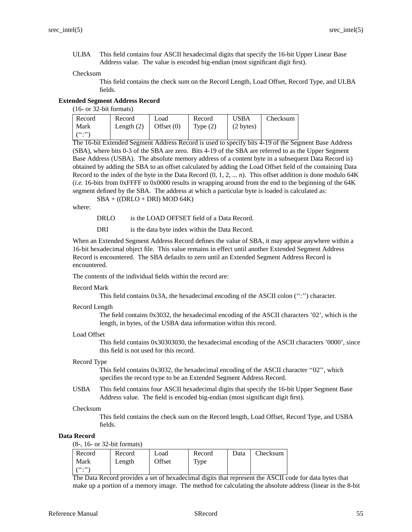ULBA This field contains four ASCII hexadecimal digits that specify the 16-bit Upper Linear Base Address value. The value is encoded big-endian (most significant digit first).

### Checksum

This field contains the check sum on the Record Length, Load Offset, Record Type, and ULBA fields.

## **Extended Segment Address Record**

(16- or 32-bit formats)

| Record         | Record       | Load         | Record     | <b>USBA</b> | Checksum |
|----------------|--------------|--------------|------------|-------------|----------|
| Mark           | Length $(2)$ | Offset $(0)$ | Type $(2)$ | (2 bytes)   |          |
| $($ $($ ., $,$ |              |              |            |             |          |

The 16-bit Extended Segment Address Record is used to specify bits 4-19 of the Segment Base Address (SBA), where bits 0-3 of the SBA are zero. Bits 4-19 of the SBA are referred to as the Upper Segment Base Address (USBA). The absolute memory address of a content byte in a subsequent Data Record is) obtained by adding the SBA to an offset calculated by adding the Load Offset field of the containing Data Record to the index of the byte in the Data Record  $(0, 1, 2, \ldots n)$ . This offset addition is done modulo 64K (*i.e.* 16-bits from 0xFFFF to 0x0000 results in wrapping around from the end to the beginning of the 64K segment defined by the SBA. The address at which a particular byte is loaded is calculated as:

 $SBA + ((DRLO + DRI) MOD 64K)$ 

where:

DRLO is the LOAD OFFSET field of a Data Record.

DRI is the data byte index within the Data Record.

When an Extended Segment Address Record defines the value of SBA, it may appear anywhere within a 16-bit hexadecimal object file. This value remains in effect until another Extended Segment Address Record is encountered. The SBA defaults to zero until an Extended Segment Address Record is encountered.

The contents of the individual fields within the record are:

### Record Mark

This field contains 0x3A, the hexadecimal encoding of the ASCII colon ('':'') character.

### Record Length

The field contains 0x3032, the hexadecimal encoding of the ASCII characters '02', which is the length, in bytes, of the USBA data information within this record.

### Load Offset

This field contains 0x30303030, the hexadecimal encoding of the ASCII characters '0000', since this field is not used for this record.

# Record Type

This field contains 0x3032, the hexadecimal encoding of the ASCII character ''02'', which specifies the record type to be an Extended Segment Address Record.

USBA This field contains four ASCII hexadecimal digits that specify the 16-bit Upper Segment Base Address value. The field is encoded big-endian (most significant digit first).

### Checksum

This field contains the check sum on the Record length, Load Offset, Record Type, and USBA fields.

## **Data Record**

(8-, 16- or 32-bit formats)

| Record          | Record | Load   | Record | Data | Checksum |
|-----------------|--------|--------|--------|------|----------|
| Mark            | Length | Offset | Type   |      |          |
| $\binom{16}{1}$ |        |        |        |      |          |

The Data Record provides a set of hexadecimal digits that represent the ASCII code for data bytes that make up a portion of a memory image. The method for calculating the absolute address (linear in the 8-bit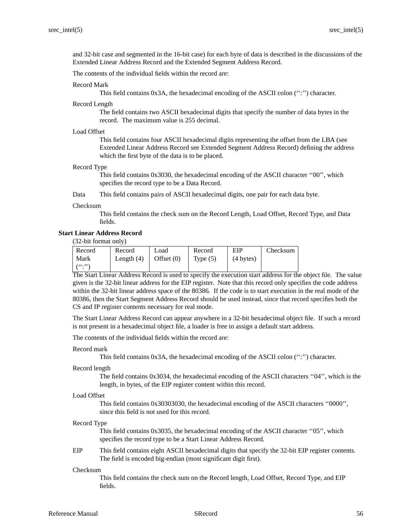and 32-bit case and segmented in the 16-bit case) for each byte of data is described in the discussions of the Extended Linear Address Record and the Extended Segment Address Record.

The contents of the individual fields within the record are:

#### Record Mark

This field contains 0x3A, the hexadecimal encoding of the ASCII colon (":") character.

#### Record Length

The field contains two ASCII hexadecimal digits that specify the number of data bytes in the record. The maximum value is 255 decimal.

### Load Offset

This field contains four ASCII hexadecimal digits representing the offset from the LBA (see Extended Linear Address Record see Extended Segment Address Record) defining the address which the first byte of the data is to be placed.

### Record Type

This field contains 0x3030, the hexadecimal encoding of the ASCII character ''00'', which specifies the record type to be a Data Record.

Data This field contains pairs of ASCII hexadecimal digits, one pair for each data byte.

### Checksum

This field contains the check sum on the Record Length, Load Offset, Record Type, and Data fields.

## **Start Linear Address Record**

(32-bit format only)

| Record         | Record       | Load         | Record     | EIP                 | Checksum |
|----------------|--------------|--------------|------------|---------------------|----------|
| Mark           | Length $(4)$ | Offset $(0)$ | Type $(5)$ | $(4 \text{ bytes})$ |          |
| $($ $($ ., $,$ |              |              |            |                     |          |

The Start Linear Address Record is used to specify the execution start address for the object file. The value given is the 32-bit linear address for the EIP register. Note that this record only specifies the code address within the 32-bit linear address space of the 80386. If the code is to start execution in the real mode of the 80386, then the Start Segment Address Record should be used instead, since that record specifies both the CS and IP register contents necessary for real mode.

The Start Linear Address Record can appear anywhere in a 32-bit hexadecimal object file. If such a record is not present in a hexadecimal object file, a loader is free to assign a default start address.

The contents of the individual fields within the record are:

#### Record mark

This field contains 0x3A, the hexadecimal encoding of the ASCII colon (":") character.

#### Record length

The field contains 0x3034, the hexadecimal encoding of the ASCII characters ''04'', which is the length, in bytes, of the EIP register content within this record.

### Load Offset

This field contains 0x30303030, the hexadecimal encoding of the ASCII characters ''0000'', since this field is not used for this record.

#### Record Type

This field contains 0x3035, the hexadecimal encoding of the ASCII character ''05'', which specifies the record type to be a Start Linear Address Record.

# EIP This field contains eight ASCII hexadecimal digits that specify the 32-bit EIP register contents. The field is encoded big-endian (most significant digit first).

#### Checksum

This field contains the check sum on the Record length, Load Offset, Record Type, and EIP fields.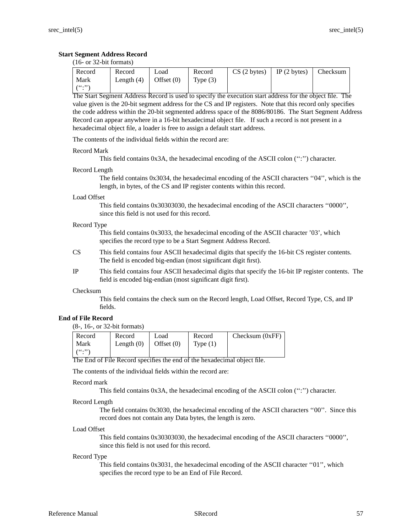# **Start Segment Address Record**

(16- or 32-bit formats)

| ' Record        | Record       | Load                    | Record | CS(2 bytes) | $\vert$ IP (2 bytes) | Checksum |
|-----------------|--------------|-------------------------|--------|-------------|----------------------|----------|
| Mark            | Length $(4)$ | Offset $(0)$ Type $(3)$ |        |             |                      |          |
| $(1 - (10.328)$ |              |                         |        |             |                      |          |

The Start Segment Address Record is used to specify the execution start address for the object file. The value given is the 20-bit segment address for the CS and IP registers. Note that this record only specifies the code address within the 20-bit segmented address space of the 8086/80186. The Start Segment Address Record can appear anywhere in a 16-bit hexadecimal object file. If such a record is not present in a hexadecimal object file, a loader is free to assign a default start address.

The contents of the individual fields within the record are:

### Record Mark

This field contains 0x3A, the hexadecimal encoding of the ASCII colon ('':'') character.

### Record Length

The field contains 0x3034, the hexadecimal encoding of the ASCII characters ''04'', which is the length, in bytes, of the CS and IP register contents within this record.

### Load Offset

This field contains 0x30303030, the hexadecimal encoding of the ASCII characters ''0000'', since this field is not used for this record.

### Record Type

This field contains 0x3033, the hexadecimal encoding of the ASCII character '03', which specifies the record type to be a Start Segment Address Record.

- CS This field contains four ASCII hexadecimal digits that specify the 16-bit CS register contents. The field is encoded big-endian (most significant digit first).
- IP This field contains four ASCII hexadecimal digits that specify the 16-bit IP register contents. The field is encoded big-endian (most significant digit first).

### Checksum

This field contains the check sum on the Record length, Load Offset, Record Type, CS, and IP fields.

# **End of File Record**

<sup>(8-, 16-,</sup> or 32-bit formats)

| Record             | Record       | Load         | Record     | Checksum $(0xFF)$ |
|--------------------|--------------|--------------|------------|-------------------|
| Mark               | Length $(0)$ | Offset $(0)$ | Type $(1)$ |                   |
| $($ ( $($ ., $)$ ) |              |              |            |                   |

The End of File Record specifies the end of the hexadecimal object file.

The contents of the individual fields within the record are:

### Record mark

This field contains 0x3A, the hexadecimal encoding of the ASCII colon (":") character.

### Record Length

The field contains 0x3030, the hexadecimal encoding of the ASCII characters ''00''. Since this record does not contain any Data bytes, the length is zero.

### Load Offset

This field contains 0x30303030, the hexadecimal encoding of the ASCII characters ''0000'', since this field is not used for this record.

### Record Type

This field contains 0x3031, the hexadecimal encoding of the ASCII character ''01'', which specifies the record type to be an End of File Record.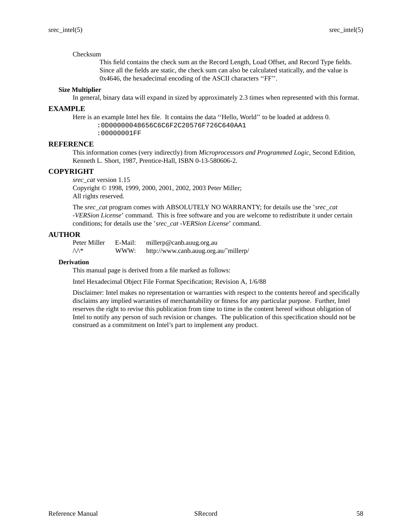### Checksum

This field contains the check sum an the Record Length, Load Offset, and Record Type fields. Since all the fields are static, the check sum can also be calculated statically, and the value is 0x4646, the hexadecimal encoding of the ASCII characters ''FF''.

### **Size Multiplier**

In general, binary data will expand in sized by approximately 2.3 times when represented with this format.

### **EXAMPLE**

Here is an example Intel hex file. It contains the data ''Hello, World'' to be loaded at address 0. :0D00000048656C6C6F2C20576F726C640AA1 :00000001FF

## **REFERENCE**

This information comes (very indirectly) from *Microprocessors and Programmed Logic,* Second Edition, Kenneth L. Short, 1987, Prentice-Hall, ISBN 0-13-580606-2.

# **COPYRIGHT**

*srec\_cat* version 1.15 Copyright © 1998, 1999, 2000, 2001, 2002, 2003 Peter Miller; All rights reserved.

The *srec\_cat* program comes with ABSOLUTELY NO WARRANTY; for details use the '*srec\_cat -VERSion License*' command. This is free software and you are welcome to redistribute it under certain conditions; for details use the '*srec\_cat -VERSion License*' command.

## **AUTHOR**

Peter Miller E-Mail: millerp@canb.auug.org.au  $\Diamond \Diamond$  WWW: http://www.canb.auug.org.au/~millerp/

### **Derivation**

This manual page is derived from a file marked as follows:

Intel Hexadecimal Object File Format Specification; Revision A, 1/6/88

Disclaimer: Intel makes no representation or warranties with respect to the contents hereof and specifically disclaims any implied warranties of merchantability or fitness for any particular purpose. Further, Intel reserves the right to revise this publication from time to time in the content hereof without obligation of Intel to notify any person of such revision or changes. The publication of this specification should not be construed as a commitment on Intel's part to implement any product.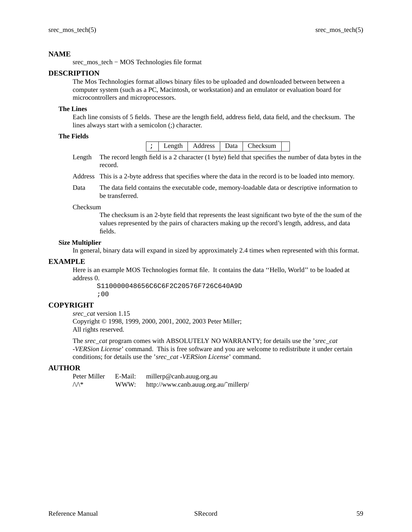srec\_mos\_tech − MOS Technologies file format

## **DESCRIPTION**

The Mos Technologies format allows binary files to be uploaded and downloaded between between a computer system (such as a PC, Macintosh, or workstation) and an emulator or evaluation board for microcontrollers and microprocessors.

## **The Lines**

Each line consists of 5 fields. These are the length field, address field, data field, and the checksum. The lines always start with a semicolon (;) character.

# **The Fields**

| $\Gamma$ hecksum<br>Address<br>enoth<br>Data<br>. |  |
|---------------------------------------------------|--|
|---------------------------------------------------|--|

Length The record length field is a 2 character (1 byte) field that specifies the number of data bytes in the record.

- Address This is a 2-byte address that specifies where the data in the record is to be loaded into memory.
- Data The data field contains the executable code, memory-loadable data or descriptive information to be transferred.

## Checksum

The checksum is an 2-byte field that represents the least significant two byte of the the sum of the values represented by the pairs of characters making up the record's length, address, and data fields.

## **Size Multiplier**

In general, binary data will expand in sized by approximately 2.4 times when represented with this format.

## **EXAMPLE**

Here is an example MOS Technologies format file. It contains the data ''Hello, World'' to be loaded at address 0.

S110000048656C6C6F2C20576F726C640A9D ;00

# **COPYRIGHT**

*srec\_cat* version 1.15 Copyright © 1998, 1999, 2000, 2001, 2002, 2003 Peter Miller; All rights reserved.

The *srec\_cat* program comes with ABSOLUTELY NO WARRANTY; for details use the '*srec\_cat -VERSion License*' command. This is free software and you are welcome to redistribute it under certain conditions; for details use the '*srec\_cat -VERSion License*' command.

## **AUTHOR**

Peter Miller E-Mail: millerp@canb.auug.org.au  $\mathcal{W}^*$  WWW: http://www.canb.auug.org.au/~millerp/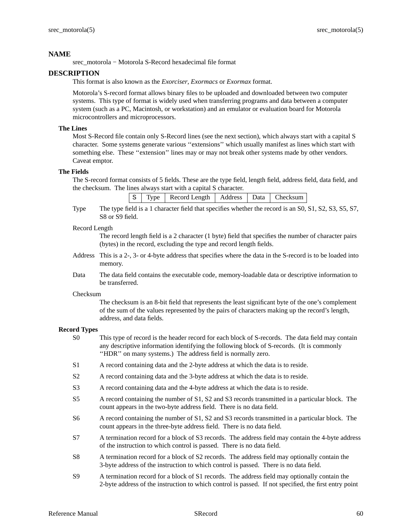srec\_motorola – Motorola S-Record hexadecimal file format

# **DESCRIPTION**

This format is also known as the *Exorciser*, *Exormacs* or *Exormax* format.

Motorola's S-record format allows binary files to be uploaded and downloaded between two computer systems. This type of format is widely used when transferring programs and data between a computer system (such as a PC, Macintosh, or workstation) and an emulator or evaluation board for Motorola microcontrollers and microprocessors.

# **The Lines**

Most S-Record file contain only S-Record lines (see the next section), which always start with a capital S character. Some systems generate various ''extensions'' which usually manifest as lines which start with something else. These ''extension'' lines may or may not break other systems made by other vendors. Caveat emptor.

## **The Fields**

The S-record format consists of 5 fields. These are the type field, length field, address field, data field, and the checksum. The lines always start with a capital S character.

|  |  |  | S   Type   Record Length   Address   Data   Checksum |  |  |  |  |
|--|--|--|------------------------------------------------------|--|--|--|--|
|--|--|--|------------------------------------------------------|--|--|--|--|

Type The type field is a 1 character field that specifies whether the record is an S0, S1, S2, S3, S5, S7, S8 or S9 field.

### Record Length

The record length field is a 2 character (1 byte) field that specifies the number of character pairs (bytes) in the record, excluding the type and record length fields.

- Address This is a 2-, 3- or 4-byte address that specifies where the data in the S-record is to be loaded into memory.
- Data The data field contains the executable code, memory-loadable data or descriptive information to be transferred.

### Checksum

The checksum is an 8-bit field that represents the least significant byte of the one's complement of the sum of the values represented by the pairs of characters making up the record's length, address, and data fields.

### **Record Types**

- S0 This type of record is the header record for each block of S-records. The data field may contain any descriptive information identifying the following block of S-records. (It is commonly "HDR" on many systems.) The address field is normally zero.
- S1 A record containing data and the 2-byte address at which the data is to reside.
- S2 A record containing data and the 3-byte address at which the data is to reside.
- S3 A record containing data and the 4-byte address at which the data is to reside.
- S5 A record containing the number of S1, S2 and S3 records transmitted in a particular block. The count appears in the two-byte address field. There is no data field.
- S6 A record containing the number of S1, S2 and S3 records transmitted in a particular block. The count appears in the three-byte address field. There is no data field.
- S7 A termination record for a block of S3 records. The address field may contain the 4-byte address of the instruction to which control is passed. There is no data field.
- S8 A termination record for a block of S2 records. The address field may optionally contain the 3-byte address of the instruction to which control is passed. There is no data field.
- S9 A termination record for a block of S1 records. The address field may optionally contain the 2-byte address of the instruction to which control is passed. If not specified, the first entry point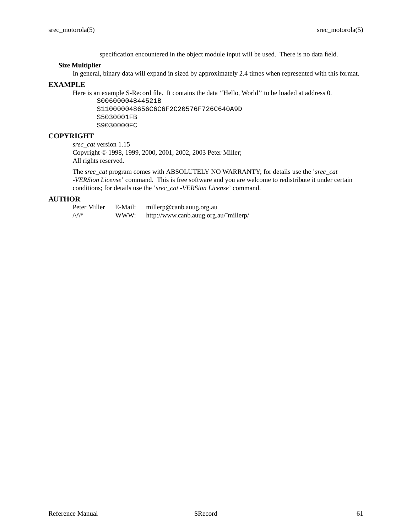specification encountered in the object module input will be used. There is no data field.

### **Size Multiplier**

In general, binary data will expand in sized by approximately 2.4 times when represented with this format.

# **EXAMPLE**

Here is an example S-Record file. It contains the data ''Hello, World'' to be loaded at address 0.

S00600004844521B S110000048656C6C6F2C20576F726C640A9D S5030001FB S9030000FC

# **COPYRIGHT**

*srec\_cat* version 1.15 Copyright © 1998, 1999, 2000, 2001, 2002, 2003 Peter Miller; All rights reserved.

The *srec\_cat* program comes with ABSOLUTELY NO WARRANTY; for details use the '*srec\_cat -VERSion License*' command. This is free software and you are welcome to redistribute it under certain conditions; for details use the '*srec\_cat -VERSion License*' command.

## **AUTHOR**

Peter Miller E-Mail: millerp@canb.auug.org.au  $\Diamond \Diamond$  WWW: http://www.canb.auug.org.au/~millerp/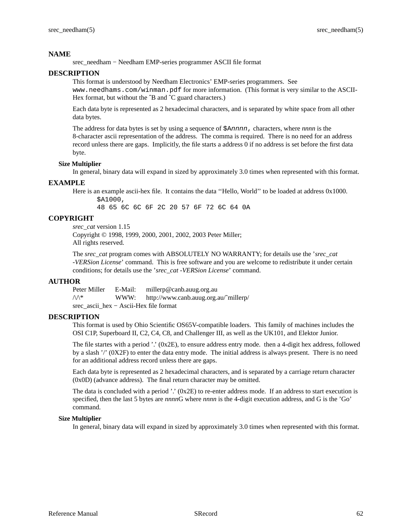srec\_needham − Needham EMP-series programmer ASCII file format

# **DESCRIPTION**

This format is understood by Needham Electronics' EMP-series programmers. See www.needhams.com/winman.pdf for more information. (This format is very similar to the ASCII-Hex format, but without the  $\hat{B}$  and  $\hat{C}$  guard characters.)

Each data byte is represented as 2 hexadecimal characters, and is separated by white space from all other data bytes.

The address for data bytes is set by using a sequence of \$Annnn, characters, where *nnnn* is the 8-character ascii representation of the address. The comma is required. There is no need for an address record unless there are gaps. Implicitly, the file starts a address 0 if no address is set before the first data byte.

## **Size Multiplier**

\$A1000,

In general, binary data will expand in sized by approximately 3.0 times when represented with this format.

# **EXAMPLE**

Here is an example ascii-hex file. It contains the data ''Hello, World'' to be loaded at address 0x1000.

48 65 6C 6C 6F 2C 20 57 6F 72 6C 64 0A

# **COPYRIGHT**

*srec\_cat* version 1.15 Copyright © 1998, 1999, 2000, 2001, 2002, 2003 Peter Miller; All rights reserved.

The *srec\_cat* program comes with ABSOLUTELY NO WARRANTY; for details use the '*srec\_cat -VERSion License*' command. This is free software and you are welcome to redistribute it under certain conditions; for details use the '*srec\_cat -VERSion License*' command.

# **AUTHOR**

Peter Miller E-Mail: millerp@canb.auug.org.au  $\sqrt{\Lambda^*}$  WWW: http://www.canb.auug.org.au/~millerp/ srec\_ascii\_hex−Ascii-Hex file format

# **DESCRIPTION**

This format is used by Ohio Scientific OS65V-compatible loaders. This family of machines includes the OSI C1P, Superboard II, C2, C4, C8, and Challenger III, as well as the UK101, and Elektor Junior.

The file startes with a period '.' (0x2E), to ensure address entry mode. then a 4-digit hex address, followed by a slash '/' (0X2F) to enter the data entry mode. The initial address is always present. There is no need for an additional address record unless there are gaps.

Each data byte is represented as 2 hexadecimal characters, and is separated by a carriage return character (0x0D) (advance address). The final return character may be omitted.

The data is concluded with a period '.'  $(0x2E)$  to re-enter address mode. If an address to start execution is specified, then the last 5 bytes are *nnnn*G where *nnnn* is the 4-digit execution address, and G is the 'Go' command.

## **Size Multiplier**

In general, binary data will expand in sized by approximately 3.0 times when represented with this format.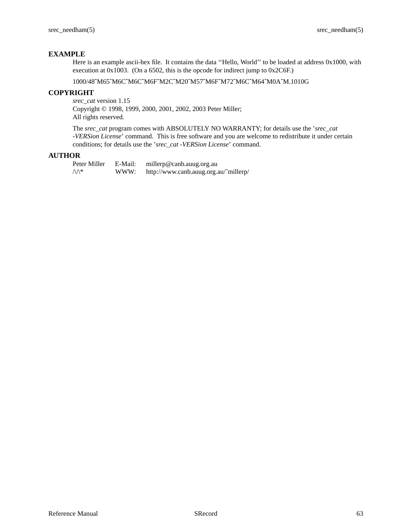# **EXAMPLE**

Here is an example ascii-hex file. It contains the data ''Hello, World'' to be loaded at address 0x1000, with execution at 0x1003. (On a 6502, this is the opcode for indirect jump to 0x2C6F.)

1000/48ˆM65ˆM6CˆM6CˆM6FˆM2CˆM20ˆM57ˆM6FˆM72ˆM6CˆM64ˆM0AˆM.1010G

# **COPYRIGHT**

*srec\_cat* version 1.15 Copyright © 1998, 1999, 2000, 2001, 2002, 2003 Peter Miller; All rights reserved.

The *srec\_cat* program comes with ABSOLUTELY NO WARRANTY; for details use the '*srec\_cat -VERSion License*' command. This is free software and you are welcome to redistribute it under certain conditions; for details use the '*srec\_cat -VERSion License*' command.

## **AUTHOR**

Peter Miller E-Mail: millerp@canb.auug.org.au  $\sqrt{\Lambda^*}$  WWW: http://www.canb.auug.org.au/~millerp/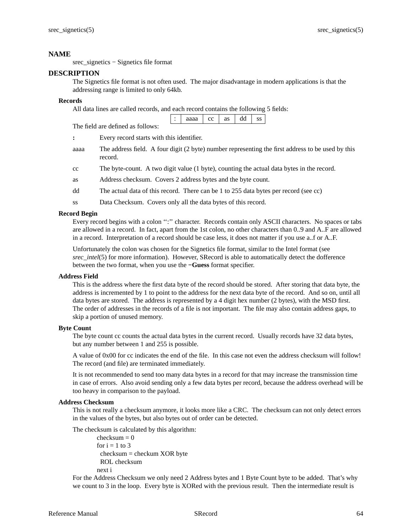srec\_signetics − Signetics file format

## **DESCRIPTION**

The Signetics file format is not often used. The major disadvantage in modern applications is that the addressing range is limited to only 64kb.

## **Records**

All data lines are called records, and each record contains the following 5 fields:

|                                   | aaaa   $cc$   as |  | dd |  |
|-----------------------------------|------------------|--|----|--|
| The field are defined as follows: |                  |  |    |  |

**:** Every record starts with this identifier.

- aaaa The address field. A four digit (2 byte) number representing the first address to be used by this record.
- cc The byte-count. A two digit value (1 byte), counting the actual data bytes in the record.
- as Address checksum. Covers 2 address bytes and the byte count.
- dd The actual data of this record. There can be 1 to 255 data bytes per record (see cc)
- ss Data Checksum. Covers only all the data bytes of this record.

# **Record Begin**

Every record begins with a colon '':'' character. Records contain only ASCII characters. No spaces or tabs are allowed in a record. In fact, apart from the 1st colon, no other characters than 0..9 and A..F are allowed in a record. Interpretation of a record should be case less, it does not matter if you use a..f or A..F.

Unfortunately the colon was chosen for the Signetics file format, similar to the Intel format (see *srec\_intel*(5) for more information). However, SRecord is able to automatically detect the dofference between the two format, when you use the **−Guess** format specifier.

## **Address Field**

This is the address where the first data byte of the record should be stored. After storing that data byte, the address is incremented by 1 to point to the address for the next data byte of the record. And so on, until all data bytes are stored. The address is represented by a 4 digit hex number (2 bytes), with the MSD first. The order of addresses in the records of a file is not important. The file may also contain address gaps, to skip a portion of unused memory.

## **Byte Count**

The byte count cc counts the actual data bytes in the current record. Usually records have 32 data bytes, but any number between 1 and 255 is possible.

A value of 0x00 for cc indicates the end of the file. In this case not even the address checksum will follow! The record (and file) are terminated immediately.

It is not recommended to send too many data bytes in a record for that may increase the transmission time in case of errors. Also avoid sending only a few data bytes per record, because the address overhead will be too heavy in comparison to the payload.

## **Address Checksum**

This is not really a checksum anymore, it looks more like a CRC. The checksum can not only detect errors in the values of the bytes, but also bytes out of order can be detected.

The checksum is calculated by this algorithm:

 $checksum = 0$ for  $i = 1$  to 3 checksum = checkum XOR byte ROL checksum next i

For the Address Checksum we only need 2 Address bytes and 1 Byte Count byte to be added. That's why we count to 3 in the loop. Every byte is XORed with the previous result. Then the intermediate result is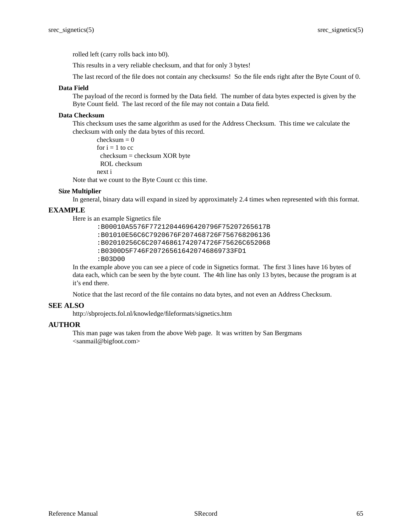rolled left (carry rolls back into b0).

This results in a very reliable checksum, and that for only 3 bytes!

The last record of the file does not contain any checksums! So the file ends right after the Byte Count of 0.

#### **Data Field**

The payload of the record is formed by the Data field. The number of data bytes expected is given by the Byte Count field. The last record of the file may not contain a Data field.

## **Data Checksum**

This checksum uses the same algorithm as used for the Address Checksum. This time we calculate the checksum with only the data bytes of this record.

```
checksum = 0
for i = 1 to cc
 checksum = checksum XOR byte
 ROL checksum
next i
```
Note that we count to the Byte Count cc this time.

#### **Size Multiplier**

In general, binary data will expand in sized by approximately 2.4 times when represented with this format.

# **EXAMPLE**

Here is an example Signetics file

```
:B00010A5576F77212044696420796F75207265617B
:B01010E56C6C7920676F207468726F756768206136
:B02010256C6C20746861742074726F75626C652068
:B0300D5F746F207265616420746869733FD1
:B03D00
```
In the example above you can see a piece of code in Signetics format. The first 3 lines have 16 bytes of data each, which can be seen by the byte count. The 4th line has only 13 bytes, because the program is at it's end there.

Notice that the last record of the file contains no data bytes, and not even an Address Checksum.

#### **SEE ALSO**

http://sbprojects.fol.nl/knowledge/fileformats/signetics.htm

## **AUTHOR**

This man page was taken from the above Web page. It was written by San Bergmans <sanmail@bigfoot.com>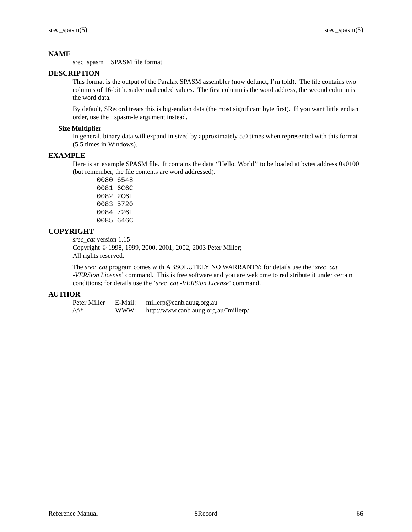srec\_spasm − SPASM file format

# **DESCRIPTION**

This format is the output of the Paralax SPASM assembler (now defunct, I'm told). The file contains two columns of 16-bit hexadecimal coded values. The first column is the word address, the second column is the word data.

By default, SRecord treats this is big-endian data (the most significant byte first). If you want little endian order, use the −spasm-le argument instead.

## **Size Multiplier**

In general, binary data will expand in sized by approximately 5.0 times when represented with this format (5.5 times in Windows).

# **EXAMPLE**

Here is an example SPASM file. It contains the data ''Hello, World'' to be loaded at bytes address 0x0100 (but remember, the file contents are word addressed).

# **COPYRIGHT**

*srec\_cat* version 1.15

Copyright © 1998, 1999, 2000, 2001, 2002, 2003 Peter Miller; All rights reserved.

The *srec\_cat* program comes with ABSOLUTELY NO WARRANTY; for details use the '*srec\_cat -VERSion License*' command. This is free software and you are welcome to redistribute it under certain conditions; for details use the '*srec\_cat -VERSion License*' command.

| Peter Miller     | E-Mail: | millerp@canb.auug.org.au              |
|------------------|---------|---------------------------------------|
| $\wedge\wedge^*$ | WWW:    | http://www.canb.auug.org.au/~millerp/ |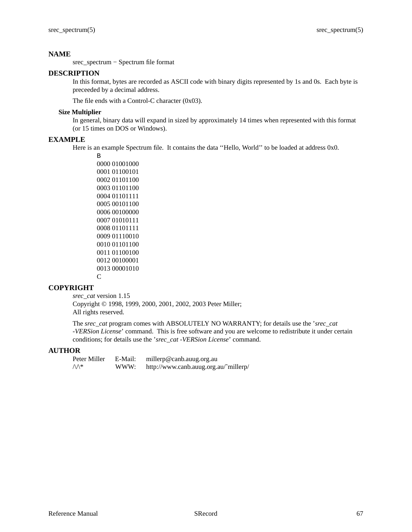srec\_spectrum − Spectrum file format

## **DESCRIPTION**

In this format, bytes are recorded as ASCII code with binary digits represented by 1s and 0s. Each byte is preceeded by a decimal address.

The file ends with a Control-C character (0x03).

## **Size Multiplier**

In general, binary data will expand in sized by approximately 14 times when represented with this format (or 15 times on DOS or Windows).

## **EXAMPLE**

Here is an example Spectrum file. It contains the data ''Hello, World'' to be loaded at address 0x0.

```
B
0000 01001000
0001 01100101
0002 01101100
0003 01101100
0004 01101111
0005 00101100
0006 00100000
0007 01010111
0008 01101111
0009 01110010
0010 01101100
0011 01100100
0012 00100001
0013 00001010
C
```
# **COPYRIGHT**

*srec\_cat* version 1.15 Copyright © 1998, 1999, 2000, 2001, 2002, 2003 Peter Miller; All rights reserved.

The *srec\_cat* program comes with ABSOLUTELY NO WARRANTY; for details use the '*srec\_cat -VERSion License*' command. This is free software and you are welcome to redistribute it under certain conditions; for details use the '*srec\_cat -VERSion License*' command.

| Peter Miller     | E-Mail: | millerp@canb.auug.org.au              |
|------------------|---------|---------------------------------------|
| $\wedge\wedge^*$ | WWW:    | http://www.canb.auug.org.au/~millerp/ |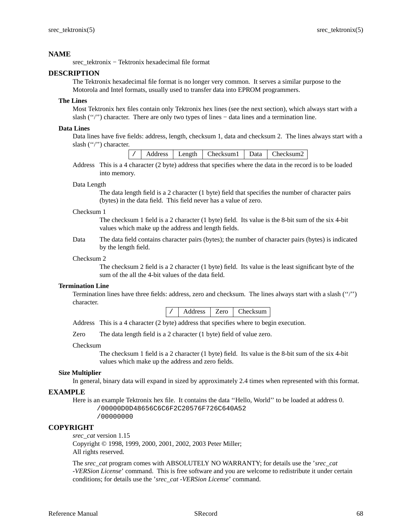srec\_tektronix − Tektronix hexadecimal file format

## **DESCRIPTION**

The Tektronix hexadecimal file format is no longer very common. It serves a similar purpose to the Motorola and Intel formats, usually used to transfer data into EPROM programmers.

## **The Lines**

Most Tektronix hex files contain only Tektronix hex lines (see the next section), which always start with a slash ("'') character. There are only two types of lines – data lines and a termination line.

## **Data Lines**

Data lines have five fields: address, length, checksum 1, data and checksum 2. The lines always start with a slash ("/") character.

|  |  |  |  | Address   Length   Checksum1   Data   Checksum2 |  |  |
|--|--|--|--|-------------------------------------------------|--|--|
|--|--|--|--|-------------------------------------------------|--|--|

Address This is a 4 character (2 byte) address that specifies where the data in the record is to be loaded into memory.

#### Data Length

The data length field is a 2 character (1 byte) field that specifies the number of character pairs (bytes) in the data field. This field never has a value of zero.

#### Checksum 1

The checksum 1 field is a 2 character (1 byte) field. Its value is the 8-bit sum of the six 4-bit values which make up the address and length fields.

Data The data field contains character pairs (bytes); the number of character pairs (bytes) is indicated by the length field.

## Checksum 2

The checksum 2 field is a 2 character (1 byte) field. Its value is the least significant byte of the sum of the all the 4-bit values of the data field.

#### **Termination Line**

Termination lines have three fields: address, zero and checksum. The lines always start with a slash (''/'') character.

Address This is a 4 character (2 byte) address that specifies where to begin execution.

Zero The data length field is a 2 character (1 byte) field of value zero.

#### Checksum

The checksum 1 field is a 2 character (1 byte) field. Its value is the 8-bit sum of the six 4-bit values which make up the address and zero fields.

## **Size Multiplier**

In general, binary data will expand in sized by approximately 2.4 times when represented with this format.

#### **EXAMPLE**

Here is an example Tektronix hex file. It contains the data ''Hello, World'' to be loaded at address 0. /00000D0D48656C6C6F2C20576F726C640A52

/00000000

#### **COPYRIGHT**

*srec\_cat* version 1.15

Copyright © 1998, 1999, 2000, 2001, 2002, 2003 Peter Miller; All rights reserved.

The *srec\_cat* program comes with ABSOLUTELY NO WARRANTY; for details use the '*srec\_cat -VERSion License*' command. This is free software and you are welcome to redistribute it under certain conditions; for details use the '*srec\_cat -VERSion License*' command.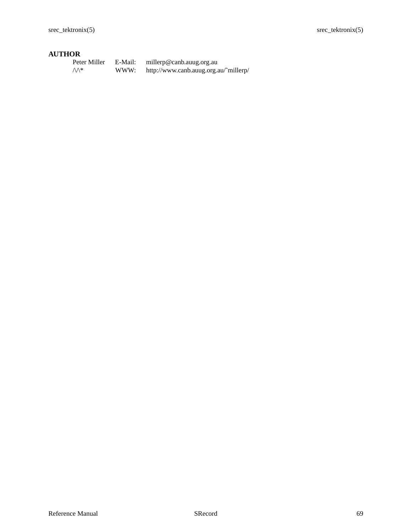| Peter Miller    | E-Mail: | millerp@canb.auug.org.au              |
|-----------------|---------|---------------------------------------|
| $\mathcal{M}^*$ | WWW:    | http://www.canb.auug.org.au/~millerp/ |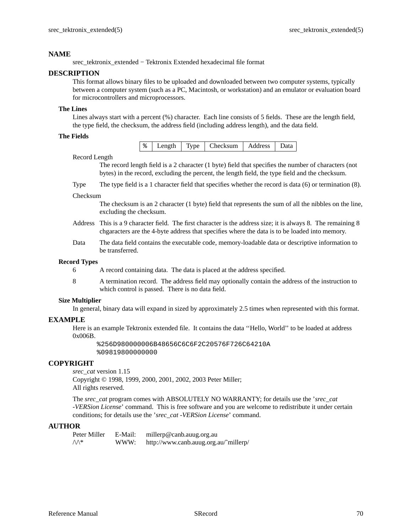srec\_tektronix\_extended − Tektronix Extended hexadecimal file format

## **DESCRIPTION**

This format allows binary files to be uploaded and downloaded between two computer systems, typically between a computer system (such as a PC, Macintosh, or workstation) and an emulator or evaluation board for microcontrollers and microprocessors.

## **The Lines**

Lines always start with a percent (%) character. Each line consists of 5 fields. These are the length field, the type field, the checksum, the address field (including address length), and the data field.

## **The Fields**

| $\frac{8}{6}$<br>Type   Checksum   Address  <br>I enoth |
|---------------------------------------------------------|
|---------------------------------------------------------|

#### Record Length

The record length field is a 2 character (1 byte) field that specifies the number of characters (not bytes) in the record, excluding the percent, the length field, the type field and the checksum.

Type The type field is a 1 character field that specifies whether the record is data (6) or termination (8).

#### Checksum

The checksum is an 2 character (1 byte) field that represents the sum of all the nibbles on the line, excluding the checksum.

- Address This is a 9 character field. The first character is the address size; it is always 8. The remaining 8 chgaracters are the 4-byte address that specifies where the data is to be loaded into memory.
- Data The data field contains the executable code, memory-loadable data or descriptive information to be transferred.

## **Record Types**

- 6 A record containing data. The data is placed at the address specified.
- 8 A termination record. The address field may optionally contain the address of the instruction to which control is passed. There is no data field.

## **Size Multiplier**

In general, binary data will expand in sized by approximately 2.5 times when represented with this format.

## **EXAMPLE**

Here is an example Tektronix extended file. It contains the data ''Hello, World'' to be loaded at address 0x006B.

%256D980000006B48656C6C6F2C20576F726C64210A %09819800000000

## **COPYRIGHT**

*srec\_cat* version 1.15

Copyright © 1998, 1999, 2000, 2001, 2002, 2003 Peter Miller; All rights reserved.

The *srec\_cat* program comes with ABSOLUTELY NO WARRANTY; for details use the '*srec\_cat -VERSion License*' command. This is free software and you are welcome to redistribute it under certain conditions; for details use the '*srec\_cat -VERSion License*' command.

| Peter Miller | E-Mail: | millerp@canb.auug.org.au              |
|--------------|---------|---------------------------------------|
| ∧∧*          | WWW:    | http://www.canb.auug.org.au/~millerp/ |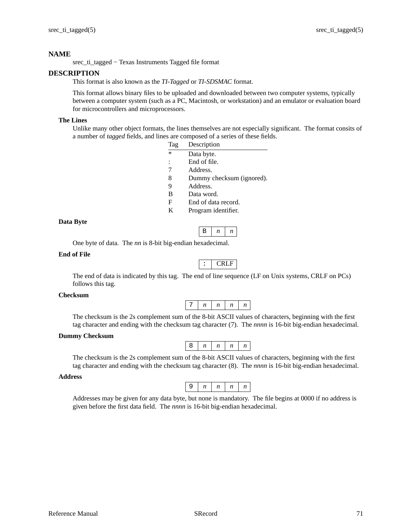srec\_ti\_tagged − Texas Instruments Tagged file format

# **DESCRIPTION**

This format is also known as the *TI-Tagged* or *TI-SDSMAC* format.

This format allows binary files to be uploaded and downloaded between two computer systems, typically between a computer system (such as a PC, Macintosh, or workstation) and an emulator or evaluation board for microcontrollers and microprocessors.

## **The Lines**

Unlike many other object formats, the lines themselves are not especially significant. The format consits of a number of *tagged* fields, and lines are composed of a series of these fields.

| Tag            | Description               |
|----------------|---------------------------|
| $\ast$         | Data byte.                |
| $\ddot{\cdot}$ | End of file.              |
| 7              | Address.                  |
| 8              | Dummy checksum (ignored). |
| 9              | Address.                  |
| B              | Data word.                |
| F              | End of data record.       |
| K              | Program identifier.       |
|                |                           |

## **Data Byte**

One byte of data. The *nn* is 8-bit big-endian hexadecimal.

## **End of File**

|--|

 $\mathbf{B}$   $\mid n \mid n$ 

The end of data is indicated by this tag. The end of line sequence (LF on Unix systems, CRLF on PCs) follows this tag.

#### **Checksum**

|--|--|--|--|--|

The checksum is the 2s complement sum of the 8-bit ASCII values of characters, beginning with the first tag character and ending with the checksum tag character (7). The *nnnn* is 16-bit big-endian hexadecimal.

## **Dummy Checksum**

The checksum is the 2s complement sum of the 8-bit ASCII values of characters, beginning with the first tag character and ending with the checksum tag character (8). The *nnnn* is 16-bit big-endian hexadecimal.

## **Address**



Addresses may be given for any data byte, but none is mandatory. The file begins at 0000 if no address is given before the first data field. The *nnnn* is 16-bit big-endian hexadecimal.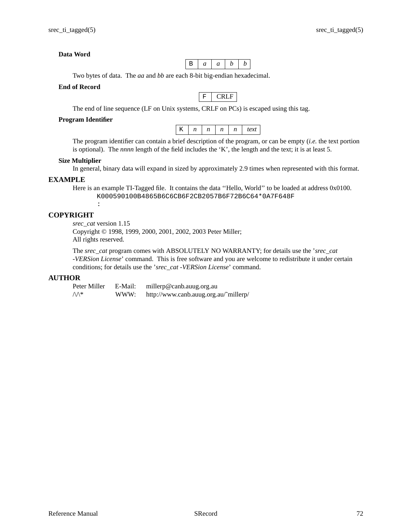# **Data Word**

B *aabb*

Two bytes of data. The *aa* and *bb* are each 8-bit big-endian hexadecimal.

## **End of Record**

|--|--|

The end of line sequence (LF on Unix systems, CRLF on PCs) is escaped using this tag.

# **Program Identifier**

|  |  |  |  | $\boldsymbol{\nu}$ |
|--|--|--|--|--------------------|
|--|--|--|--|--------------------|

The program identifier can contain a brief description of the program, or can be empty (*i.e.* the text portion is optional). The *nnnn* length of the field includes the 'K', the length and the text; it is at least 5.

## **Size Multiplier**

In general, binary data will expand in sized by approximately 2.9 times when represented with this format.

## **EXAMPLE**

Here is an example TI-Tagged file. It contains the data ''Hello, World'' to be loaded at address 0x0100. K000590100B4865B6C6CB6F2CB2057B6F72B6C64\*0A7F648F :

# **COPYRIGHT**

*srec\_cat* version 1.15 Copyright © 1998, 1999, 2000, 2001, 2002, 2003 Peter Miller; All rights reserved.

The *srec\_cat* program comes with ABSOLUTELY NO WARRANTY; for details use the '*srec\_cat -VERSion License*' command. This is free software and you are welcome to redistribute it under certain conditions; for details use the '*srec\_cat -VERSion License*' command.

## **AUTHOR**

Peter Miller E-Mail: millerp@canb.auug.org.au  $\sqrt{\Lambda^*}$  WWW: http://www.canb.auug.org.au/~millerp/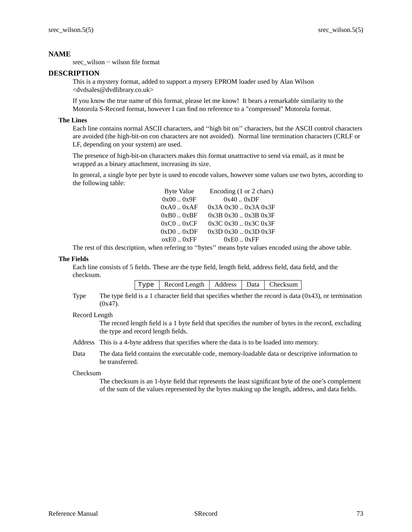srec\_wilson − wilson file format

## **DESCRIPTION**

This is a mystery format, added to support a mysery EPROM loader used by Alan Wilson <dvdsales@dvdlibrary.co.uk>

If you know the true name of this format, please let me know! It bears a remarkable similarity to the Motorola S-Record format, however I can find no reference to a "compressed" Motorola format.

## **The Lines**

Each line contains normal ASCII characters, and ''high bit on'' characters, but the ASCII control characters are avoided (the high-bit-on con characters are not avoided). Normal line termination characters (CRLF or LF, depending on your system) are used.

The presence of high-bit-on characters makes this format unattractive to send via email, as it must be wrapped as a binary attachment, increasing its size.

In general, a single byte per byte is used to encode values, however some values use two bytes, according to the following table:

| <b>Byte Value</b> | Encoding (1 or 2 chars) |
|-------------------|-------------------------|
| 0x000x9F          | 0x400xDF                |
| $0xA0$ $0xAF$     | $0x3A0x30$ $0x3A0x3F$   |
| $0xB0$ $0xBF$     | $0x3B0x30$ $0x3B0x3F$   |
| $0xC0$ $0xCF$     | $0x3C0x30$ $0x3C0x3F$   |
| $0xD0$ $0xDF$     | 0x3D0x300x3D0x3F        |
| $oxE0$ $0xFF$     | $0xE0$ $0xFF$           |

The rest of this description, when refering to ''bytes'' means byte values encoded using the above table.

## **The Fields**

Each line consists of 5 fields. These are the type field, length field, address field, data field, and the checksum.

| Type | Record Length   Address   Data   Checksum |  |  |  |
|------|-------------------------------------------|--|--|--|
|------|-------------------------------------------|--|--|--|

Type The type field is a 1 character field that specifies whether the record is data (0x43), or termination (0x47).

## Record Length

The record length field is a 1 byte field that specifies the number of bytes in the record, excluding the type and record length fields.

- Address This is a 4-byte address that specifies where the data is to be loaded into memory.
- Data The data field contains the executable code, memory-loadable data or descriptive information to be transferred.

### Checksum

The checksum is an 1-byte field that represents the least significant byte of the one's complement of the sum of the values represented by the bytes making up the length, address, and data fields.